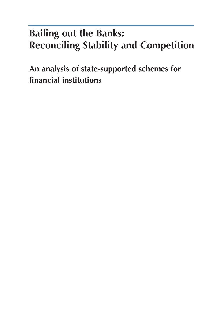# **Bailing out the Banks: Reconciling Stability and Competition**

**An analysis of state-supported schemes for financial institutions**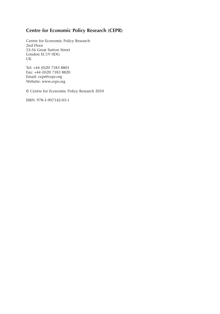## **Centre for Economic Policy Research (CEPR)**

Centre for Economic Policy Research 2nd Floor 53-56 Great Sutton Street London EC1V 0DG UK

Tel: +44 (0)20 7183 8801 Fax: +44 (0)20 7183 8820 Email: cepr@cepr.org Website: www.cepr.org

© Centre for Economic Policy Research 2010

ISBN: 978-1-907142-03-1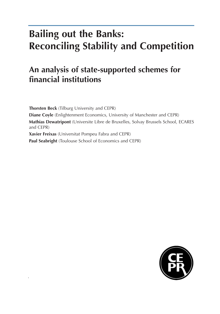# **Bailing out the Banks: Reconciling Stability and Competition**

## **An analysis of state-supported schemes for financial institutions**

**Thorsten Beck** (Tilburg University and CEPR) **Diane Coyle** (Enlightenment Economics, University of Manchester and CEPR) **Mathias Dewatripont** (Universite Libre de Bruxelles, Solvay Brussels School, ECARES and CEPR) **Xavier Freixas** (Universitat Pompeu Fabra and CEPR) **Paul Seabright** (Toulouse School of Economics and CEPR)

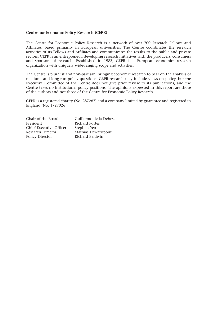#### **Centre for Economic Policy Research (CEPR)**

The Centre for Economic Policy Research is a network of over 700 Research Fellows and Affiliates, based primarily in European universities. The Centre coordinates the research activities of its Fellows and Affiliates and communicates the results to the public and private sectors. CEPR is an entrepreneur, developing research initiatives with the producers, consumers and sponsors of research. Established in 1983, CEPR is a European economics research organization with uniquely wide-ranging scope and activities.

The Centre is pluralist and non-partisan, bringing economic research to bear on the analysis of medium- and long-run policy questions. CEPR research may include views on policy, but the Executive Committee of the Centre does not give prior review to its publications, and the Centre takes no institutional policy positions. The opinions expressed in this report are those of the authors and not those of the Centre for Economic Policy Research.

CEPR is a registered charity (No. 287287) and a company limited by guarantee and registered in England (No. 1727026).

| Chair of the Board      | Guillermo de la Dehesa |
|-------------------------|------------------------|
| President               | <b>Richard Portes</b>  |
| Chief Executive Officer | Stephen Yeo            |
| Research Director       | Mathias Dewatripont    |
| Policy Director         | Richard Baldwin        |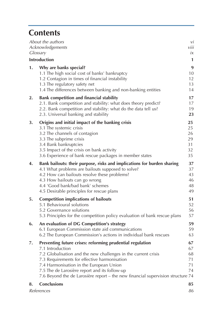## **Contents**

| About the authors<br>Acknowledgements<br>Glossary                                                                                                                                                                                                                                                                                                                                    | vi<br>viii<br>iх                         |
|--------------------------------------------------------------------------------------------------------------------------------------------------------------------------------------------------------------------------------------------------------------------------------------------------------------------------------------------------------------------------------------|------------------------------------------|
| <b>Introduction</b>                                                                                                                                                                                                                                                                                                                                                                  | $\mathbf{1}$                             |
| 1.<br>Why are banks special?<br>1.1 The high social cost of banks' bankruptcy<br>1.2 Contagion in times of financial instability<br>1.3 The regulatory safety net<br>1.4 The differences between banking and non-banking entities                                                                                                                                                    | $\boldsymbol{9}$<br>10<br>12<br>13<br>14 |
| Bank competition and financial stability<br>2.<br>2.1. Bank competition and stability: what does theory predict?<br>2.2. Bank competition and stability: what do the data tell us?<br>2.3. Universal banking and stability                                                                                                                                                           | 17<br>17<br>19<br>23                     |
| 3.<br>Origins and initial impact of the banking crisis<br>3.1 The systemic crisis<br>3.2 The channels of contagion<br>3.3 The subprime crisis<br>3.4 Bank bankruptcies<br>3.5 Impact of the crisis on bank activity<br>3.6 Experience of bank rescue packages in member states                                                                                                       | 25<br>25<br>26<br>29<br>31<br>32<br>35   |
| Bank bailouts: their purpose, risks and implications for burden sharing<br>4.<br>4.1 What problems are bailouts supposed to solve?<br>4.2 How can bailouts resolve these problems?<br>4.3 How bailouts can go wrong<br>4.4 'Good bank/bad bank' schemes<br>4.5 Desirable principles for rescue plans                                                                                 | 37<br>37<br>43<br>46<br>48<br>49         |
| <b>Competition implications of bailouts</b><br>5.<br>5.1 Behavioural solutions<br>5.2 Governance solutions<br>5.3 Principles for the competition policy evaluation of bank rescue plans                                                                                                                                                                                              | 51<br>52<br>56<br>57                     |
| An evaluation of DG Competition's strategy<br>6.<br>6.1 European Commission state aid communications<br>6.2 The European Commission's actions in individual bank rescues                                                                                                                                                                                                             | 59<br>59<br>63                           |
| 7.<br>Preventing future crises: reforming prudential regulation<br>7.1 Introduction<br>7.2 Globalisation and the new challenges in the current crisis<br>7.3 Requirements for effective harmonisation<br>7.4 Harmonisation in the European Union<br>7.5 The de Larosière report and its follow-up<br>7.6 Beyond the de Larosière report - the new financial supervision structure 74 | 67<br>67<br>68<br>71<br>71<br>74         |
| <b>Conclusions</b><br>8.<br>References                                                                                                                                                                                                                                                                                                                                               | 85<br>86                                 |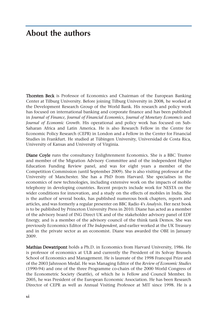## **About the authors**

Thorsten Beck is Professor of Economics and Chairman of the European Banking Center at Tilburg University. Before joining Tilburg University in 2008, he worked at the Development Research Group of the World Bank. His research and policy work has focused on international banking and corporate finance and has been published in *Journal of Finance, Journal of Financial Economics, Journal of Monetary Economcis* and *Journal of Economic Growth*. His operational and policy work has focused on Sub-Saharan Africa and Latin America. He is also Research Fellow in the Centre for Economic Policy Research (CEPR) in London and a Fellow in the Center for Financial Studies in Frankfurt. He studied at Tübingen University, Universidad de Costa Rica, University of Kansas and University of Virginia.

Diane Coyle runs the consultancy Enlightenment Economics. She is a BBC Trustee and member of the Migration Advisory Committee and of the independent Higher Education Funding Review panel, and was for eight years a member of the Competition Commission (until September 2009). She is also visiting professor at the University of Manchester. She has a PhD from Harvard. She specialises in the economics of new technologies, including extensive work on the impacts of mobile telephony in developing countries. Recent projects include work for NESTA on the wider conditions for innovation, and a study on the effects of mobiles in India. She is the author of several books, has published numerous book chapters, reports and articles, and was formerly a regular presenter on BBC Radio 4's *Analysis*. Her next book is to be published by Princeton University Press in 2010. Diane has acted as a member of the advisory board of ING Direct UK and of the stakeholder advisory panel of EDF Energy, and is a member of the advisory council of the think tank Demos. She was previously Economics Editor of *The Independent*, and earlier worked at the UK Treasury and in the private sector as an economist. Diane was awarded the OBE in January 2009.

Mathias Dewatripont holds a Ph.D. in Economics from Harvard University, 1986. He is professor of economics at ULB and currently the President of its Solvay Brussels School of Economics and Management. He is laureate of the 1998 Francqui Prize and of the 2003 Jahnsson Medal. He was Managing Editor of the *Review of Economic Studies* (1990-94) and one of the three Programme co-chairs of the 2000 World Congress of the Econometric Society (Seattle), of which he is Fellow and Council Member. In 2005, he was President of the European Economic Association. He has been Research Director of CEPR as well as Annual Visiting Professor at MIT since 1998. He is a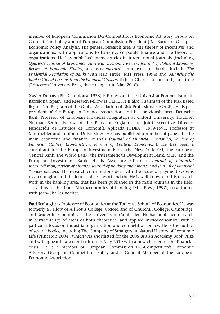member of European Commission DG-Competition's Economic Advisory Group on Competition Policy and of European Commission President J.M. Barroso's Group of Economic Policy Analysis. His general research area is the theory of incentives and organizations, with applications to banking, corporate finance and the theory of organizations. He has published many articles in international journals (including *Quarterly Journal of Economics, American Economic Review, Journal of Political Economy, Review of Economic Studies,* and *Econometrica*); moreover, his books include *The Prudential Regulation of Banks* with Jean Tirole (MIT Press, 1994) and B*alancing the Banks: Global Lessons from the Financial Crisis* with Jean-Charles Rochet and Jean Tirole (Princeton University Press, due to appear in May 2010).

Xavier Freixas, (Ph D. Toulouse 1978) is Professor at the Universitat Pompeu Fabra in Barcelona (Spain) and Research Fellow at CEPR. He is also Chairman of the Risk Based Regulation Program of the Global Association of Risk Professionals (GARP). He is past president of the European Finance Association and has previously been Deutsche Bank Professor of European Financial Integration at Oxford University, Houblon Norman Senior Fellow of the Bank of England and Joint Executive Director Fundación de Estudios de Economía Aplicada FEDEA), 1989-1991, Professor at Montpellier and Toulouse Universities. He has published a number of papers in the main economic and finance journals (*Journal of Financial Economics, Review of Financial Studies, Econometrica, Journal of Political Economy*,...). He has been a consultant for the European Investment Bank, the New York Fed, the European Central Bank, the World Bank, the Interamerican Development Bank, MEFF and the European Investment Bank. He is Associate Editor of *Journal of Financial Intermediation, Review of Finance, Journal of Banking and Finance* and *Journal of Financial Services Research*. His research contributions deal with the issues of payment systems risk, contagion and the lender of last resort and the He is well known for his research work in the banking area, that has been published in the main journals in the field, as well as for his book Microeconomics of banking (MIT Press, 1997), co-authored with Jean-Charles Rochet.

Paul Seabright is Professor of Economics at the Toulouse School of Economics. He was formerly a Fellow of All Souls College, Oxford and of Churchill College, Cambridge, and Reader in Economics at the University of Cambridge. He has published research in a wide range of areas of both theoretical and applied microeconomics, with a particular focus on industrial organization and competition policy. He is the author of several books, including The Company of Strangers: A Natural History of Economic Life (Princeton 2004), which was shortlisted for the 2005 British Academy Book Prize and will appear in a second edition in May 2010 with a new chapter on the financial crisis. He is a member of European Commission DG-Competition's Economic Advisory Group on Competition Policy and a Council Member of the European Economic Association.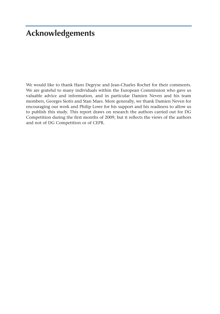## **Acknowledgements**

We would like to thank Hans Degryse and Jean-Charles Rochet for their comments. We are grateful to many individuals within the European Commission who gave us valuable advice and information, and in particular Damien Neven and his team members, Georges Siotis and Stan Maes. More generally, we thank Damien Neven for encouraging our work and Philip Lowe for his support and his readiness to allow us to publish this study. This report draws on research the authors carried out for DG Competition during the first months of 2009, but it reflects the views of the authors and not of DG Competition or of CEPR.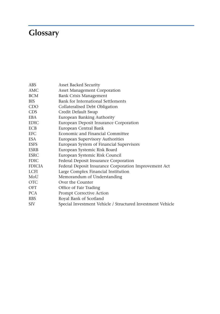# **Glossary**

| <b>ABS</b>    | Asset Backed Security                                      |
|---------------|------------------------------------------------------------|
| AMC           | <b>Asset Management Corporation</b>                        |
| <b>BCM</b>    | <b>Bank Crisis Management</b>                              |
| <b>BIS</b>    | Bank for International Settlements                         |
| CDO           | Collateralised Debt Obligation                             |
| <b>CDS</b>    | Credit Default Swap                                        |
| <b>EBA</b>    | European Banking Authority                                 |
| <b>EDIC</b>   | European Deposit Insurance Corporation                     |
| <b>ECB</b>    | European Central Bank                                      |
| <b>EFC</b>    | Economic and Financial Committee                           |
| <b>ESA</b>    | European Supervisory Authorities                           |
| <b>ESFS</b>   | European System of Financial Supervisors                   |
| <b>ESRB</b>   | European Systemic Risk Board                               |
| <b>ESRC</b>   | European Systemic Risk Council                             |
| <b>FDIC</b>   | Federal Deposit Insurance Corporation                      |
| <b>FDICIA</b> | Federal Deposit Insurance Corporation Improvement Act      |
| <b>LCFI</b>   | Large Complex Financial Institution                        |
| MoU           | Memorandum of Understanding                                |
| <b>OTC</b>    | Over the Counter                                           |
| <b>OFT</b>    | Office of Fair Trading                                     |
| <b>PCA</b>    | Prompt Corrective Action                                   |
| <b>RBS</b>    | Royal Bank of Scotland                                     |
| <b>SIV</b>    | Special Investment Vehicle / Structured Investment Vehicle |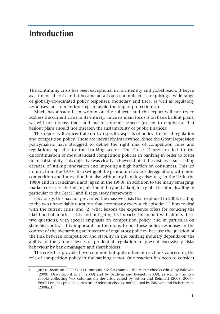## **Introduction**

The continuing crisis has been exceptional in its intensity and global reach. It began as a financial crisis and it became an all-out economic crisis, requiring a wide range of globally-coordinated policy responses: monetary and fiscal as well as regulatory responses, not to mention steps to avoid the trap of protectionism.

Much has already been written on the subject, $<sup>1</sup>$  and this report will not try to</sup> address the current crisis in its entirety. Since its main focus is on bank bailout plans, we will not discuss trade and macroeconomic aspects (except to emphasise that bailout plans should not threaten the sustainability of public finances).

This report will concentrate on two specific aspects of policy: financial regulation and competition policy. These are inevitably intertwined. Since the Great Depression policymakers have struggled to define the right mix of competition rules and regulations specific to the banking sector. The Great Depression led to the discontinuation of most standard competition policies in banking in order to foster financial stability. This objective was clearly achieved, but at the cost, over succeeding decades, of stifling innovation and imposing a high burden on consumers. This led in turn, from the 1970s, to a swing of the pendulum towards deregulation, with more competition and innovation but also with many banking crises (e.g. in the US in the 1980s and in Scandinavia and Japan in the 1990s, in addition to the many emergingmarket crises). Each time, regulation did try and adapt, in a global fashion, leading in particular to the Basel I and II regulatory frameworks.

Obviously, this has not prevented the massive crisis that exploded in 2008, leading to the two unavoidable questions that accompany every such episode: (1) how to deal with the current crisis; and (2) what lessons the experience offers for reducing the likelihood of another crisis and mitigating its impact? This report will address these two questions, with special emphasis on competition policy, and in particular on state aid control. It is important, furthermore, to put these policy responses in the context of the overarching architecture of regulatory policies, because the question of the link between competition and stability in the banking industry depends on the ability of the various levers of prudential regulation to prevent excessively risky behaviour by bank managers and shareholders.

The crisis has provoked two common but quite different reactions concerning the role of competition policy in the banking sector. One reaction has been to consider

<sup>1</sup> Just to focus on CEPR/VoxEU outputs, see for example the recent ebooks edited by Baldwin (2009), Dewatripont et al. (2009) and by Baldwin and Evenett (2009), as well as the two ebooks collecting Vox columns on the crisis edited by Felton and Reinhart (2008, 2009). VoxEU.org has published two other relevant ebooks, both edited by Baldwin and Eichengreen (2008a, b).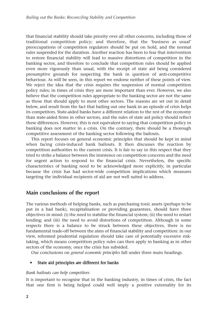that financial stability should take priority over all other concerns, including those of traditional competition policy; and therefore, that the 'business as usual' preoccupations of competition regulators should be put on hold, and the normal rules suspended for the duration. Another reaction has been to fear that intervention to restore financial stability will lead to massive distortions of competition in the banking sector, and therefore to conclude that competition rules should be applied even more vigorously than usual, with the receipt of state aid being considered presumptive grounds for suspecting the bank in question of anti-competitive behaviour. As will be seen, in this report we endorse neither of these points of view. We reject the idea that the crisis requires the suspension of normal competition policy rules; in times of crisis they are more important than ever. However, we also believe that the competition rules appropriate to the banking sector are not the same as those that should apply to most other sectors. The reasons are set out in detail below, and result from the fact that bailing out one bank in an episode of crisis helps its competitors. State-aided banks have a different relation to the rest of the economy than state-aided firms in other sectors, and the rules of state aid policy should reflect these differences. However, this is not equivalent to saying that competition policy in banking does not matter in a crisis. On the contrary, there should be a thorough competitive assessment of the banking sector following the bailouts.

This report focuses on general economic principles that should be kept in mind when facing crisis-induced bank bailouts. It then discusses the reaction by competition authorities to the current crisis. It is fair to say in this respect that they tried to strike a balance between the insistence on competition concerns and the need for urgent action to respond to the financial crisis. Nevertheless, the specific characteristics of banking need to be acknowledged more explicitly, in particular because the crisis has had sector-wide competition implications which measures targeting the individual recipients of aid are not well suited to address.

## **Main conclusions of the report**

The various methods of helping banks, such as purchasing toxic assets (perhaps to be put in a bad bank), recapitalisation or providing guarantees, should have three objectives in mind: (i) the need to stabilise the financial system; (ii) the need to restart lending; and (iii) the need to avoid distortions of competition. Although in some respects there is a balance to be struck between these objectives, there is no fundamental trade-off between the aims of financial stability and competition: in our view, reformed prudential regulation should take care of potentially excessive risktaking, which means competition policy rules can then apply in banking as in other sectors of the economy, once the crisis has subsided.

Our conclusions on *general economic principles* fall under three main headings.

### • State aid principles *are* different for banks

### *Bank bailouts can help competitors*

It is important to recognise that in the banking industry, in times of crisis, the fact that one firm is being helped could well imply a positive externality for its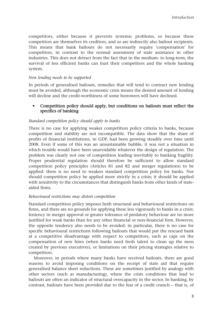competitors, either because it prevents systemic problems, or because these competitors are themselves its creditors, and so are indirectly also bailout recipients. This means that bank bailouts do not necessarily require 'compensation' for competitors, in contrast to the normal assessment of state assistance in other industries. This does not detract from the fact that in the medium- to long-term, the survival of less efficient banks can hurt their competitors and the whole banking system.

#### *New lending needs to be supported*

In periods of generalised bailouts, remedies that will tend to contract new lending must be avoided, although the economic crisis means the desired amount of lending will decline and the credit-worthiness of some borrowers will have declined.

#### • Competition policy should apply, but conditions on bailouts must reflect the specifics of banking

#### *Standard competition policy should apply to banks*

There is no case for applying weaker competition policy criteria to banks, because competition and stability are not incompatible. The data show that the share of profits of financial institutions, in GDP, had been growing steadily over time until 2008. Even if some of this was an unsustainable bubble, it was not a situation in which trouble would have been unavoidable whatever the design of regulation. The problem was clearly not one of competition leading inevitably to banking fragility. Proper prudential regulation should therefore be sufficient to allow standard competition policy principles (Articles 81 and 82 and merger regulations) to be applied: there is no need to weaken standard competition policy for banks. Nor should competition policy be applied more strictly in a crisis; it should be applied with sensitivity to the circumstances that distinguish banks from other kinds of stateaided firms.

#### *Behavioural restrictions may distort competition*

Standard competition policy imposes both structural and behavioural restrictions on firms, and there are no grounds for applying these less vigorously to banks in a crisis: leniency in merger approval or greater tolerance of predatory behaviour are no more justified for weak banks than for any other financial or non-financial firm. However, the opposite tendency also needs to be avoided: in particular, there is no case for specific behavioural restrictions following bailouts that would put the rescued bank at a competitive disadvantage with respect to competitors, such as caps on the compensation of new hires (when banks need fresh talent to clean up the mess created by previous executives), or limitations on their pricing strategies relative to competitors.

Moreover, in periods where many banks have received bailouts, there are good reasons to avoid imposing conditions on the receipt of state aid that require generalised balance sheet reductions. These are sometimes justified by analogy with other sectors (such as manufacturing), where the crisis conditions that lead to bailouts are often an indicator of structural overcapacity in the sector. In banking, by contrast, bailouts have been provided due to the fear of a credit crunch – that is, of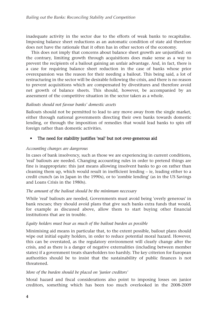inadequate activity in the sector due to the efforts of weak banks to recapitalise. Imposing balance sheet reductions as an automatic condition of state aid therefore does not have the rationale that it often has in other sectors of the economy.

This does not imply that concerns about balance sheet growth are unjustified: on the contrary, limiting growth through acquisitions does make sense as a way to prevent the recipients of a bailout gaining an unfair advantage. And, in fact, there is a case for requiring balance sheet reduction in the case of banks whose prior overexpansion was the reason for their needing a bailout. This being said, a lot of restructuring in the sector will be desirable following the crisis, and there is no reason to prevent acquisitions which are compensated by divestitures and therefore avoid net growth of balance sheets. This should, however, be accompanied by an assessment of the competitive situation in the sector taken as a whole.

### *Bailouts should not favour banks' domestic assets*

Bailouts should not be permitted to lead to any move away from the single market, either through national governments directing their own banks towards domestic lending, or through the imposition of remedies that would lead banks to spin off foreign rather than domestic activities.

## The need for stability justifies 'real' but not over-generous aid

### *Accounting changes are dangerous*

In cases of bank insolvency, such as those we are experiencing in current conditions, 'real' bailouts are needed. Changing accounting rules in order to pretend things are fine is inappropriate: this just means allowing insolvent banks to go on rather than cleaning them up, which would result in inefficient lending – ie, leading either to a credit crunch (as in Japan in the 1990s), or to 'zombie lending' (as in the US Savings and Loans Crisis in the 1980s).

### *The amount of the bailout should be the minimum necessary*

While 'real' bailouts are needed, Governments must avoid being 'overly generous' in bank rescues; they should avoid plans that give such banks extra funds that would, for example as discussed above, allow them to start buying other financial institutions that are in trouble.

#### *Equity holders must bear as much of the bailout burden as possible*

Minimising aid means in particular that, to the extent possible, bailout plans should wipe out initial equity holders, in order to reduce potential moral hazard. However, this can be overstated, as the regulatory environment will clearly change after the crisis, and as there is a danger of negative externalities (including between member states) if a government treats shareholders too harshly. The key criterion for European authorities should be to insist that the sustainability of public finances is not threatened.

### *More of the burden should be placed on 'junior creditors'*

Moral hazard and fiscal considerations also point to imposing losses on junior creditors, something which has been too much overlooked in the 2008-2009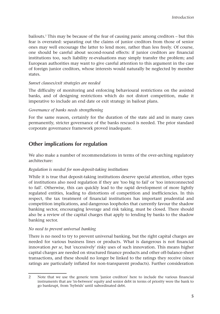bailouts.<sup>2</sup> This may be because of the fear of causing panic among creditors  $-$  but this fear is overrated: separating out the claims of junior creditors from those of senior ones may well encourage the latter to lend more, rather than less freely. Of course, one should be careful about second-round effects: if junior creditors are financial institutions too, such liability re-evaluations may simply transfer the problem; and European authorities may want to give careful attention to this argument in the case of foreign junior creditors, whose interests would naturally be neglected by member states.

### *Sunset clauses/exit strategies are needed*

The difficulty of monitoring and enforcing behavioural restrictions on the assisted banks, and of designing restrictions which do not distort competition, make it imperative to include an end date or exit strategy in bailout plans.

#### *Governance of banks needs strengthening*

For the same reason, certainly for the duration of the state aid and in many cases permanently, stricter governance of the banks rescued is needed. The prior standard corporate governance framework proved inadequate.

## **Other implications for regulation**

We also make a number of recommendations in terms of the over-arching regulatory architecture:

### *Regulation is needed for non-deposit-taking institutions*

While it is true that deposit-taking institutions deserve special attention, other types of institutions also need regulation if they are 'too big to fail' or 'too interconnected to fail'. Otherwise, this can quickly lead to the rapid development of more lightly regulated entities, leading to distortions of competition and inefficiencies. In this respect, the tax treatment of financial institutions has important prudential and competition implications, and dangerous loopholes that currently favour the shadow banking sector, encouraging leverage and risk taking, must be closed. There should also be a review of the capital charges that apply to lending by banks to the shadow banking sector.

#### *No need to prevent universal banking*

There is no need to try to prevent universal banking, but the right capital charges are needed for various business lines or products. What is dangerous is not financial innovation *per se*, but 'excessively' risky uses of such innovation. This means higher capital charges are needed on structured finance products and other off-balance-sheet transactions, and these should no longer be linked to the ratings they receive (since ratings are particularly inflated for non-transparent products). Further consideration

<sup>2</sup> Note that we use the generic term 'junior creditors' here to include the various financial instruments that are 'in-between' equity and senior debt in terms of priority were the bank to go bankrupt, from 'hybrids' until subordinated debt.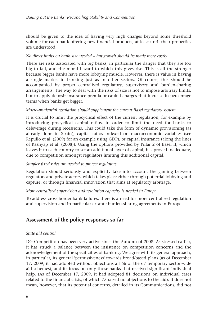should be given to the idea of having very high charges beyond some threshold volume for each bank offering new financial products, at least until their properties are understood.

#### *No direct limits on bank size needed – but growth should be made more costly*

There are risks associated with big banks, in particular the danger that they are too big to fail, and the moral hazard to which this gives rise. This is all the stronger because bigger banks have more lobbying muscle. However, there is value in having a single market in banking just as in other sectors. Of course, this should be accompanied by proper centralised regulatory, supervisory and burden-sharing arrangements. The way to deal with the risks of size is not to impose arbitrary limits, but to apply deposit insurance premia or capital charges that increase in percentage terms when banks get bigger.

#### *Macro-prudential regulation should supplement the current Basel regulatory system.*

It is crucial to limit the procyclical effect of the current regulation, for example by introducing procyclical capital ratios, in order to limit the need for banks to deleverage during recessions. This could take the form of dynamic provisioning (as already done in Spain), capital ratios indexed on macroeconomic variables (see Repullo et al. (2009) for an example using GDP), or capital insurance (along the lines of Kashyap et al. (2008)). Using the options provided by Pillar 2 of Basel II, which leaves it to each country to set an additional layer of capital, has proved inadequate, due to competition amongst regulators limiting this additional capital.

#### *Simpler fixed rules are needed to protect regulators*

Regulation should seriously and explicitly take into account the gaming between regulators and private actors, which takes place either through potential lobbying and capture, or through financial innovation that aims at regulatory arbitrage.

### *More centralised supervision and resolution capacity is needed in Europe*

To address cross-border bank failures, there is a need for more centralised regulation and supervision and in particular ex ante burden-sharing agreements in Europe.

## **Assessment of the policy responses so far**

#### *State aid control*

DG Competition has been very active since the Autumn of 2008. As stressed earlier, it has struck a balance between the insistence on competition concerns and the acknowledgement of the specificities of banking. We agree with its general approach, in particular, its general 'permissiveness' towards broad-based plans (as of December 17, 2009, it had adopted without objections all 66 of the 67 temporary sector-wide aid schemes), and its focus on only those banks that received significant individual help. (As of December 17, 2009, it had adopted 81 decisions on individual cases related to the financial crisis, of which 75 raised no objections to the aid). It does not mean, however, that its potential concerns, detailed in its Communications, did not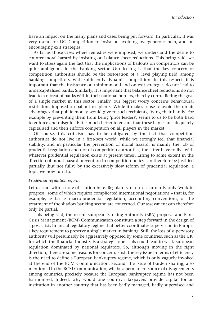have an impact on the many plans and cases being put forward. In particular, it was very useful for DG Competition to insist on avoiding overgenerous help, and on encouraging exit strategies.

As far as those cases where remedies were imposed, we understand the desire to counter moral hazard by insisting on balance sheet reductions. This being said, we want to stress again the fact that the implications of bailouts on competitors can be quite ambiguous in the banking sector. Our feeling is that the key concern of competition authorities should be the restoration of a 'level playing field' among banking competitors, with sufficiently dynamic competition. In this respect, it is important that the insistence on minimum aid and on exit strategies do not lead to undercapitalised banks. Similarly, it is important that balance sheet reductions do not lead to a retreat of banks within their national borders, thereby contradicting the goal of a single market in this sector. Finally, our biggest worry concerns behavioural restrictions imposed on bailout recipients. While it makes sense to avoid the unfair advantages that public money would give to such recipients, 'tying their hands', for example by preventing them from being 'price leaders', seems to us to be both hard to enforce and misguided: it is much better to ensure that these banks are adequately capitalised and then enforce competition on all players in the market.

Of course, this criticism has to be mitigated by the fact that competition authorities do not live in a first-best world: while we strongly feel that financial stability, and in particular the prevention of moral hazard, is mainly the job of prudential regulation and not of competition authorities, the latter have to live with whatever prudential regulation exists at present times. Erring to some extent in the direction of moral-hazard prevention in competition policy can therefore be justified partially (but not fully) by the excessively slow reform of prudential regulation, a topic we now turn to.

#### *Prudential regulation reform*

Let us start with a note of caution here. Regulatory reform is currently only 'work in progress', some of which requires complicated international negotiations – that is, for example, as far as macro-prudential regulation, accounting conventions, or the treatment of the shadow banking sector, are concerned. Our assessment can therefore only be partial.

This being said, the recent European Banking Authority (EBA) proposal and Bank Crisis Management (BCM) Communication constitute a step forward in the design of a post-crisis financial regulatory regime that better coordinates supervision in Europe, a key requirement to preserve a single market in banking. Still, the loss of supervisory authority will presumably be aggressively opposed by some countries, such as the UK, for which the financial industry is a strategic one. This could lead to weak European regulation dominated by national regulators. So, although moving in the right direction, there are some reasons for concern. First, the key issue in terms of efficiency is the need to define a European bankruptcy regime, which is only vaguely invoked at the end of the BCM Communication. Second, the issue of burden sharing, also mentioned in the BCM Communication, will be a permanent source of disagreements among countries, precisely because the European bankruptcy regime has not been harmonised. Indeed, why would one country's taxpayers provide capital for an institution in another country that has been badly managed, badly supervised and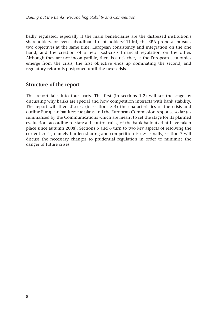badly regulated, especially if the main beneficiaries are the distressed institution's shareholders, or even subordinated debt holders? Third, the EBA proposal pursues two objectives at the same time: European consistency and integration on the one hand, and the creation of a new post-crisis financial regulation on the other. Although they are not incompatible, there is a risk that, as the European economies emerge from the crisis, the first objective ends up dominating the second, and regulatory reform is postponed until the next crisis.

## **Structure of the report**

This report falls into four parts. The first (in sections 1-2) will set the stage by discussing why banks are special and how competition interacts with bank stability. The report will then discuss (in sections 3-4) the characteristics of the crisis and outline European bank rescue plans and the European Commission response so far (as summarised by the Communications which are meant to set the stage for its planned evaluation, according to state aid control rules, of the bank bailouts that have taken place since autumn 2008). Sections 5 and 6 turn to two key aspects of resolving the current crisis, namely burden sharing and competition issues. Finally, section 7 will discuss the necessary changes to prudential regulation in order to minimise the danger of future crises.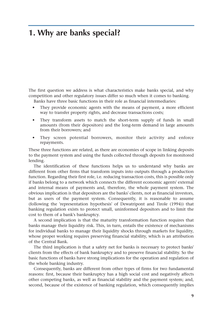## **1. Why are banks special?**

The first question we address is what characteristics make banks special, and why competition and other regulatory issues differ so much when it comes to banking.

Banks have three basic functions in their role as financial intermediaries:

- They provide economic agents with the means of payment, a more efficient way to transfer property rights, and decrease transactions costs;
- They transform assets to match the short-term supply of funds in small amounts (from their depositors) and the long-term demand in large amounts from their borrowers; and
- They screen potential borrowers, monitor their activity and enforce repayments.

These three functions are related, as there are economies of scope in linking deposits to the payment system and using the funds collected through deposits for monitored lending.

The identification of these functions helps us to understand why banks are different from other firms that transform inputs into outputs through a production function. Regarding their first role, i.e. reducing transaction costs, this is possible only if banks belong to a network which connects the different economic agents' external and internal means of payments and, therefore, the whole payment system. The obvious implication is that depositors are the banks' clients, not as financial investors, but as users of the payment system. Consequently, it is reasonable to assume (following the 'representation hypothesis' of Dewatripont and Tirole (1994)) that banking regulation exists to protect small, uninformed depositors and to limit the cost to them of a bank's bankruptcy.

A second implication is that the maturity transformation function requires that banks manage their liquidity risk. This, in turn, entails the existence of mechanisms for individual banks to manage their liquidity shocks through markets for liquidity, whose proper working requires preserving financial stability, which is an attribution of the Central Bank.

The third implication is that a safety net for banks is necessary to protect banks' clients from the effects of bank bankruptcy and to preserve financial stability. So the basic functions of banks have strong implications for the operation and regulation of the whole banking industry.

Consequently, banks are different from other types of firms for two fundamental reasons: first, because their bankruptcy has a high social cost and negatively affects other competing banks, as well as financial stability and the payment system; and, second, because of the existence of banking regulation, which consequently implies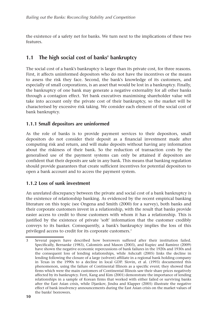the existence of a safety net for banks. We turn next to the implications of these two features.

## **1.1 The high social cost of banks' bankruptcy**

The social cost of a bank's bankruptcy is larger than its private cost, for three reasons. First, it affects uninformed depositors who do not have the incentives or the means to assess the risk they face. Second, the bank's knowledge of its customers, and especially of small corporations, is an asset that would be lost in a bankruptcy. Finally, the bankruptcy of one bank may generate a negative externality for all other banks through a contagion effect. Yet bank executives maximising shareholder value will take into account only the private cost of their bankruptcy, so the market will be characterised by excessive risk taking. We consider each element of the social cost of bank bankruptcy.

## **1.1.1 Small depositors are uninformed**

As the role of banks is to provide payment services to their depositors, small depositors do not consider their deposit as a financial investment made after computing risk and return, and will make deposits without having any information about the riskiness of their bank. So the reduction of transaction costs by the generalised use of the payment systems can only be attained if depositors are confident that their deposits are safe in any bank. This means that banking regulation should provide guarantees that create sufficient incentives for potential depositors to open a bank account and to access the payment system.

## **1.1.2 Loss of sunk investment**

An unrelated discrepancy between the private and social cost of a bank bankruptcy is the existence of relationship banking. As evidenced by the recent empirical banking literature on this topic (see Ongena and Smith (2000) for a survey), both banks and their corporate customers invest in a relationship, with the result that banks provide easier access to credit to those customers with whom it has a relationship. This is justified by the existence of private 'soft' information that the customer credibly conveys to its banker. Consequently, a bank's bankruptcy implies the loss of this privileged access to credit for its corporate customers.3

<sup>3</sup> Several papers have described how borrowers suffered after their institution failed. Specifically, Bernanke (1983), Calomiris and Mason (2003), and Kupiec and Ramirez (2009) have shown the negative economic repercussions of bank failures in the 1920s and 1930s and the consequent loss of lending relationships, while Ashcraft (2005) links the decline in lending following the closure of a large (solvent) affiliate in a regional bank holding company in Texas in the 1990s to a decline in local GDP. Slovin, et al. (1993) documented this phenomenon, using the failure of Continental Illinois as a specific event; they showed that firms which were the main customers of Continental Illinois saw their share prices negatively affected by its bankruptcy. Ferri, Kang and Kim (2001) demonstrate the importance of lending relationships in a sample of Korean firms that worked with either failed or surviving banks after the East Asian crisis, while Djankov, Jindra and Klapper (2005) illustrate the negative effect of bank insolvency announcements during the East Asian crisis on the market values of the banks' borrowers.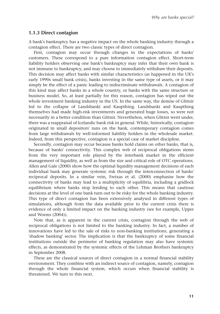#### **1.1.3 Direct contagion**

A bank's bankruptcy has a negative impact on the whole banking industry through a contagion effect. There are two classic types of direct contagion.

First, contagion may occur through changes in the expectations of banks' customers. These correspond to a pure information contagion effect. Short-term liability holders observing one bank's bankruptcy may infer that their own bank is not immune to bankruptcy, and may choose to immediately withdraw their deposits. This decision may affect banks with similar characteristics (as happened in the UK's early 1990s small bank crisis), banks investing in the same type of assets, or it may simply be the effect of a panic leading to indiscriminate withdrawals. A contagion of this kind may affect banks in a whole country, or banks with the same structure or business model. So, at least partially for this reason, contagion has wiped out the whole investment banking industry in the US. In the same way, the demise of Glitnir led to the collapse of Landsbanki and Kaupthing. Landsbanki and Kaupthing themselves had made high-risk investments and generated huge losses, so were not necessarily in a better condition than Glitnir. Nevertheless, when Glitnir went under, there was a reappraisal of Icelandic bank risk in general. While, historically, contagion originated in small depositors' runs on the bank, contemporary contagion comes from large withdrawals by well-informed liability holders in the wholesale market. Indeed, from this perspective, contagion is a special case of market discipline.

Secondly, contagion may occur because banks hold claims on other banks, that is, because of banks' connectivity. This complex web of reciprocal obligations stems from the very important role played by the interbank market in the efficient management of liquidity, as well as from the size and critical role of OTC operations. Allen and Gale (2000) show how the optimal liquidity management decisions of each individual bank may generate systemic risk through the interconnection of banks' reciprocal deposits. In a similar vein, Freixas et al. (2000) emphasise how the connectivity of banks may lead to a multiplicity of equilibria, including a gridlock equilibrium where banks stop lending to each other. This means that cautious decisions at the level of one bank turn out to be risky for the whole banking industry. This type of direct contagion has been extensively analysed in different types of simulations, although from the data available prior to the current crisis there is evidence of only a limited impact on the banking industry (see for example, Upper and Worms (2004)).

Note that, as is apparent in the current crisis, contagion through the web of reciprocal obligations is not limited to the banking industry. In fact, a number of innovations have led to the sale of risks to non-banking institutions, generating a 'shadow banking' sector. The implication is that the bankruptcy of some financial institutions outside the perimeter of banking regulation may also have systemic effects, as demonstrated by the systemic effects of the Lehman Brothers bankruptcy in September 2008.

These are the classical sources of direct contagion in a normal financial stability environment. They combine with an indirect source of contagion, namely, contagion through the whole financial system, which occurs when financial stability is threatened. We turn to this next.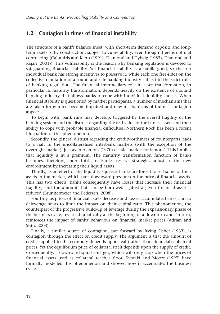## **1.2 Contagion in times of financial instability**

The structure of a bank's balance sheet, with short-term demand deposits and longterm assets is, by construction, subject to vulnerability, even though there is optimal contracting (Calomiris and Kahn (1991), Diamond and Dybvig (1983), Diamond and Rajan (2001)). This vulnerability is the reason why banking regulation is devoted to safeguarding financial stability. Yet financial stability is a public good, so that no individual bank has strong incentives to preserve it, while each one free-rides on the collective reputation of a sound and safe banking industry subject to the strict rules of banking regulation. The financial intermediary role in asset transformation, in particular its maturity transformation, depends heavily on the existence of a sound banking industry that allows banks to cope with individual liquidity shocks. When financial stability is questioned by market participants, a number of mechanisms that are taken for granted become impaired and new mechanisms of indirect contagion appear.

To begin with, bank runs may develop, triggered by the overall fragility of the banking system and the distrust regarding the real value of the banks' assets and their ability to cope with probable financial difficulties. Northern Rock has been a recent illustration of this phenomenon.

Secondly, the general distrust regarding the creditworthiness of counterparts leads to a halt in the uncollateralised interbank markets (with the exception of the overnight market), just as in Akerlof's (1970) classic 'market for lemons'. This implies that liquidity is at a premium. The maturity transformation function of banks becomes, therefore, more intricate. Banks' reserve strategies adjust to the new environment by increasing their liquid assets.

Thirdly, as an effect of the liquidity squeeze, banks are forced to sell some of their assets in the market, which puts downward pressure on the price of financial assets. This has two effects: banks consequently have losses that increase their financial fragility; and the amount that can be borrowed against a given financial asset is reduced (Brunnermeier and Pedersen, 2008).

Fourthly, as prices of financial assets decrease and losses accumulate, banks start to deleverage so as to limit the impact on their capital ratio. This phenomenon, the counterpart of the progressive build-up of leverage during the expansionary phase of the business cycle, reverts dramatically at the beginning of a downturn and, in turn, reinforces the impact of banks' behaviour on financial market prices (Adrian and Shin, 2008).

Finally, a similar source of contagion, put forward by Irving Fisher (1933), is contagion through the effect on credit supply. The argument is that the amount of credit supplied to the economy depends upon real (rather than financial) collateral prices. Yet the equilibrium price of collateral itself depends upon the supply of credit. Consequently, a downward spiral emerges, which will only stop when the prices of financial assets used as collateral reach a floor. Kyotaki and Moore (1997) have formally modelled this phenomenon and showed how it accentuates the business cycle.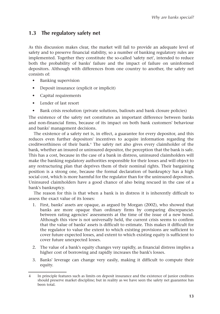## **1.3 The regulatory safety net**

As this discussion makes clear, the market will fail to provide an adequate level of safety and to preserve financial stability, so a number of banking regulatory rules are implemented. Together they constitute the so-called 'safety net', intended to reduce both the probability of banks' failure and the impact of failure on uninformed depositors. Although with differences from one country to another, the safety net consists of:

- Banking supervision
- Deposit insurance (explicit or implicit)
- Capital requirements
- Lender of last resort
- Bank crisis resolution (private solutions, bailouts and bank closure policies)

The existence of the safety net constitutes an important difference between banks and non-financial firms, because of its impact on both bank customers' behaviour and banks' management decisions.

The existence of a safety net is, in effect, a guarantee for every depositor, and this reduces even further depositors' incentives to acquire information regarding the creditworthiness of their bank.4 The safety net also gives every claimholder of the bank, whether an insured or uninsured depositor, the perception that the bank is safe. This has a cost, because in the case of a bank in distress, uninsured claimholders will make the banking regulatory authorities responsible for their losses and will object to any restructuring plan that deprives them of their nominal rights. Their bargaining position is a strong one, because the formal declaration of bankruptcy has a high social cost, which is more harmful for the regulator than for the uninsured depositors. Uninsured claimholders have a good chance of also being rescued in the case of a bank's bankruptcy.

The reason for this is that when a bank is in distress it is inherently difficult to assess the exact value of its losses:

- 1. First, banks' assets are opaque, as argued by Morgan (2002), who showed that banks are more opaque than ordinary firms by comparing discrepancies between rating agencies' assessments at the time of the issue of a new bond. Although this view is not universally held, the current crisis seems to confirm that the value of banks' assets is difficult to estimate. This makes it difficult for the regulator to value the extent to which existing provisions are sufficient to cover future expected losses, and extent to which existing equity is sufficient to cover future unexpected losses.
- 2. The value of a bank's equity changes very rapidly, as financial distress implies a higher cost of borrowing and rapidly increases the bank's losses.
- 3. Banks' leverage can change very easily, making it difficult to compute their equity.

<sup>4</sup> In principle features such as limits on deposit insurance and the existence of junior creditors should preserve market discipline; but in reality as we have seen the safety net guarantee has been total.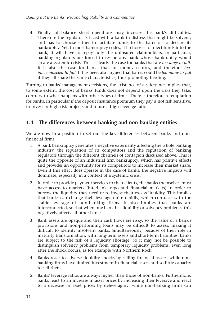4. Finally, off-balance sheet operations may increase the bank's difficulties. Therefore the regulator is faced with a bank in distress that might be solvent, and has to choose either to facilitate funds to the bank or to declare its bankruptcy. Yet, in most bankruptcy codes, if it chooses to inject funds into the bank, it will have to repay fully the uninsured claimholders. In particular, banking regulators are forced to rescue any bank whose bankruptcy would create a systemic crisis. This is clearly the case for banks that are *too-large-to-fail*. It is also the case for banks that are money centres, and therefore *toointerconnected-to-fail*. It has been also argued that banks could be *too-many-to-fail* if they all share the same characteristics, thus promoting herding.

Turning to banks' management decisions, the existence of a safety net implies that, to some extent, the cost of banks' funds does not depend upon the risks they take, contrary to what happens with other types of firms. There is therefore a temptation for banks, in particular if the deposit insurance premium they pay is not risk sensitive, to invest in high-risk projects and to use a high leverage ratio.

## **1.4 The differences between banking and non-banking entities**

We are now in a position to set out the key differences between banks and nonfinancial firms:

- 1. A bank bankruptcy generates a negative externality affecting the whole banking industry, the reputation of its competitors and the reputation of banking regulators through the different channels of contagion discussed above. This is quite the opposite of an industrial firm bankruptcy, which has positive effects and provides an opportunity for its competitors to increase their market share. Even if this effect does operate in the case of banks, the negative impacts will dominate, especially in a context of a systemic crisis.
- 2. In order to provide payment services to their clients, the banks themselves must have access to markets (interbank, repo and financial markets) in order to borrow the liquidity they need or to invest their excess liquidity. This implies that banks can change their leverage quite rapidly, which contrasts with the stable leverage of non-banking firms. It also implies that banks are interconnected, so that when one bank has liquidity or solvency problems, this negatively affects all other banks.
- 3. Bank assets are opaque and their cash flows are risky, so the value of a bank's provisions and non-performing loans may be difficult to assess, making it difficult to identify insolvent banks. Simultaneously, because of their role in maturity transformation, with long-term assets and short-term liabilities, banks are subject to the risk of a liquidity shortage. So it may not be possible to distinguish solvency problems from temporary liquidity problems, even long after the shock occurs, as for example with Northern Rock.
- 4. Banks react to adverse liquidity shocks by selling financial assets, while nonbanking firms have limited investment in financial assets and so little capacity to sell them.
- 5. Banks' leverage ratios are always higher than those of non-banks. Furthermore, banks react to an increase in asset prices by increasing their leverage and react to a decrease in asset prices by deleveraging, while non-banking firms can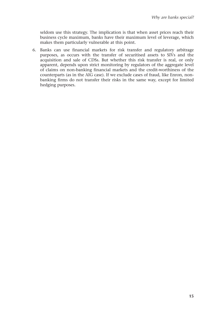seldom use this strategy. The implication is that when asset prices reach their business cycle maximum, banks have their maximum level of leverage, which makes them particularly vulnerable at this point.

6. Banks can use financial markets for risk transfer and regulatory arbitrage purposes, as occurs with the transfer of securitised assets to SIVs and the acquisition and sale of CDSs. But whether this risk transfer is real, or only apparent, depends upon strict monitoring by regulators of the aggregate level of claims on non-banking financial markets and the credit-worthiness of the counterparts (as in the AIG case). If we exclude cases of fraud, like Enron, nonbanking firms do not transfer their risks in the same way, except for limited hedging purposes.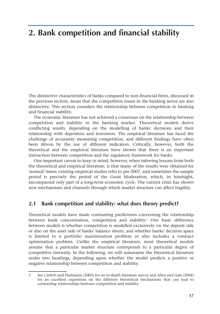## **2. Bank competition and financial stability**

The distinctive characteristics of banks compared to non-financial firms, discussed in the previous section, mean that the competition issues in the banking sector are also distinctive. This section considers the relationship between competition in banking and financial stability.

The economic literature has not achieved a consensus on the relationship between competition and stability in the banking market. Theoretical models derive conflicting results, depending on the modelling of banks' decisions and their relationship with depositors and borrowers. The empirical literature has faced the challenge of accurately measuring competition, and different findings have often been driven by the use of different indicators. Critically, however, both the theoretical and the empirical literature have shown that there is an important interaction between competition and the regulatory framework for banks.

One important caveat to keep in mind, however, when inferring lessons from both the theoretical and empirical literature, is that many of the results were obtained for 'normal' times; existing empirical studies refer to pre-2007, and sometimes the sample period is precisely the period of the Great Moderation, which, in hindsight, encompassed only part of a long-term economic cycle. The current crisis has shown new mechanisms and channels through which market structure can affect fragility.

## **2.1 Bank competition and stability: what does theory predict?**

Theoretical models have made contrasting predictions concerning the relationship between bank concentration, competition and stability.<sup>5</sup> One basic difference between models is whether competition is modelled exclusively on the deposit side or also on the asset side of banks' balance sheets, and whether banks' decision space is limited to a portfolio maximisation problem or also includes a contract optimisation problem. Unlike the empirical literature, most theoretical models assume that a particular market structure corresponds to a particular degree of competitive intensity. In the following, we will summarise the theoretical literature under two headings, depending upon whether the model predicts a positive or negative relationship between competition and stability.

<sup>5</sup> See Carletti and Hartmann (2003) for an in-depth literature survey and Allen and Gale (2004) for an excellent exposition on the different theoretical mechanisms that can lead to contrasting relationships between competition and stability.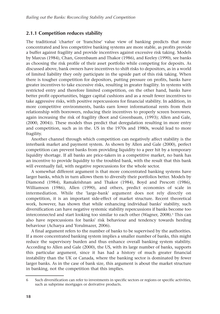## **2.1.1 Competition reduces stability**

The traditional 'charter' or 'franchise' value view of banking predicts that more concentrated and less competitive banking systems are more stable, as profits provide a buffer against fragility and provide incentives against excessive risk taking. Models by Marcus (1984), Chan, Greenbaum and Thakor (1986), and Keeley (1990), see banks as choosing the risk profile of their asset portfolio while competing for deposits. As discussed above, bank owners have incentives to shift risks to depositors, as in a world of limited liability they only participate in the upside part of this risk taking. When there is tougher competition for depositors, putting pressure on profits, banks have greater incentives to take excessive risks, resulting in greater fragility. In systems with restricted entry and therefore limited competition, on the other hand, banks have better profit opportunities, bigger capital cushions and as a result fewer incentives to take aggressive risks, with positive repercussions for financial stability. In addition, in more competitive environments, banks earn lower informational rents from their relationship with borrowers, reducing their incentives to properly screen borrowers, again increasing the risk of fragility (Boot and Greenbaum, (1993); Allen and Gale, (2000, 2004)). These models thus predict that deregulation resulting in more entry and competition, such as in the. US in the 1970s and 1980s, would lead to more fragility.

Another channel through which competition can negatively affect stability is the interbank market and payment system. As shown by Allen and Gale (2000), perfect competition can prevent banks from providing liquidity to a peer hit by a temporary liquidity shortage. If all banks are price-takers in a competitive market, no bank has an incentive to provide liquidity to the troubled bank, with the result that this bank will eventually fail, with negative repercussions for the whole sector.

A somewhat different argument is that more concentrated banking systems have larger banks, which in turn allows them to diversify their portfolios better. Models by Diamond (1984), Ramakrishnan and Thakor (1984), Boyd and Prescott (1986), Williamson (1986), Allen (1990), and others, predict economies of scale in intermediation. While the 'large-bank' argument does not rely directly on competition, it is an important side-effect of market structure. Recent theoretical work, however, has shown that while enhancing individual banks' stability, such diversification can have negative systemic stability repercussions if banks become too interconnected and start looking too similar to each other (Wagner, 2008).<sup>6</sup> This can also have repercussions for banks' risk behaviour and tendency towards herding behaviour (Acharya and Yorulmazer, 2006).

A final argument refers to the number of banks to be supervised by the authorities. If a more concentrated banking system implies a smaller number of banks, this might reduce the supervisory burden and thus enhance overall banking system stability. According to Allen and Gale (2000), the US, with its large number of banks, supports this particular argument, since it has had a history of much greater financial instability than the UK or Canada, where the banking sector is dominated by fewer larger banks. As in the case of bank size, this argument is about the market structure in banking, not the competition that this implies.

<sup>6</sup> Such diversification can refer to investments in specific sectors or regions or specific activities, such as subprime mortgages or derivative products.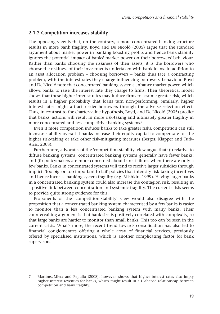## **2.1.2 Competition increases stability**

The opposing view is that, on the contrary, a more concentrated banking structure results in more bank fragility. Boyd and De Nicoló (2005) argue that the standard argument about market power in banking boosting profits and hence bank stability ignores the potential impact of banks' market power on their borrowers' behaviour. Rather than banks choosing the riskiness of their assets, it is the borrowers who choose the riskiness of their investments undertaken with bank loans. In addition to an asset allocation problem – choosing borrowers – banks thus face a contracting problem, with the interest rates they charge influencing borrowers' behaviour. Boyd and De Nicoló note that concentrated banking systems enhance market power, which allows banks to raise the interest rate they charge to firms. Their theoretical model shows that these higher interest rates may induce firms to assume greater risk, which results in a higher probability that loans turn non-performing. Similarly, higher interest rates might attract riskier borrowers through the adverse selection effect. Thus, in contrast to the charter-value hypothesis, Boyd, and De Nicoló (2005) predict that banks' actions will result in more risk-taking and ultimately greater fragility in more concentrated and less competitive banking systems.<sup>7</sup>

Even if more competition induces banks to take greater risks, competition can still increase stability overall if banks increase their equity capital to compensate for the higher risk-taking or take other risk-mitigating measures (Berger, Klapper and Turk-Ariss, 2008).

Furthermore, advocates of the 'competition-stability' view argue that: (i) relative to diffuse banking systems, concentrated banking systems generally have fewer banks; and (ii) policymakers are more concerned about bank failures when there are only a few banks. Banks in concentrated systems will tend to receive larger subsidies through implicit 'too big' or 'too important to fail' policies that intensify risk-taking incentives and hence increase banking system fragility (e.g. Mishkin, 1999). Having larger banks in a concentrated banking system could also increase the contagion risk, resulting in a positive link between concentration and systemic fragility. The current crisis seems to provide quite strong evidence for this.

Proponents of the 'competition-stability' view would also disagree with the proposition that a concentrated banking system characterised by a few banks is easier to monitor than a less concentrated banking system with many banks. Their countervailing argument is that bank size is positively correlated with complexity, so that large banks are harder to monitor than small banks. This too can be seen in the current crisis. What's more, the recent trend towards consolidation has also led to financial conglomerates offering a whole array of financial services, previously offered by specialised institutions, which is another complicating factor for bank supervisors.

Martinez-Miera and Repullo (2008), however, shows that higher interest rates also imply higher interest revenues for banks, which might result in a U-shaped relationship between competition and bank fragility.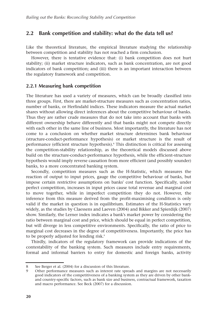## **2.2 Bank competition and stability: what do the data tell us?**

Like the theoretical literature, the empirical literature studying the relationship between competition and stability has not reached a firm conclusion.

However, there is tentative evidence that: (i) bank competition does not hurt stability; (ii) market structure indicators, such as bank concentration, are not good indicators of bank competition; and (iii) there is an important interaction between the regulatory framework and competition.

### **2.2.1 Measuring bank competition**

The literature has used a variety of measures, which can be broadly classified into three groups. First, there are market-structure measures such as concentration ratios, number of banks, or Herfindahl indices. These indicators measure the actual market shares without allowing direct inferences about the competitive behaviour of banks. Thus they are rather crude measures that do not take into account that banks with different ownership behave differently and that banks might not compete directly with each other in the same line of business. Most importantly, the literature has not come to a conclusion on whether market structure determines bank behaviour (structure-conduct-performance hypothesis) or market structure is the result of performance (efficient structure hypothesis).8 This distinction is critical for assessing the competition-stability relationship, as the theoretical models discussed above build on the structure-conduct-performance hypothesis, while the efficient-structure hypothesis would imply reverse causation from more efficient (and possibly sounder) banks, to a more concentrated banking system.

Secondly, competition measures such as the H-Statistic, which measures the reaction of output to input prices, gauge the competitive behaviour of banks, but impose certain restrictive assumptions on banks' cost function. Specifically, under perfect competition, increases in input prices cause total revenue and marginal cost to move together, while in imperfect competition they do not. However, the inference from this measure derived from the profit-maximising condition is only valid if the market in question is in equilibrium. Estimates of the H-Statistics vary widely, as the studies by Claessens and Laeven (2004) and Bikker and Spierdijk (2007) show. Similarly, the Lerner index indicates a bank's market power by considering the ratio between marginal cost and price, which should be equal in perfect competition, but will diverge in less competitive environments. Specifically, the ratio of price to marginal cost decreases in the degree of competitiveness. Importantly, the price has to be properly adjusted for lending risk.<sup>9</sup>

Thirdly, indicators of the regulatory framework can provide indications of the contestability of the banking system. Such measures include entry requirements, formal and informal barriers to entry for domestic and foreign banks, activity

<sup>8</sup> See Berger et al. (2004) for a discussion of this literature.

<sup>9</sup> Other performance measures such as interest rate spreads and margins are not necessarily good indicators of the competitiveness of a banking system as they are driven by other bankand country-specific factors, such as bank size and business, contractual framework, taxation and macro performance. See Beck (2007) for a discussion.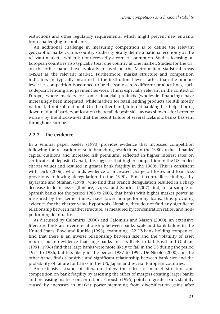restrictions and other regulatory requirements, which might prevent new entrants from challenging incumbents.

An additional challenge in measuring competition is to define the relevant geographic market. Cross-country studies typically define a national economy as the relevant market – which is not necessarily a correct assumption. Studies focusing on European countries also typically treat one country as one market. Studies for the US, on the other hand, have typically focused on the Metropolitan Statistical Areas (MSAs) as the relevant market. Furthermore, market structure and competition indicators are typically measured at the institutional level, rather than the product level; i.e. competition is assumed to be the same across different product lines, such as deposit, lending and payment services. This is especially relevant in the context of Europe, where markets for some financial products (wholesale financing) have increasingly been integrated, while markets for retail lending products are still mostly national, if not sub-national. On the other hand, internet banking has helped bring down national barriers, at least on the retail deposit side, as was shown – for better or worse – by the shockwaves that the recent failure of several Icelandic banks has sent throughout Europe.

## **2.2.2 The evidence**

In a seminal paper, Keeley (1990) provides evidence that increased competition following the relaxation of state branching restrictions in the 1980s reduced banks' capital cushions and increased risk premiums, reflected in higher interest rates on certificates of deposit. Overall, this suggests that higher competition in the US eroded charter values and resulted in greater bank fragility in the 1980s. This is consistent with Dick (2006), who finds evidence of increased charge-off losses and loan loss provisions following deregulation in the 1990s. But it contradicts findings by Jayaratne and Strahan (1998), who find that branch deregulation resulted in a sharp decrease in loan losses. Jiménez, Lopez, and Saurina (2007) find, for a sample of Spanish banks for the period 1988 to 2003, that banks with higher market power, as measured by the Lerner index, have lower non-performing loans, thus providing evidence for the charter value hypothesis. Notably, they do not find any significant relationship between market structure, as measured by concentration ratios, and nonperforming loan ratios.

As discussed by Calomiris (2000) and Calomiris and Mason (2000), an extensive literature finds an inverse relationship between banks' scale and bank failure in the United States. Boyd and Runkle (1993), examining 122 US bank holding companies, find that there is an inverse relationship between size and the volatility of asset returns, but no evidence that large banks are less likely to fail. Boyd and Graham (1991, 1996) find that large banks were more likely to fail in the US during the period 1971 to 1986, but less likely in the period 1987 to 1994. De Nicoló (2000), on the other hand, finds a positive and significant relationship between bank size and the probability of failure for banks in the US, Japan and several European countries.

An extensive strand of literature infers the effect of market structure and competition on bank fragility by assessing the effect of mergers creating larger banks and increasing market concentration. Paroush (1995) points to greater bank stability caused by increases in market power stemming from diversification gains after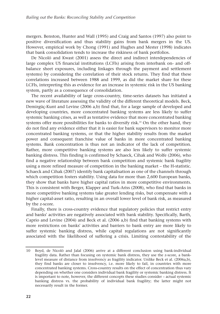mergers. Benston, Hunter and Wall (1995) and Craig and Santos (1997) also point to positive diversification and thus stability gains from bank mergers in the US. However, empirical work by Chong (1991) and Hughes and Mester (1998) indicates that bank consolidation tends to increase the riskiness of bank portfolios.

De Nicoló and Kwast (2001) assess the direct and indirect interdependencies of large complex US financial institutions (LCFIs) arising from interbank on- and offbalance sheet exposures, including linkages through the payment and settlement systems) by considering the correlation of their stock returns. They find that these correlations increased between 1988 and 1999, as did the market share for these LCFIs, interpreting this as evidence for an increase in systemic risk in the US banking system, partly as a consequence of consolidation.

The recent availability of large cross-country, time-series datasets has initiated a new wave of literature assessing the validity of the different theoretical models. Beck, Demirgüç-Kunt and Levine (2006 a,b) find that, for a large sample of developed and developing countries, more concentrated banking systems are less likely to suffer systemic banking crises, as well as tentative evidence that more concentrated banking systems offer more possibilities for banks to diversify risk.<sup>10</sup> On the other hand, they do not find any evidence either that it is easier for bank supervisors to monitor more concentrated banking systems, or that the higher stability results from the market power and consequent franchise value of banks in more concentrated banking systems. Bank concentration is thus not an indicator of the lack of competition. Rather, more competitive banking systems are also less likely to suffer systemic banking distress. This finding is confirmed by Schaeck, Cihak and Wolfe (2006), who find a negative relationship between bank competition and systemic bank fragility using a more refined measure of competition in the banking market – the H-statistic. Schaeck and Cihak (2007) identify bank capitalisation as one of the channels through which competition fosters stability. Using data for more than 2,600 European banks, they show that banks have higher capital ratios in more competitive environments. This is consistent with Berger, Klapper and Turk-Ariss (2008), who find that banks in more competitive banking systems take greater lending risks, but compensate with a higher capital-asset ratio, resulting in an overall lower level of bank risk, as measured by the z-score.

Finally, there is cross-country evidence that regulatory policies that restrict entry and banks' activities are negatively associated with bank stability. Specifically, Barth, Caprio and Levine (2004) and Beck et al. (2006 a,b) find that banking systems with more restrictions on banks' activities and barriers to bank entry are more likely to suffer systemic banking distress, while capital regulations are not significantly associated with the likelihood of suffering a crisis. Limiting contestability of the

<sup>10</sup> Boyd, de Nicoló and Jalal (2006) arrive at a different conclusion using bank-individual fragility data. Rather than focusing on systemic bank distress, they use the z-score, a banklevel measure of distance from insolvency as fragility indicator. Unlike Beck et al. (2006a,b), they find banks are closer to insolvency, i.e. more likely to fail, in countries with more concentrated banking systems. Cross-country results on the effect of concentration thus vary depending on whether one considers individual bank fragility or systemic banking distress. It is important to note, however, the different concepts these studies consider – actual systemic banking distress vs. the probability of individual bank fragility; the latter might not necessarily result in the former.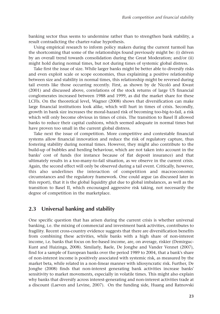banking sector thus seems to undermine rather than to strengthen bank stability, a result contradicting the charter-value hypothesis.

Using empirical research to inform policy makers during the current turmoil has the shortcoming that some of the relationships found previously might be: (i) driven by an overall trend towards consolidation during the Great Moderation; and/or (ii) might hold during normal times, but not during times of systemic global distress.

Take first the issue of size. While larger banks might be better able to diversify risks and even exploit scale or scope economies, thus explaining a positive relationship between size and stability in normal times, this relationship might be reversed during tail events like those occurring recently. First, as shown by de Nicoló and Kwast (2001) and discussed above, correlations of the stock returns of large US financial conglomerates increased between 1988 and 1999, as did the market share for these LCFIs. On the theoretical level, Wagner (2008) shows that diversification can make large financial institutions look alike, which will hurt in times of crisis. Secondly, growth in bank size increases the moral-hazard risk of becoming too-big-to-fail, a risk which will only become obvious in times of crisis. The transition to Basel II allowed banks to reduce their capital cushions, which seemed adequate in normal times but have proven too small in the current global distress.

Take next the issue of competition. More competitive and contestable financial systems allow financial innovation and reduce the risk of regulatory capture, thus fostering stability during normal times. However, they might also contribute to the build-up of bubbles and herding behaviour, which are not taken into account in the banks' cost of funds (for instance because of flat deposit insurance) and that ultimately results in a too-many-to-fail situation, as we observe in the current crisis. Again, the second effect will only be observed during a tail event. Critically, however, this also underlines the interaction of competition and macroeconomic circumstances and the regulatory framework. One could argue (as discussed later in this report), that it is the global liquidity glut due to global imbalances, as well as the transition to Basel II, which encouraged aggressive risk taking, not necessarily the degree of competition in the marketplace.

## **2.3 Universal banking and stability**

One specific question that has arisen during the current crisis is whether universal banking, i.e. the mixing of commercial and investment bank activities, contributes to fragility. Recent cross-country evidence suggests that there are diversification benefits from combining these activities, while banks with a high share of non-interest income, i.e. banks that focus on fee-based income, are, on average, riskier (Demirguc-Kunt and Huizinga, 2008). Similarly, Baele, De Jonghe and Vander Vennet (2007), find for a sample of European banks over the period 1989 to 2004, that a bank's share of non-interest income is positively associated with systemic risk, as measured by the market beta, while related in a non-linear manner with idiosyncratic risk. Further, De Jonghe (2008) finds that non-interest generating bank activities increase banks' sensitivity to market movements, especially in volatile times. This might also explain why banks that diversify across interest-generating and non-interest activities trade at a discount (Laeven and Levine, 2007). On the funding side, Huang and Ratnovski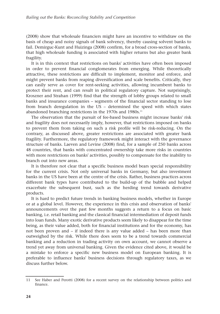(2008) show that wholesale financiers might have an incentive to withdraw on the basis of cheap and noisy signals of bank solvency, thereby causing solvent banks to fail. Demirguc-Kunt and Huizinga (2008) confirm, for a broad cross-section of banks, that high wholesale funding is associated with higher returns but also greater bank fragility.

It is in this context that restrictions on banks' activities have often been imposed in order to prevent financial conglomerates from emerging. While theoretically attractive, these restrictions are difficult to implement, monitor and enforce, and might prevent banks from reaping diversification and scale benefits. Critically, they can easily serve as cover for rent-seeking activities, allowing incumbent banks to protect their rent, and can result in political regulatory capture. Not surprisingly, Kroszner and Strahan (1999) find that the strength of lobby groups related to small banks and insurance companies – segments of the financial sector standing to lose from branch deregulation in the US – determined the speed with which states abandoned branching restrictions in the 1970s and 1980s.<sup>11</sup>

The observation that the pursuit of fee-based business might increase banks' risk and fragility does not necessarily imply, however, that restrictions imposed on banks to prevent them from taking on such a risk profile will be risk-reducing. On the contrary, as discussed above, greater restrictions are associated with greater bank fragility. Furthermore, the regulatory framework might interact with the governance structure of banks. Laeven and Levine (2008) find, for a sample of 250 banks across 48 countries, that banks with concentrated ownership take more risks in countries with more restrictions on banks' activities, possibly to compensate for the inability to branch out into new areas.

It is therefore not clear that a specific business model bears special responsibility for the current crisis. Not only universal banks in Germany, but also investment banks in the US have been at the centre of the crisis. Rather, business practices across different bank types have contributed to the build-up of the bubble and helped exacerbate the subsequent bust, such as the herding trend towards derivative products.

It is hard to predict future trends in banking business models, whether in Europe or at a global level. However, the experience in this crisis and observation of banks' announcements over the past few months suggests a return to a focus on basic banking, i.e. retail banking and the classical financial intermediation of deposit funds into loan funds. Many exotic derivative products seem likely to disappear for the time being, as their value added, both for financial institutions and for the economy, has not been proven and – if indeed there is any value added – has been more than outweighed by the risk. While there does seem to be a trend towards commercial banking and a reduction in trading activity on own account, we cannot observe a trend yet away from universal banking. Given the evidence cited above, it would be a mistake to enforce a specific new business model on European banking. It is preferable to influence banks' business decisions through regulatory taxes, as we discuss further below.

<sup>11</sup> See Haber and Perotti (2008) for a recent survey on the relationship between politics and finance.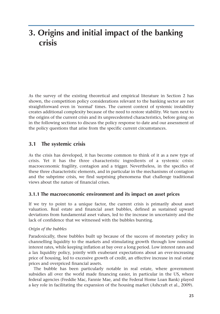## **3. Origins and initial impact of the banking crisis**

As the survey of the existing theoretical and empirical literature in Section 2 has shown, the competition policy considerations relevant to the banking sector are not straightforward even in 'normal' times. The current context of systemic instability creates additional complexity because of the need to restore stability. We turn next to the origins of the current crisis and its unprecedented characteristics, before going on in the following sections to discuss the policy response to date and our assessment of the policy questions that arise from the specific current circumstances.

## **3.1 The systemic crisis**

As the crisis has developed, it has become common to think of it as a new type of crisis. Yet it has the three characteristic ingredients of a systemic crisis: macroeconomic fragility, contagion and a trigger. Nevertheless, in the specifics of these three characteristic elements, and in particular in the mechanisms of contagion and the subprime crisis, we find surprising phenomena that challenge traditional views about the nature of financial crises.

## **3.1.1 The macroeconomic environment and its impact on asset prices**

If we try to point to a unique factor, the current crisis is primarily about asset valuation. Real estate and financial asset bubbles, defined as sustained upward deviations from fundamental asset values, led to the increase in uncertainty and the lack of confidence that we witnessed with the bubbles bursting.

### *Origin of the bubbles*

Paradoxically, these bubbles built up because of the success of monetary policy in channelling liquidity to the markets and stimulating growth through low nominal interest rates, while keeping inflation at bay over a long period. Low interest rates and a lax liquidity policy, jointly with exuberant expectations about an ever-increasing price of housing, led to excessive growth of credit, an effective increase in real estate prices and overpriced financial assets.

The bubble has been particularly notable in real estate, where government subsidies all over the world made financing easier, in particular in the US, where federal agencies (Freddie Mac, Fannie Mae, and the Federal Home Loan Bank) played a key role in facilitating the expansion of the housing market (Ashcraft et al., 2009).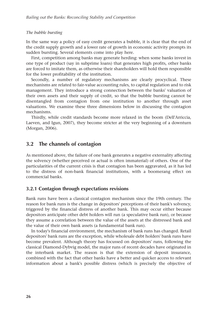#### *The bubble bursting*

In the same way a policy of easy credit generates a bubble, it is clear that the end of the credit supply growth and a lower rate of growth in economic activity prompts its sudden bursting. Several elements come into play here.

First, competition among banks may generate herding: when some banks invest in one type of product (say in subprime loans) that generates high profits, other banks are forced to imitate them, as otherwise their shareholders will hold them responsible for the lower profitability of the institution.

Secondly, a number of regulatory mechanisms are clearly procyclical. These mechanisms are related to fair-value accounting rules, to capital regulation and to risk management. They introduce a strong connection between the banks' valuation of their own assets and their supply of credit, so that the bubble bursting cannot be disentangled from contagion from one institution to another through asset valuations. We examine these three dimensions below in discussing the contagion mechanisms.

Thirdly, while credit standards become more relaxed in the boom (Dell'Arriccia, Laeven, and Igun, 2007), they become stricter at the very beginning of a downturn (Morgan, 2006).

## **3.2 The channels of contagion**

As mentioned above, the failure of one bank generates a negative externality affecting the solvency (whether perceived or actual is often immaterial) of others. One of the particularities of the current crisis is that contagion has been aggravated, as it has led to the distress of non-bank financial institutions, with a boomerang effect on commercial banks.

#### **3.2.1 Contagion through expectations revisions**

Bank runs have been a classical contagion mechanism since the 19th century. The reason for bank runs is the change in depositors' perceptions of their bank's solvency, triggered by the financial distress of another bank. This may occur either because depositors anticipate other debt holders will run (a speculative bank run), or because they assume a correlation between the value of the assets at the distressed bank and the value of their own bank assets (a fundamental bank run).

In today's financial environment, the mechanism of bank runs has changed. Retail depositors' bank runs are the exception, while wholesale debt holders' bank runs have become prevalent. Although theory has focussed on depositors' runs, following the classical Diamond-Dybvig model, the major runs of recent decades have originated in the interbank market. The reason is that the extension of deposit insurance, combined with the fact that other banks have a better and quicker access to relevant information about a bank's possible distress (which is precisely the objective of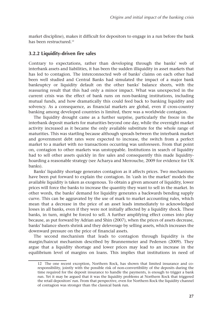market discipline), makes it difficult for depositors to engage in a run before the bank has been restructured.<sup>12</sup>

#### **3.2.2 Liquidity-driven fire sales**

Contrary to expectations, rather than developing through the banks' web of interbank assets and liabilities, it has been the sudden illiquidity in asset markets that has led to contagion. The interconnected web of banks' claims on each other had been well studied and Central Banks had simulated the impact of a major bank bankruptcy or liquidity default on the other banks' balance sheets, with the reassuring result that this had only a minor impact. What was unexpected in the current crisis was the effect of bank runs on non-banking institutions, including mutual funds, and how dramatically this could feed back to banking liquidity and solvency. As a consequence, as financial markets are global, even if cross-country banking among developed countries is limited, there was a worldwide contagion.

The liquidity drought came as a further surprise, particularly the freeze in the interbank deposit markets for maturities beyond one day, while the overnight market activity increased as it became the only available substitute for the whole range of maturities. This was startling because although spreads between the interbank market and government debt rates were expected to increase, the switch from a perfect market to a market with no transactions occurring was unforeseen. From that point on, contagion to other markets was unstoppable. Institutions in search of liquidity had to sell other assets quickly in fire sales and consequently this made liquidityhoarding a reasonable strategy (see Acharya and Merrouche, 2009 for evidence for UK banks).

Banks' liquidity shortage generates contagion as it affects prices. Two mechanisms have been put forward to explain the contagion. In 'cash in the market' models the available liquidity is taken as exogenous. To obtain a given amount of liquidity, lower prices will force the banks to increase the quantity they want to sell in the market. In other words, the banks' demand for liquidity generates a backwards bending supply curve. This can be aggravated by the use of mark to market accounting rules, which mean that a decrease in the price of an asset leads immediately to acknowledged losses in all banks, even if they were not initially affected by a liquidity shock. These banks, in turn, might be forced to sell. A further amplifying effect comes into play because, as put forward by Adrian and Shin (2007), when the prices of assets decrease, banks' balance sheets shrink and they deleverage by selling assets, which increases the downward pressure on the price of financial assets.

The second mechanism that leads to contagion through liquidity is the margin/haircut mechanism described by Brunnermeier and Pedersen (2009). They argue that a liquidity shortage and lower prices may lead to an increase in the equilibrium level of margins on loans. This implies that institutions in need of

<sup>12</sup> The one recent exception, Northern Rock, has shown that limited insurance and coresponsibility, jointly with the possible risk of non-convertibility of the deposits during the time required for the deposit insurance to handle the payments, is enough to trigger a bank run. Yet it may be argued that it was the liquidity problems at Northern Rock that triggered the retail depositors' run. From that perspective, even for Northern Rock the liquidity channel of contagion was stronger than the classical bank run.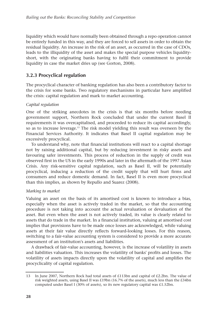liquidity which would have normally been obtained through a repo operation cannot be entirely funded in this way, and they are forced to sell assets in order to obtain the residual liquidity. An increase in the risk of an asset, as occurred in the case of CDOs, leads to the illiquidity of the asset and makes the special purpose vehicles liquidityshort, with the originating banks having to fulfil their commitment to provide liquidity in case the market dries up (see Gorton, 2008).

## **3.2.3 Procyclical regulation**

The procyclical character of banking regulation has also been a contributory factor to the crisis for some banks. Two regulatory mechanisms in particular have amplified the crisis: capital regulation and mark to market accounting.

#### *Capital regulation*

One of the striking anecdotes in the crisis is that six months before needing government support, Northern Rock concluded that under the current Basel II requirements it was overcapitalised, and proceeded to reduce its capital accordingly, so as to increase leverage.13 The risk model yielding this result was overseen by the Financial Services Authority. It indicates that Basel II capital regulation may be excessively procyclical.

To understand why, note that financial institutions will react to a capital shortage not by raising additional capital, but by reducing investment in risky assets and favouring safer investments. This process of reduction in the supply of credit was observed first in the US in the early 1990s and later in the aftermath of the 1997 Asian Crisis. Any risk-sensitive capital regulation, such as Basel II, will be potentially procyclical, inducing a reduction of the credit supply that will hurt firms and consumers and reduce domestic demand. In fact, Basel II is even more procyclical than this implies, as shown by Repullo and Suarez (2008).

#### *Marking to market*

Valuing an asset on the basis of its amortised cost is known to introduce a bias, especially when the asset is actively traded in the market, so that the accounting procedure is not taking into account the actual revaluation or devaluation of the asset. But even when the asset is not actively traded, its value is clearly related to assets that do trade in the market. In a financial institution, valuing at amortised cost implies that provisions have to be made once losses are acknowledged, while valuing assets at their fair value directly reflects forward-looking losses. For this reason, switching to a fair-value accounting system is considered to provide a more accurate assessment of an institution's assets and liabilities.

A drawback of fair-value accounting, however, is the increase of volatility in assets and liabilities valuation. This increases the volatility of banks' profits and losses. The volatility of assets impacts directly upon the volatility of capital and amplifies the procyclicality of capital regulation.

<sup>13</sup> In June 2007, Northern Rock had total assets of £113bn and capital of £2.2bn. The value of risk weighted assets, using Basel II was £19bn (16.7% of the assets), much less than the £34bn computed under Basel I (30% of assets), so its new regulatory capital was £1.52bn.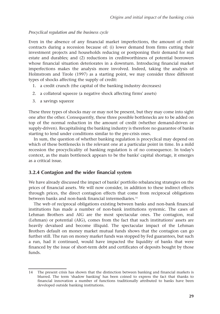#### *Procyclical regulation and the business cycle*

Even in the absence of any financial market imperfections, the amount of credit contracts during a recession because of: (i) lower demand from firms cutting their investment projects and households reducing or postponing their demand for real estate and durables; and (2) reductions in creditworthiness of potential borrowers whose financial situation deteriorates in a downturn. Introducing financial market imperfections makes the analysis more involved. Indeed, taking the analysis of Holmstrom and Tirole (1997) as a starting point, we may consider three different types of shocks affecting the supply of credit:

- 1. a credit crunch (the capital of the banking industry decreases)
- 2. a collateral squeeze (a negative shock affecting firms' assets)
- 3. a savings squeeze

These three types of shocks may or may not be present, but they may come into sight one after the other. Consequently, these three possible bottlenecks are to be added on top of the normal reduction in the amount of credit (whether demand-driven or supply-driven). Recapitalising the banking industry is therefore no guarantee of banks starting to lend under conditions similar to the pre-crisis ones.

In sum, the question of whether banking regulation is procyclical may depend on which of these bottlenecks is the relevant one at a particular point in time. In a mild recession the procyclicality of banking regulation is of no consequence. In today's context, as the main bottleneck appears to be the banks' capital shortage, it emerges as a critical issue.

#### **3.2.4 Contagion and the wider financial system**

We have already discussed the impact of banks' portfolio rebalancing strategies on the prices of financial assets. We will now consider, in addition to these indirect effects through prices, the direct contagion effects that come from reciprocal obligations between banks and non-bank financial intermediaries.<sup>14</sup>

The web of reciprocal obligations existing between banks and non-bank financial institutions has made a number of non-bank institutions systemic. The cases of Lehman Brothers and AIG are the most spectacular ones. The contagion, real (Lehman) or potential (AIG), comes from the fact that such institutions' assets are heavily devalued and become illiquid. The spectacular impact of the Lehman Brothers default on money market mutual funds shows that the contagion can go further still. The run on money market funds was stopped by Fed guarantees, but such a run, had it continued, would have impacted the liquidity of banks that were financed by the issue of short-term debt and certificates of deposits bought by those funds.

<sup>14</sup> The present crisis has shown that the distinction between banking and financial markets is blurred. The term 'shadow banking' has been coined to express the fact that thanks to financial innovation a number of functions traditionally attributed to banks have been developed outside banking institutions.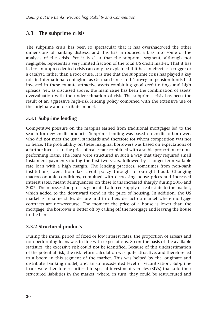# **3.3 The subprime crisis**

The subprime crisis has been so spectacular that it has overshadowed the other dimensions of banking distress, and this has introduced a bias into some of the analysis of the crisis. Yet it is clear that the subprime segment, although not negligible, represents a very limited fraction of the total US credit market. That it has led to an unprecedented crisis can only be explained if it has an effect as a trigger or a catalyst, rather than a root cause. It is true that the subprime crisis has played a key role in international contagion, as German banks and Norwegian pension funds had invested in these ex ante attractive assets combining good credit ratings and high spreads. Yet, as discussed above, the main issue has been the combination of assets' overvaluation with the underestimation of risk. The subprime crisis has been the result of an aggressive high-risk lending policy combined with the extensive use of the 'originate and distribute' model.

## **3.3.1 Subprime lending**

Competitive pressure on the margins earned from traditional mortgages led to the search for new credit products. Subprime lending was based on credit to borrowers who did not meet the usual standards and therefore for whom competition was not so fierce. The profitability on these marginal borrowers was based on expectations of a further increase in the price of real estate combined with a stable proportion of nonperforming loans. The loans were structured in such a way that they required small instalment payments during the first two years, followed by a longer-term variable rate loan with a high margin. The lending practices, sometimes from non-bank institutions, went from lax credit policy through to outright fraud. Changing macroeconomic conditions, combined with decreasing house prices and increased interest rates, meant delinquencies on these loans increased sharply during 2006 and 2007. The repossession process generated a forced supply of real estate to the market, which added to the downward trend in the price of housing. In addition, the US market is in some states de jure and in others de facto a market where mortgage contracts are non-recourse. The moment the price of a house is lower than the mortgage, the borrower is better off by calling off the mortgage and leaving the house to the bank.

## **3.3.2 Structured products**

During the initial period of fixed or low interest rates, the proportion of arrears and non-performing loans was in line with expectations. So on the basis of the available statistics, the excessive risk could not be identified. Because of this underestimation of the potential risk, the risk-return calculation was quite attractive, and therefore led to a boom in this segment of the market. This was helped by the 'originate and distribute' banking model, and an unprecedented level of securitisation. Subprime loans were therefore securitised in special investment vehicles (SIVs) that sold their structured liabilities in the market, where, in turn, they could be restructured and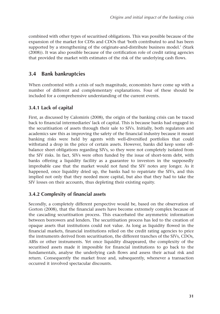combined with other types of securitised obligations. This was possible because of the expansion of the market for CDSs and CDOs that 'both contributed to and has been supported by a strengthening of the originate-and-distribute business model.' (Stark (2008)). It was also possible because of the certification role of credit rating agencies that provided the market with estimates of the risk of the underlying cash flows.

## **3.4 Bank bankruptcies**

When confronted with a crisis of such magnitude, economists have come up with a number of different and complementary explanations. Four of these should be included for a comprehensive understanding of the current events.

## **3.4.1 Lack of capital**

First, as discussed by Calomiris (2008), the origin of the banking crisis can be traced back to financial intermediaries' lack of capital. This is because banks had engaged in the securitisation of assets through their sale to SIVs. Initially, both regulators and academics saw this as improving the safety of the financial industry because it meant banking risks were held by agents with well-diversified portfolios that could withstand a drop in the price of certain assets. However, banks did keep some offbalance sheet obligations regarding SIVs, so they were not completely isolated from the SIV risks. In fact, SIVs were often funded by the issue of short-term debt, with banks offering a liquidity facility as a guarantee to investors in the supposedly improbable case that the market would not fund the SIV notes any longer. As it happened, once liquidity dried up, the banks had to repatriate the SIVs, and this implied not only that they needed more capital, but also that they had to take the SIV losses on their accounts, thus depleting their existing equity.

### **3.4.2 Complexity of financial assets**

Secondly, a completely different perspective would be, based on the observation of Gorton (2008), that the financial assets have become extremely complex because of the cascading securitisation process. This exacerbated the asymmetric information between borrowers and lenders. The securitisation process has led to the creation of opaque assets that institutions could not value. As long as liquidity flowed in the financial markets, financial institutions relied on the credit rating agencies to price the instruments derived from securitisation, the different tranches of the SIVs, CDOs, ABSs or other instruments. Yet once liquidity disappeared, the complexity of the securitised assets made it impossible for financial institutions to go back to the fundamentals, analyse the underlying cash flows and assess their actual risk and return. Consequently the market froze and, subsequently, whenever a transaction occurred it involved spectacular discounts.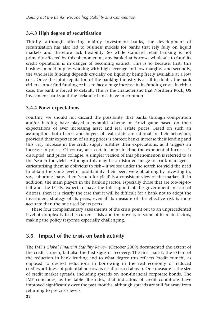#### **3.4.3 High degree of securitisation**

Thirdly, although affecting mainly investment banks, the development of securitisation has also led to business models for banks that rely fully on liquid markets and therefore lack flexibility. So while standard retail banking is not primarily affected by this phenomenon, any bank that borrows wholesale to fund its credit operations is in danger of becoming extinct. This is so because, first, this business model implies working with high leverage and low margins, and secondly, the wholesale funding depends crucially on liquidity being freely available at a low cost. Once the joint reputation of the banking industry is at all in doubt, the bank either cannot find funding or has to face a huge increase in its funding costs. In either case, the bank is forced to default. This is the characteristic that Northern Rock, US investment banks and the Icelandic banks have in common.

#### **3.4.4 Ponzi expectations**

Fourthly, we should not discard the possibility that banks through competition and/or herding have played a pyramid scheme or Ponzi game based on their expectations of ever increasing asset and real estate prices. Based on such an assumption, both banks and buyers of real estate are rational in their behaviour, provided their expectation of rising prices is correct: banks increase their lending and this very increase in the credit supply justifies their expectations, as it triggers an increase in prices. Of course, at a certain point in time the exponential increase is disrupted, and prices collapse. A simpler version of this phenomenon is referred to as the 'search for yield'. Although this may be a distorted image of bank managers – caricaturising them as oblivious to risk – if we see under the search for yield the need to obtain the same level of profitability their peers were obtaining by investing in, say, subprime loans, then 'search for yield' is a consistent view of the market. If, in addition, the main players in the banking sector, especially those that are too-big-tofail and the LCFIs, expect to have the full support of the government in case of distress, then it is clearly the case that it will be difficult for a bank not to adopt the investment strategy of its peers, even if its measure of the effective risk is more accurate than the one used by its peers.

These four complementary assessments of the crisis point out to an unprecedented level of complexity in this current crisis and the novelty of some of its main factors, making the policy response especially challenging.

### **3.5 Impact of the crisis on bank activity**

The IMF's *Global Financial Stability Review* (October 2009) documented the extent of the credit crunch, but also the first signs of recovery. The first issue is the extent of the reduction in bank lending and to what degree this reflects 'credit crunch', as opposed to desired reductions in borrowing in the real economy or reduced creditworthiness of potential borrowers (as discussed above). One measure is the size of credit market spreads, including spreads on non-financial corporate bonds. The IMF concludes, as the table illustrates, that indicators of credit conditions have improved significantly over the past months, although spreads are still far away from returning to pre-crisis levels.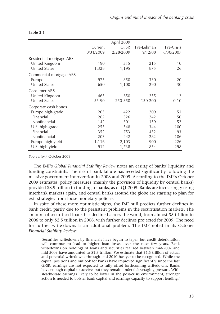|                          |           | April 2009  |            |            |
|--------------------------|-----------|-------------|------------|------------|
|                          | Current   | <b>GFSR</b> | Pre-Lehman | Pre-Crisis |
|                          | 8/31/2009 | 2/28/2009   | 9/12/08    | 6/30/2007  |
| Residential mortgage ABS |           |             |            |            |
| United Kingdom           | 190       | 315         | 215        | 10         |
| <b>United States</b>     | 1,328     | 1,195       | 875        | 26         |
| Commercial mortgage ABS  |           |             |            |            |
| Europe                   | 975       | 850         | 330        | 20         |
| United States            | 650       | 1,100       | 290        | 30         |
| Consumer ABS             |           |             |            |            |
| United Kingdom           | 465       | 650         | 255        | 12         |
| <b>United States</b>     | 55-90     | 250-350     | 130-200    | $0 - 10$   |
| Corporate cash bonds     |           |             |            |            |
| Europe high-grade        | 205       | 422         | 209        | 51         |
| Financial                | 262       | 526         | 242        | 50         |
| Nonfinancial             | 142       | 301         | 159        | 52         |
| U.S. high-grade          | 253       | 548         | 344        | 100        |
| Financial                | 352       | 753         | 432        | 93         |
| Nonfinancial             | 203       | 442         | 282        | 106        |
| Europe high-yield        | 1,116     | 2,103       | 900        | 226        |
| U.S. high-yield          | 912       | 1,738       | 854        | 298        |

#### **Table 3.1**

Source: IMF October 2009

The IMF's *Global Financial Stability Review* notes an easing of banks' liquidity and funding constraints. The risk of bank failure has receded significantly following the massive government intervention in 2008 and 2009. According to the IMF's October 2009 estimates, policy measures (mainly the provision of liquidity by central banks) provided \$8.9 trillion in funding to banks, as of Q1 2009. Banks are increasingly using interbank markets again, and central banks around the globe are starting to plan for exit strategies from loose monetary policies.

In spite of these more optimistic signs, the IMF still predicts further declines in bank credit, partly due to the persistent problems in the securitisation markets. The amount of securitised loans has declined across the world, from almost \$5 trillion in 2006 to only \$2.5 trillion in 2008, with further declines projected for 2009. The need for further write-downs is an additional problem. The IMF noted in its October *Financial Stability Review*:

'Securities writedowns by financials have begun to taper, but credit deterioration will continue to lead to higher loan losses over the next few years. Bank writedowns on holdings of loans and securities realized between mid-2007 and mid-2009 have amounted to \$1.3 trillion. We estimate that \$1.5 trillion of actual and potential writedowns through end-2010 has yet to be recognized. While the capital positions and outlook for banks have improved significantly since the last GFSR, earnings are not expected to fully offset forthcoming writedowns. Banks have enough capital to survive, but they remain under deleveraging pressure. With steady-state earnings likely to be lower in the post-crisis environment, stronger action is needed to bolster bank capital and earnings capacity to support lending.'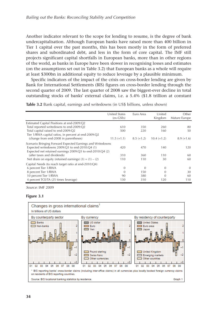Another indicator relevant to the scope for lending to resume, is the degree of bank undercapitalisation. Although European banks have raised more than 400 billion in Tier 1 capital over the past months, this has been mostly in the form of preferred shares and subordinated debt, and less in the form of core capital. The IMF still projects significant capital shortfalls in European banks, more than in other regions of the world, as banks in Europe have been slower in recognising losses and estimates (on the assumptions set out in Table 3.2) that European banks as a whole will require at least \$300bn in additional equity to reduce leverage by a plausible minimum.

Specific indicators of the impact of the crisis on cross-border lending are given by Bank for International Settlements (BIS) figures on cross-border lending through the second quarter of 2009. The last quarter of 2008 saw the biggest-ever decline in total outstanding stocks of banks' external claims, i.e. a 5.4% (\$1.8 trillion at constant

**Table 3.2** Bank capital, earnings and writedowns (in US\$ billions, unless shown)

|                                                            | <b>United States</b><br>$(ex-GSEs)$ | Euro Area    | United<br>Kingdom | Other<br>Mature Europe |
|------------------------------------------------------------|-------------------------------------|--------------|-------------------|------------------------|
| Estimated Capital Positions at end-2009:Q2                 |                                     |              |                   |                        |
| Total reported writedowns to end-2009:Q2                   | 610                                 | 350          | 260               | 80                     |
| Total capital raised to end-2009:Q2                        | 500                                 | 220          | 160               | 50                     |
| Tier 1/RWA capital ratios, in percent at end-2009:Q2       |                                     |              |                   |                        |
| (change from end-2008 in parentheses)                      | $11.5 (+1.1)$                       | $8.5 (+1.2)$ | $10.4 (+1.2)$     | $8.9 (+1.6)$           |
| Scenario Bringing Forward Expected Earnings and Writedowns |                                     |              |                   |                        |
| Expected writedowns 2009:Q3 to end-2010:Q4 (1)             | 420                                 | 470          | 140               | 120                    |
| Expected net retained earnings 2009:Q3 to end-2010:Q4 (2)  |                                     |              |                   |                        |
| (after taxes and dividends)                                | 310                                 | 360          | 110               | 60                     |
| Net drain on equity (retained earnings) $(3) = (1) - (2)$  | 110                                 | 110          | 30                | 60                     |
| Capital Needs (to reach target ratio at end-2010:Q4)       |                                     |              |                   |                        |
| 6 percent Tier 1/RWA                                       | $\theta$                            | $\Omega$     | $\Omega$          | $\Omega$               |
| 8 percent Tier 1/RWA                                       | $\Omega$                            | 150          |                   | 30                     |
| 10 percent Tier 1/RWA                                      | 90                                  | 380          |                   | 60                     |
| 4 percent TCE/TA (25 times leverage)                       | 130                                 | 310          | 120               | 110                    |

Source: IMF 2009

#### **Figure 3.1**

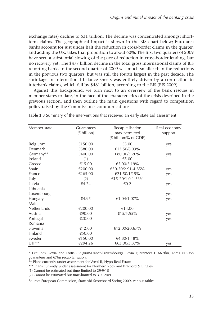exchange rates) decline to \$31 trillion. The decline was concentrated amongst shortterm claims. The geographical impact is shown in the BIS chart below; Euro area banks account for just under half the reduction in cross-border claims in the quarter, and adding the UK, takes that proportion to about 60%. The first two quarters of 2009 have seen a substantial slowing of the pace of reduction in cross-border lending, but no recovery yet. The \$477 billion decline in the total gross international claims of BIS reporting banks in the second quarter of 2009 was much smaller than the reductions in the previous two quarters, but was still the fourth largest in the past decade. The shrinkage in international balance sheets was entirely driven by a contraction in interbank claims, which fell by \$481 billion, according to the BIS (BIS 2009).

Against this background, we turn next to an overview of the bank rescues in member states to date, in the face of the characteristics of the crisis described in the previous section, and then outline the main questions with regard to competition policy raised by the Commission's communications.

| Member state | Guarantees    | Recapitalisation     | Real economy |
|--------------|---------------|----------------------|--------------|
|              | $(E$ billion) | max permitted        | support      |
|              |               | (€ billion/% of GDP) |              |
| Belgium*     | €150.00       | €5.00                | yes          |
| Denmark      | €580.00       | €13.50/6.03%         |              |
| Germany**    | €400.00       | €80.00/3.26%         | yes          |
| Ireland      | (1)           | €5.00                |              |
| Greece       | €15.00        | €5.00/2.19%          |              |
| Spain        | €200.00       | €30-50/2.91-4.85%    | yes          |
| France       | €265.00       | €21.50/1/15%         | yes          |
| Italy        | (2)           | €15-20/1.0-1.33%     |              |
| Latvia       | €4.24         | €0.2                 | yes          |
| Lithuania    |               |                      |              |
| Luxembourg   |               |                      | yes          |
| Hungary      | €4.95         | €1.04/1.07%          | yes          |
| Malta        |               |                      |              |
| Netherlands  | €200.00       | €14.00               |              |
| Austria      | €90.00        | €15/5.55%            | yes          |
| Portugal     | €20.00        |                      | yes          |
| Romania      |               |                      |              |
| Slovenia     | €12.00        | €12.00/20.67%        |              |
| Finland      | €50.00        |                      |              |
| Sweden       | €150.00       | €4.80/1.48%          |              |
| $UK***$      | €294.26       | €63.00/3.37%         | yes          |

**Table 3.3** Summary of the interventions that received an early state aid assessment

\* Excludes Dexia and Fortis (Belgium/France/Luxembourg) Dexia guarantees €166.9bn, Fortis €150bn guarantees and €7bn recapitalisation.

\*\* Plans currently under assessment for WestLB, Hypo Real Estate

\*\*\* Plans currently under assessment for Northern Rock and Bradford & Bingley

(1) Cannot be estimated but time-limited to 29/9/10

(2) Cannot be estimated but time-limited to 31/12/09

Source: European Commission, State Aid Scoreboard Spring 2009, various tables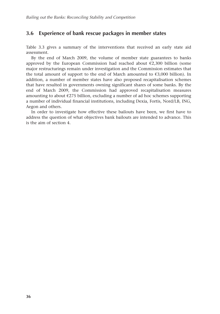## **3.6 Experience of bank rescue packages in member states**

Table 3.3 gives a summary of the interventions that received an early state aid assessment.

By the end of March 2009, the volume of member state guarantees to banks approved by the European Commission had reached about  $\epsilon$ 2,300 billion (some major restructurings remain under investigation and the Commission estimates that the total amount of support to the end of March amounted to  $\epsilon$ 3,000 billion). In addition, a number of member states have also proposed recapitalisation schemes that have resulted in governments owning significant shares of some banks. By the end of March 2009, the Commission had approved recapitalisation measures amounting to about  $\epsilon$ 275 billion, excluding a number of ad hoc schemes supporting a number of individual financial institutions, including Dexia, Fortis, Nord/LB, ING, Aegon and others.

In order to investigate how effective these bailouts have been, we first have to address the question of what objectives bank bailouts are intended to advance. This is the aim of section 4.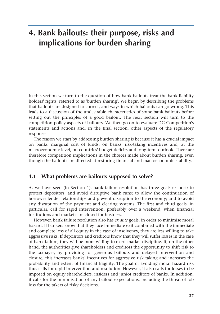# **4. Bank bailouts: their purpose, risks and implications for burden sharing**

In this section we turn to the question of how bank bailouts treat the bank liability holders' rights, referred to as 'burden sharing'. We begin by describing the problems that bailouts are designed to correct, and ways in which bailouts can go wrong. This leads to a discussion of the undesirable characteristics of some bank bailouts before setting out the principles of a good bailout. The next section will turn to the competition policy aspects of bailouts. We then go on to evaluate DG Competition's statements and actions and, in the final section, other aspects of the regulatory response.

The reason we start by addressing burden sharing is because it has a crucial impact on banks' marginal cost of funds, on banks' risk-taking incentives and, at the macroeconomic level, on countries' budget deficits and long-term outlook. There are therefore competition implications in the choices made about burden sharing, even though the bailouts are directed at restoring financial and macroeconomic stability.

#### **4.1 What problems are bailouts supposed to solve?**

As we have seen (in Section 1), bank failure resolution has three goals ex post: to protect depositors, and avoid disruptive bank runs; to allow the continuation of borrower-lender relationships and prevent disruption to the economy; and to avoid any disruption of the payment and clearing systems. The first and third goals, in particular, call for rapid intervention, preferably over a weekend, when financial institutions and markets are closed for business.

However, bank failure resolution also has *ex ante* goals, in order to minimise moral hazard. If bankers know that they face immediate exit combined with the immediate and complete loss of all equity in the case of insolvency, they are less willing to take aggressive risks. If depositors and creditors know that they will suffer losses in the case of bank failure, they will be more willing to exert market discipline. If, on the other hand, the authorities give shareholders and creditors the opportunity to shift risk to the taxpayer, by providing for generous bailouts and delayed intervention and closure, this increases banks' incentives for aggressive risk taking and increases the probability and extent of financial fragility. The goal of avoiding moral hazard risk thus calls for rapid intervention and resolution. However, it also calls for losses to be imposed on equity shareholders, insiders and junior creditors of banks. In addition, it calls for the minimisation of any bailout expectations, including the threat of job loss for the takers of risky decisions.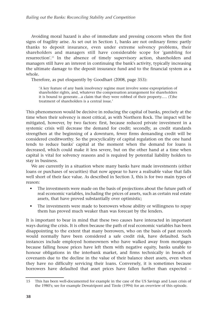Avoiding moral hazard is also of immediate and pressing concern when the first signs of fragility arise. As set out in Section 1, banks are not ordinary firms: partly thanks to deposit insurance, even under extreme solvency problems, their shareholders and managers still have considerable scope for 'gambling for resurrection'.15 In the absence of timely supervisory action, shareholders and managers still have an interest in continuing the bank's activity, typically increasing the ultimate damage to the deposit insurance fund and to the financial system as a whole.

Therefore, as put eloquently by Goodhart (2008, page 353):

'A key feature of any bank insolvency regime must involve some expropriation of shareholder rights, and, whatever the compensation arrangement for shareholders it is bound to generate…a claim that they were robbed of their property..… (T)he treatment of shareholders is a central issue.'

This phenomenon would be decisive in reducing the capital of banks, precisely at the time when their solvency is most critical, as with Northern Rock. The impact will be mitigated, however, by two factors: first, because reduced private investment in a systemic crisis will decrease the demand for credit; secondly, as credit standards strengthen at the beginning of a downturn, fewer firms demanding credit will be considered creditworthy. So the procyclicality of capital regulation on the one hand tends to reduce banks' capital at the moment when the demand for loans is decreased, which could make it less severe, but on the other hand at a time when capital is vital for solvency reasons and is required by potential liability holders to stay in business.

We are currently in a situation where many banks have made investments (either loans or purchases of securities) that now appear to have a realisable value that falls well short of their face value. As described in Section 3, this is for two main types of reason:

- The investments were made on the basis of projections about the future path of real economic variables, including the prices of assets, such as certain real estate assets, that have proved substantially over optimistic;
- The investments were made to borrowers whose ability or willingness to repay them has proved much weaker than was forecast by the lenders.

It is important to bear in mind that these two causes have interacted in important ways during the crisis. It is often because the path of real economic variables has been disappointing to the extent that many borrowers, who on the basis of past records would normally have been considered a safe credit risk, have defaulted. Such instances include employed homeowners who have walked away from mortgages because falling house prices have left them with negative equity, banks unable to honour obligations in the interbank market, and firms technically in breach of covenants due to the decline in the value of their balance sheet assets, even when they have no difficulty servicing their loans. Conversely, it is sometimes because borrowers have defaulted that asset prices have fallen further than expected –

<sup>15</sup> This has been well-documented for example in the case of the US Savings and Loan crisis of the 1980's; see for example Dewatripont and Tirole (1994) for an overview of this episode.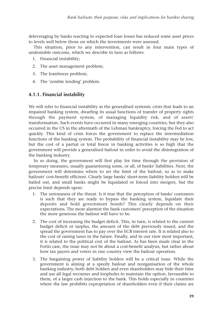deleveraging by banks reacting to expected loan losses has reduced some asset prices to levels well below those on which the investments were assessed.

This situation, prior to any intervention, can result in four main types of undesirable outcome, which we describe in turn as follows:

- 1. Financial instability;
- 2. The asset management problem;
- 3. The loanfreeze problem;
- 4. The 'zombie lending' problem.

#### **4.1.1. Financial instability**

We will refer to financial instability as the generalised systemic crisis that leads to an impaired banking system, dwarfing its usual functions of transfer of property rights through the payment system, of managing liquidity risk, and of assets' transformation. Such events have occurred in many emerging countries, but they also occurred in the US in the aftermath of the Lehman bankruptcy, forcing the Fed to act quickly. This kind of crisis forces the government to replace the intermediation functions of the banking system. The probability of financial instability may be low, but the cost of a partial or total freeze in banking activities is so high that the government will provide a generalised bailout in order to avoid the disintegration of the banking industry.

In so doing, the government will first play for time through the provision of temporary measures, usually guaranteeing some, or all, of banks' liabilities. Next, the government will determine where to set the limit of the bailout, so as to make bailouts' cost-benefit efficient. Clearly large banks' short-term liability holders will be bailed out, and small banks might be liquidated or forced into mergers, but the precise limit depends upon:

- 1. The seriousness of the threat. Is it true that the perception of banks' customers is such that they are ready to bypass the banking system, liquidate their deposits and hold government bonds? This clearly depends on their expectations. The more alarmist the bank customers' perception of the situation the more generous the bailout will have to be.
- 2. The cost of increasing the budget deficit. This, in turn, is related to the current budget deficit or surplus, the amount of the debt previously issued, and the spread the government has to pay over the ECB interest rate. It is related also to the cost of raising taxes in the future. Finally, and in our view most important, it is related to the political cost of the bailout. As has been made clear in the Fortis case, the issue may not be about a cost-benefit analysis, but rather about how tax payers and voters in one country view the bailout operation.
- 3. The bargaining power of liability holders will be a critical issue. While the government is aiming at a speedy bailout and reorganisation of the whole banking industry, both debt holders and even shareholders may bide their time and use all legal recourses and loopholes to maintain the option, favourable to them, of a larger cash injection to the bank. This holds especially in countries where the law prohibits expropriation of shareholders even if their claims are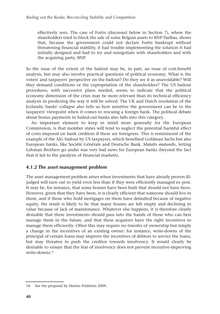effectively zero. The case of Fortis (discussed below in Section 7), where the shareholders tried to block the sale of some Belgian assets to BNP Paribas, shows that, because the government could not declare Fortis bankrupt without threatening financial stability, it had trouble implementing the solution it had initially designed and had to try and renegotiate with shareholders and with the acquiring party, BNP.

So the issue of the extent of the bailout may be, in part, an issue of cost-benefit analysis, but may also involve practical questions of political economy. What is the voters' and taxpayers' perspective on the bailout? Do they see it as unavoidable? Will they demand conditions or the expropriation of the shareholders? The US bailout procedures, with successive plans needed, seems to indicate that the political economy dimension of the crisis may be more relevant than its technical efficiency analysis in predicting the way it will be solved. The UK and Dutch resolution of the Icelandic banks' collapse also tells us how sensitive the government can be to the taxpayers' viewpoint when it comes to rescuing a foreign bank. The political debate about bonus payments in bailed-out banks also falls into this category.

An important element to keep in mind more generally for the European Commission, is that member states will tend to neglect the potential harmful effect of costs imposed on bank creditors if these are foreigners. This is reminiscent of the example of the AIG bailout by US taxpayers, which benefited Goldman Sachs but also European banks, like Société Générale and Deutsche Bank. *Mutatis mutandis*, letting Lehman Brothers go under was very bad news for European banks (beyond the fact that it led to the paralysis of financial markets).

### **4.1.2 The asset management problem**

The asset management problem arises when investments that have already proven illjudged will turn out to yield even less than if they were efficiently managed ex post. It may be, for instance, that some houses have been built that should not have been. However, given that they have been, it is clearly efficient that someone should live in them, and if those who hold mortgages on them have defaulted because of negative equity, the result is likely to be that many houses are left empty and declining in value because of lack of maintenance. Whatever else happens, it is therefore clearly desirable that these investments should pass into the hands of those who can best manage them in the future, and that these acquirers have the right incentives to manage them efficiently. Often this may require no transfer of ownership but simply a change in the incentives of an existing owner: for instance, write-downs of the principal of certain loans may improve the incentives of debtors to service the loans, but may threaten to push the creditor towards insolvency. It would clearly be desirable to ensure that the fear of insolvency does not prevent incentive-improving write-downs<sup>16</sup>

<sup>16</sup> See the proposal by Martin Feldstein 2009.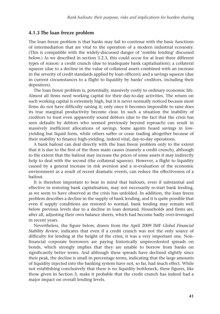#### **4.1.3 The loan freeze problem**

The loan freeze problem is that banks may fail to continue with the basic functions of intermediation that are vital to the operation of a modern industrial economy. (This is compatible with the widely-discussed danger of 'zombie lending' discussed below.) As we described in section 3.2.3, this could occur for at least three different types of reason: a credit crunch (due to inadequate bank capitalisation); a collateral squeeze (due to a decline in the value of collateral assets combined with an increase in the severity of credit standards applied by loan officers); and a savings squeeze (due in current circumstances to a flight to liquidity by banks' creditors, including their depositors).

The loan freeze problem is, potentially, massively costly to ordinary economic life. Almost all firms need working capital for their day-to-day activities. The return on such working capital is extremely high, but it is never normally noticed because most firms do not have difficulty raising it; only once it becomes impossible to raise does its true marginal productivity become clear. In such a situation the inability of creditors to trust even apparently sound debtors (due to the fact that the crisis has seen defaults by debtors who seemed previously beyond reproach) can result in massively inefficient allocations of savings. Some agents hoard savings in lowyielding but liquid form, while others suffer or cease trading altogether because of their inability to finance high-yielding, indeed vital, day-to-day operations.

A bank bailout can deal directly with the loan freeze problem only to the extent that it is due to the first of the three main causes (namely a credit crunch), although to the extent that the bailout may increase the prices of some assets it may indirectly help to deal with the second (the collateral squeeze). However, a flight to liquidity caused by a general increase in risk aversion and a re-evaluation of the economic environment as a result of recent dramatic events, can reduce the effectiveness of a bailout.

It is therefore important to bear in mind that bailouts, even if substantial and effective in restoring bank capitalisation, may not necessarily re-start bank lending, as we seem to have observed as the crisis has unfolded. In addition, the loan freeze problem describes a decline in the supply of bank lending, and it is quite possible that even if supply conditions are restored to normal, bank lending may remain well below previous levels due to a decline in loan demand. Households and firms are, after all, adjusting their own balance sheets, which had become badly over-leveraged in recent years.

Nevertheless, the figure below, drawn from the April 2009 IMF *Global Financial Stability Review*, indicates that even if a credit crunch was not the only source of difficulty for lending at the height of the crisis, it was a very important one. Nonfinancial corporate borrowers are paying historically unprecedented spreads on bonds, which strongly implies that they are unable to borrow from banks on significantly better terms. And although these spreads have declined slightly since their peak, the decline is small in percentage terms, indicating that the large amounts of liquidity injected into the banking system have not, so far, had much effect. While not establishing conclusively that there is no liquidity bottleneck, these figures, like those given in Section 3, make it probable that the credit crunch has indeed had a major impact on overall lending levels.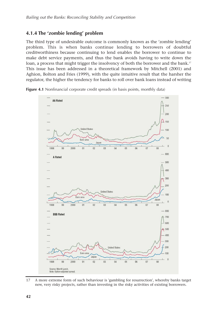## **4.1.4 The 'zombie lending' problem**

The third type of undesirable outcome is commonly known as the 'zombie lending' problem. This is when banks continue lending to borrowers of doubtful creditworthiness because continuing to lend enables the borrower to continue to make debt service payments, and thus the bank avoids having to write down the loan, a process that might trigger the insolvency of both the borrower and the bank.<sup>17</sup> This issue has been addressed in a theoretical framework by Mitchell (2001) and Aghion, Bolton and Fries (1999), with the quite intuitive result that the harsher the regulator, the higher the tendency for banks to roll over bank loans instead of writing



**Figure 4.1** Nonfinancial corporate credit spreads (in basis points, monthly data)



<sup>17</sup> A more extreme form of such behaviour is 'gambling for resurrection', whereby banks target new, very risky projects, rather than investing in the risky activities of existing borrowers.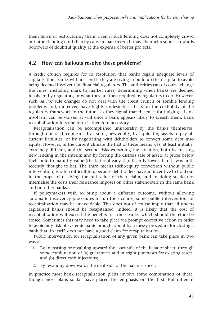them down or restructuring them. Even if such lending does not completely crowd out other lending (and thereby cause a loan freeze) it may channel resources towards borrowers of doubtful quality at the expense of better projects.

## **4.2 How can bailouts resolve these problems?**

A credit crunch requires for its resolution that banks regain adequate levels of capitalisation. Banks will not lend if they are trying to build up their capital to avoid being deemed insolvent by financial regulators. The authorities can of course change the rules (including mark to market rules) determining when banks are deemed insolvent by regulators, or what they are then required by regulators to do. However, such *ad hoc* rule changes do not deal with the credit crunch or zombie lending problems and, moreover, have highly undesirable effects on the credibility of the regulatory framework in the future, as they signal that the rules for judging a bank insolvent can be waived at will once a bank appears likely to breach them. Bank recapitalisation in some form is therefore necessary.

Recapitalisation can be accomplished unilaterally by the banks themselves, through one of three means: by issuing new equity; by liquidating assets to pay off current liabilities; or by negotiating with debtholders to convert some debt into equity. However, in the current climate the first of these means was, at least initially, extremely difficult, and the second risks worsening the situation, both by freezing new lending in the interim and by forcing the distress sale of assets at prices below their hold-to-maturity value (the latter already significantly lower than it was until recently thought to be). The third means (debt-equity conversion without public intervention) is often difficult too, because debtholders have an incentive to hold out in the hope of receiving the full value of their claim, and in doing so do not internalise the costs their resistance imposes on other stakeholders in the same bank and on other banks.

If policymakers wish to bring about a different outcome, without allowing automatic insolvency procedures to run their course, some public intervention for recapitalisation may be unavoidable. This does not of course imply that all undercapitalised banks should be recapitalised; indeed, it is likely that the cost of recapitalisation will exceed the benefits for some banks, which should therefore be closed. Sometimes this may need to take place via prompt corrective action in order to avoid any risk of systemic panic brought about by a messy procedure for closing a bank that, in itself, does not have a good claim for recapitalisation.

Public intervention for recapitalisation of any given bank can take place in two ways:

- 1. By increasing or revaluing upward the asset side of the balance sheet, through some combination of (a) guarantees and outright purchases for existing assets, and (b) direct cash injections;
- 2. By revaluing downwards the debt side of the balance sheet.

In practice most bank recapitalisation plans involve some combination of these, though most plans so far have placed the emphasis on the first. But different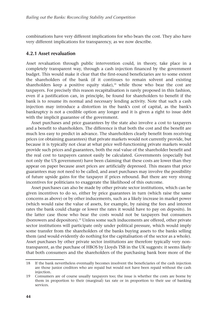combinations have very different implications for who bears the cost. They also have very different implications for transparency, as we now describe.

#### **4.2.1 Asset revaluation**

Asset revaluation through public intervention could, in theory, take place in a completely transparent way, through a cash injection financed by the government budget. This would make it clear that the first-round beneficiaries are to some extent the shareholders of the bank (if it continues to remain solvent and existing shareholders keep a positive equity stake), $18$  while those who bear the cost are taxpayers. For precisely this reason recapitalisation is rarely proposed in this fashion, even if a justification can, in principle, be found for shareholders to benefit if the bank is to resume its normal and necessary lending activity. Note that such a cash injection may introduce a distortion in the bank's cost of capital, as the bank's bankruptcy is not a credible option any longer and it is given a right to issue debt with the implicit guarantee of the government.

Asset purchases and price guarantees by the state also involve a cost to taxpayers and a benefit to shareholders. The difference is that both the cost and the benefit are much less easy to predict in advance. The shareholders clearly benefit from receiving prices (or obtaining guarantees) that private markets would not currently provide, but because it is typically not clear at what price well-functioning private markets would provide such prices and guarantees, both the real value of the shareholder benefit and the real cost to taxpayers cannot easily be calculated. Governments (especially but not only the US government) have been claiming that these costs are lower than they appear on paper because asset prices are artificially depressed. This means that price guarantees may not need to be called, and asset purchases may involve the possibility of future upside gains for the taxpayer if prices rebound. But there are very strong incentives for politicians to exaggerate the likelihood of this outcome.

Asset purchases can also be made by other private sector institutions, which can be given incentives to do so, either by price guarantees in turn (which raise the same concerns as above) or by other inducements, such as a likely increase in market power (which would raise the value of assets, for example, by raising the fees and interest rates the bank could charge or lower the rates it would have to pay on deposits). In the latter case those who bear the costs would not be taxpayers but consumers (borrowers and depositors).19 Unless some such inducements are offered, other private sector institutions will participate only under political pressure, which would imply some transfer from the shareholders of the banks buying assets to the banks selling them (and would evidently do nothing for the capitalisation of the sector as a whole). Asset purchases by other private sector institutions are therefore typically very nontransparent, as the purchase of HBOS by Lloyds TSB in the UK suggests: it seems likely that both consumers and the shareholders of the purchasing bank bore more of the

<sup>18</sup> If the bank nevertheless eventually becomes insolvent the beneficiaries of the cash injection are those junior creditors who are repaid but would not have been repaid without the cash injection.

<sup>19</sup> Consumers are of course usually taxpayers too; the issue is whether the costs are borne by them in proportion to their (marginal) tax rate or in proportion to their use of banking services.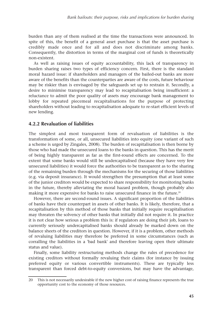burden than any of them realised at the time the transactions were announced. In spite of this, the benefit of a general asset purchase is that the asset purchase is credibly made once and for all and does not discriminate among banks. Consequently, the distortion in terms of the marginal cost of funds is theoretically non-existent.

As well as raising issues of equity accountability, this lack of transparency in burden sharing raises two types of efficiency concern. First, there is the standard moral hazard issue: if shareholders and managers of the bailed-out banks are more aware of the benefits than the counterparties are aware of the costs, future behaviour may be riskier than is envisaged by the safeguards set up to restrain it. Secondly, a desire to minimise transparency may lead to recapitalisation being insufficient: a reluctance to admit the poor quality of assets may encourage bank management to lobby for repeated piecemeal recapitalisations for the purpose of protecting shareholders without leading to recapitalisation adequate to re-start efficient levels of new lending.

#### **4.2.2 Revaluation of liabilities**

The simplest and most transparent form of revaluation of liabilities is the transformation of some, or all, unsecured liabilities into equity (one variant of such a scheme is urged by Zingales, 2008). The burden of recapitalisation is then borne by those who had made the unsecured loans to the banks in question. This has the merit of being highly transparent as far as the first-round effects are concerned. To the extent that some banks would still be undercapitalised (because they have very few unsecured liabilities) it would force the authorities to be transparent as to the sharing of the remaining burden through the mechanisms for the securing of those liabilities (e.g. via deposit insurance). It would strengthen the presumption that at least some of the junior creditors would be expected to share responsibility for monitoring banks in the future, thereby alleviating the moral hazard problem, though probably also making it more expensive for banks to raise unsecured finance in the future.<sup>20</sup>

However, there are second-round issues. A significant proportion of the liabilities of banks have their counterpart in assets of other banks. It is likely, therefore, that a recapitalisation by this method of those banks that initially require recapitalisation may threaten the solvency of other banks that initially did not require it. In practice it is not clear how serious a problem this is: if regulators are doing their job, loans to currently seriously undercapitalised banks should already be marked down on the balance sheets of the creditors in question. However, if it is a problem, other methods of revaluing liabilities may therefore be preferred in some circumstances (such as corralling the liabilities in a 'bad bank' and therefore leaving open their ultimate status and value).

Finally, some liability restructuring methods change the rules of precedence for existing creditors without formally revaluing their claims (for instance by issuing preferred equity or various convertible instruments). These are typically less transparent than forced debt-to-equity conversions, but may have the advantage,

<sup>20</sup> This is not necessarily undesirable if the new higher cost of raising finance represents the true opportunity cost to the economy of those resources.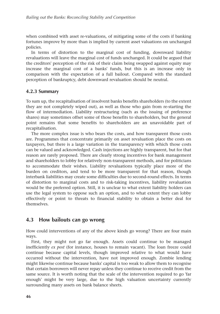when combined with asset re-valuations, of mitigating some of the costs if banking fortunes improve by more than is implied by current asset valuations on unchanged policies.

In terms of distortion to the marginal cost of funding, downward liability revaluations will leave the marginal cost of funds unchanged. It could be argued that the creditors' perception of the risk of their claim being swapped against equity may increase the marginal cost of a banks' funds, but this is an increase only in comparison with the expectation of a full bailout. Compared with the standard perception of bankruptcy, debt downward revaluation should be neutral.

#### **4.2.3 Summary**

To sum up, the recapitalisation of insolvent banks benefits shareholders (to the extent they are not completely wiped out), as well as those who gain from re-starting the flow of intermediation. Liability restructuring (such as the issuing of preference shares) may sometimes offset some of those benefits to shareholders, but the general point remains that some benefits to shareholders are an unavoidable part of recapitalisation.

The more complex issue is who bears the costs, and how transparent those costs are. Programmes that concentrate primarily on asset revaluation place the costs on taxpayers, but there is a large variation in the transparency with which those costs can be valued and acknowledged. Cash injections are highly transparent, but for that reason are rarely proposed. There are clearly strong incentives for bank management and shareholders to lobby for relatively non-transparent methods, and for politicians to accommodate their wishes. Liability revaluations typically place more of the burden on creditors, and tend to be more transparent for that reason, though interbank liabilities may create some difficulties due to second-round effects. In terms of distortion to marginal costs and to risk-taking incentives, liability revaluation would be the preferred option. Still, it is unclear to what extent liability holders can use the legal system to oppose such an option, and to what extent they can lobby effectively or point to threats to financial stability to obtain a better deal for themselves.

### **4.3 How bailouts can go wrong**

How could interventions of any of the above kinds go wrong? There are four main ways.

First, they might not go far enough. Assets could continue to be managed inefficiently *ex post* (for instance, houses to remain vacant). The loan freeze could continue because capital levels, though improved relative to what would have occurred without the intervention, have not improved enough. Zombie lending might likewise continue because banks' capital is too weak to allow them to recognise that certain borrowers will never repay unless they continue to receive credit from the same source. It is worth noting that the scale of the intervention required to go 'far enough' might be very large, due to the high valuation uncertainty currently surrounding many assets on bank balance sheets.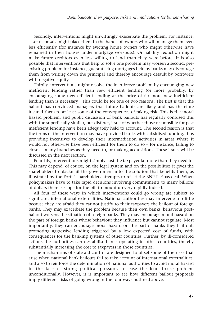Secondly, interventions might unwittingly exacerbate the problem. For instance, asset disposals might place them in the hands of owners who will manage them even less efficiently (for instance by evicting house owners who might otherwise have remained in their houses under mortgage workouts). Or liability reduction might make future creditors even less willing to lend than they were before. It is also possible that interventions that help to solve one problem may worsen a second, preexisting problem: for instance, guaranteeing mortgages held by banks may discourage them from writing down the principal and thereby encourage default by borrowers with negative equity.

Thirdly, interventions might resolve the loan freeze problem by encouraging new inefficient lending rather than new efficient lending (or more probably, by encouraging some new efficient lending at the price of far more new inefficient lending than is necessary). This could be for one of two reasons. The first is that the bailout has convinced managers that future bailouts are likely and has therefore insured them to at least some of the consequences of taking risk. This is the moral hazard problem, and public discussion of bank bailouts has regularly confused this with the superficially similar, but distinct, issue of whether those responsible for past inefficient lending have been adequately held to account. The second reason is that the terms of the intervention may have provided banks with subsidised funding, thus providing incentives to develop their intermediation activities in areas where it would not otherwise have been efficient for them to do so – for instance, failing to close as many branches as they need to, or making acquisitions. These issues will be discussed in the next section.

Fourthly, interventions might simply cost the taxpayer far more than they need to. This may depend, of course, on the legal system and on the possibilities it gives the shareholders to blackmail the government into the solution that benefits them, as illustrated by the Fortis' shareholders attempts to reject the BNP Paribas deal. When policymakers have to take rapid decisions involving commitments to many billions of dollars there is scope for the bill to mount up very rapidly indeed.

All four of these ways in which interventions could go wrong are subject to significant international externalities. National authorities may intervene too little because they are afraid they cannot justify to their taxpayers the bailout of foreign banks. They may exacerbate the problem because their own banks' behaviour postbailout worsens the situation of foreign banks. They may encourage moral hazard on the part of foreign banks whose behaviour they influence but cannot regulate. Most importantly, they can encourage moral hazard on the part of banks they bail out, promoting aggressive lending triggered by a low expected cost of funds, with consequences for the banking systems of other countries. Further, by ill-considered actions the authorities can destabilise banks operating in other countries, thereby substantially increasing the cost to taxpayers in those countries.

The mechanisms of state aid control are designed to offset some of the risks that arise when national bank bailouts fail to take account of international externalities, and also to reinforce the determination of national authorities to avoid moral hazard in the face of strong political pressures to ease the loan freeze problem unconditionally. However, it is important to see how different bailout proposals imply different risks of going wrong in the four ways outlined above.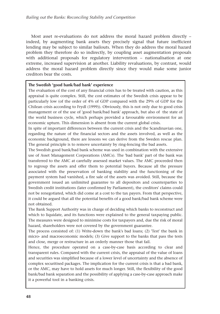Most asset re-evaluations do not address the moral hazard problem directly – indeed, by augmenting bank assets they precisely signal that future inefficient lending may be subject to similar bailouts. When they do address the moral hazard problem they therefore do so indirectly, by coupling asset augmentation proposals with additional proposals for regulatory intervention – nationalisation at one extreme, increased supervision at another. Liability revaluations, by contrast, would address the moral hazard problem directly since they would make some junior creditors bear the costs.

#### **The Swedish 'good bank/bad bank' experience**

The evaluation of the cost of any financial crisis has to be treated with caution, as this appraisal is quite complex. Still, the cost estimates of the Swedish crisis appear to be particularly low (of the order of 4% of GDP compared with the 29% of GDP for the Chilean crisis according to Frydl (1999)). Obviously, this is not only due to good crisis management or of the use of 'good bank/bad bank' approach, but also of the state of the world business cycle, which perhaps provided a favourable environment for an economic upturn. This dimension is absent from the current global crisis.

In spite of important differences between the current crisis and the Scandinavian one, regarding the nature of the financial sectors and the assets involved, as well as the economic background, there are lessons we can derive from the Sweden rescue plan. The general principle is to remove uncertainty by ring-fencing the bad assets.

The Swedish good bank/bad bank scheme was used in combination with the extensive use of Asset Management Corporations (AMCs). The 'bad bank' part of the bank was transferred to the AMC at carefully assessed market values. The AMC proceeded then to regroup the assets and offer them to potential buyers. Because all the pressure associated with the preservation of banking stability and the functioning of the payment system had vanished, a fire sale of the assets was avoided. Still, because the government issued an unlimited guarantee to all depositors and counterparties to Swedish credit institutions (later confirmed by Parliament), the creditors' claims could not be renegotiated, which did come at a cost to the tax payers. From that perspective, it could be argued that all the potential benefits of a good bank/bad bank scheme were not obtained.

The Bank Support Authority was in charge of deciding which banks to reconstruct and which to liquidate, and its functions were explained to the general taxpaying public. The measures were designed to minimise costs for taxpayers and, due the risk of moral hazard, shareholders were not covered by the government guarantee.

The process consisted of: (1) Write-down the bank's bad loans; (2) 'Test' the bank in micro- and macroeconomic models; (3) Give support to the banks that pass the tests and close, merge or restructure in an orderly manner those that fail.

Hence, the procedure operated on a case-by-case basis according to clear and transparent rules. Compared with the current crisis, the appraisal of the value of loans and securities was simplified because of a lower level of uncertainty and the absence of complex securitised packages. The implication for the current crisis is that a bad bank, or the AMC, may have to hold assets for much longer. Still, the flexibility of the good bank/bad bank separation and the possibility of applying a case-by-case approach make it a powerful tool in a banking crisis.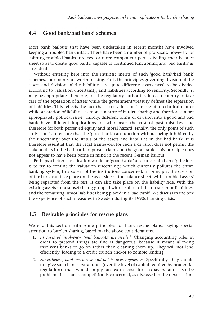## **4.4 'Good bank/bad bank' schemes**

Most bank bailouts that have been undertaken in recent months have involved keeping a troubled bank intact. There have been a number of proposals, however, for splitting troubled banks into two or more component parts, dividing their balance sheet so as to create 'good banks' capable of continued functioning and 'bad banks' as a residual.

Without entering here into the intrinsic merits of such 'good bank/bad bank' schemes, four points are worth making. First, the principles governing division of the assets and division of the liabilities are quite different: assets need to be divided according to valuation uncertainty, and liabilities according to seniority. Secondly, it may be appropriate, therefore, for the regulatory authorities in each country to take care of the separation of assets while the government/treasury defines the separation of liabilities. This reflects the fact that asset valuation is more of a technical matter while separation of liabilities is more a matter of burden sharing and therefore a more appropriately political issue. Thirdly, different forms of division into a good and bad bank have different implications for who bears the cost of past mistakes, and therefore for both perceived equity and moral hazard. Finally, the only point of such a division is to ensure that the 'good bank' can function without being inhibited by the uncertainty over the status of the assets and liabilities in the bad bank. It is therefore essential that the legal framework for such a division does not permit the stakeholders in the bad bank to pursue claims on the good bank. This principle does not appear to have been borne in mind in the recent German bailout.

Perhaps a better classification would be 'good banks' and 'uncertain banks'; the idea is to try to confine the valuation uncertainty, which currently pollutes the entire banking system, to a subset of the institutions concerned. In principle, the division of the bank can take place on the asset side of the balance sheet, with 'troubled assets' being separated from the rest. It can also take place on the liability side, with the existing assets (or a subset) being grouped with a subset of the most senior liabilities, and the remaining junior liabilities being placed in a 'bad bank'. We discuss in the box the experience of such measures in Sweden during its 1990s banking crisis.

## **4.5 Desirable principles for rescue plans**

We end this section with some principles for bank rescue plans, paying special attention to burden sharing, based on the above considerations.

- 1. *In cases of insolvency, 'real bailouts' are needed*. Changing accounting rules in order to pretend things are fine is dangerous, because it means allowing insolvent banks to go on rather than cleaning them up. They will not lend efficiently, leading to a credit crunch and/or to zombie lending.
- 2. *Nevertheless, bank rescues should not be overly generous*. Specifically, they should not give such banks extra funds (over the level of capital required by prudential regulation) that would imply an extra cost for taxpayers and also be problematic as far as competition is concerned, as discussed in the next section.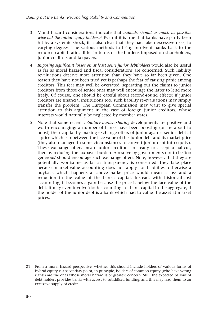- 3. Moral hazard considerations indicate that *bailouts should as much as possible wipe out the initial equity holders*. <sup>21</sup> Even if it is true that banks have partly been hit by a systemic shock, it is also clear that they had taken excessive risks, to varying degrees. The various methods to bring insolvent banks back to the required capital ratios differ in terms of the burdens imposed on shareholders, junior creditors and taxpayers.
- 4. *Imposing significant losses on at least some junior debtholders* would also be useful as far as moral hazard and fiscal considerations are concerned. Such liability revaluations deserve more attention than they have so far been given. One reason they have not been tried yet is perhaps the fear of causing panic among creditors. This fear may well be overrated: separating out the claims to junior creditors from those of senior ones may well encourage the latter to lend more freely. Of course, one should be careful about second-round effects: if junior creditors are financial institutions too, such liability re-evaluations may simply transfer the problem. The European Commission may want to give special attention to this argument in the case of foreign junior creditors, whose interests would naturally be neglected by member states.
- 5. Note that some recent *voluntary burden-sharing* developments are positive and worth encouraging: a number of banks have been boosting (or are about to boost) their capital by making exchange offers of junior against senior debt at a price which is inbetween the face value of this junior debt and its market price (they also managed in some circumstances to convert junior debt into equity). These exchange offers mean junior creditors are ready to accept a haircut, thereby reducing the taxpayer burden. A resolve by governments not to be 'too generous' should encourage such exchange offers. Note, however, that they are potentially worrisome as far as transparency is concerned: they take place because market-value accounting does not apply for liabilities, otherwise a buyback which happens at above-market-price would mean a loss and a reduction in the value of the bank's capital. Instead, with historical-cost accounting, it becomes a gain because the price is below the face value of the debt. It may even involve 'double counting' for bank capital in the aggregate, if the holder of the junior debt is a bank which had to value the asset at market prices.

<sup>21</sup> From a moral hazard perspective, whether this should include holders of various forms of hybrid equity is a secondary point; in principle, holders of common equity (who have voting rights) are the ones whose moral hazard is of greatest concern. Still, the expected bailout of debt holders provides banks with access to subsidised funding, and this may lead them to an excessive supply of credit.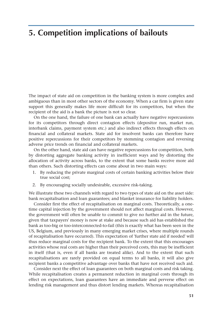# **5. Competition implications of bailouts**

The impact of state aid on competition in the banking system is more complex and ambiguous than in most other sectors of the economy. When a car firm is given state support this generally makes life more difficult for its competitors, but when the recipient of the aid is a bank the picture is not so clear.

On the one hand, the failure of one bank can actually have negative repercussions for its competitors through direct contagion effects (depositor run, market run, interbank claims, payment system etc.) and also indirect effects through effects on financial and collateral markets. State aid for insolvent banks can therefore have positive repercussions for their competitors by stemming contagion and reversing adverse price trends on financial and collateral markets.

On the other hand, state aid can have negative repercussions for competition, both by distorting aggregate banking activity in inefficient ways and by distorting the allocation of activity across banks, to the extent that some banks receive more aid than others. Such distorting effects can come about in two main ways:

- 1. By reducing the private marginal costs of certain banking activities below their true social cost;
- 2. By encouraging socially undesirable, excessive risk-taking.

We illustrate these two channels with regard to two types of state aid on the asset side: bank recapitalisation and loan guarantees; and blanket insurance for liability holders.

Consider first the effect of recapitalisation on marginal costs. Theoretically, a onetime capital injection by the government should not affect marginal costs. However, the government will often be unable to commit to give no further aid in the future, given that taxpayers' money is now at stake and because such aid has established the bank as too-big or too-interconnected-to-fail (this is exactly what has been seen in the US, Belgium, and previously in many emerging market crises, where multiple rounds of recapitalisation have occurred). This expectation of 'further state aid if needed' will thus reduce marginal costs for the recipient bank. To the extent that this encourages activities whose real costs are higher than their perceived costs, this may be inefficient in itself (that is, even if all banks are treated alike). And to the extent that such recapitalisations are rarely provided on equal terms to all banks, it will also give recipient banks a competitive advantage over banks that have not received such aid.

Consider next the effect of loan guarantees on both marginal costs and risk taking. While recapitalisation creates a permanent reduction in marginal costs through its effect on expectations, loan guarantees have an immediate and perverse effect on lending risk management and thus distort lending markets. Whereas recapitalisation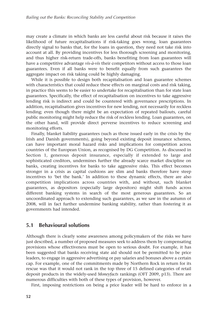may create a climate in which banks are less careful about risk because it raises the likelihood of future recapitalisations if risk-taking goes wrong, loan guarantees directly signal to banks that, for the loans in question, they need not take risk into account at all. By providing incentives for less thorough screening and monitoring, and thus higher risk-return trade-offs, banks benefiting from loan guarantees will have a competitive advantage *vis-à-vis* their competitors without access to those loan guarantees. Even if all banks were to benefit equally from such guarantees the aggregate impact on risk taking could be highly damaging.

While it is possible to design both recapitalisation and loan guarantee schemes with characteristics that could reduce these effects on marginal costs and risk taking, in practice this seems to be easier to undertake for recapitalisation than for state loan guarantees. Specifically, the effect of recapitalisation on incentives to take aggressive lending risk is indirect and could be countered with governance prescriptions. In addition, recapitalisation gives incentives for new lending, not necessarily for reckless lending; even though there might be an expectation of repeated bailouts, careful public monitoring might help reduce the risk of reckless lending. Loan guarantees, on the other hand, will provide direct perverse incentives to reduce screening and monitoring efforts.

Finally, blanket liability guarantees (such as those issued early in the crisis by the Irish and Danish governments), going beyond existing deposit insurance schemes, can have important moral hazard risks and implications for competition across countries of the European Union, as recognised by DG Competition. As discussed in Section 1, generous deposit insurance, especially if extended to large and sophisticated creditors, undermines further the already scarce market discipline on banks, creating incentives for banks to take aggressive risks. This effect becomes stronger in a crisis as capital cushions are slim and banks therefore have steep incentives to 'bet the bank.' In addition to these dynamic effects, there are also competition implications across countries with, and without, such blanket guarantees, as depositors (especially large depositors) might shift funds across different banking systems in search of the most generous guarantees. So an uncoordinated approach to extending such guarantees, as we saw in the autumn of 2008, will in fact further undermine banking stability, rather than fostering it as governments had intended.

### **5.1 Behavioural solutions**

Although there is clearly some awareness among policymakers of the risks we have just described, a number of proposed measures seek to address them by compensating provisions whose effectiveness must be open to serious doubt. For example, it has been suggested that banks receiving state aid should not be permitted to be price leaders, to engage in aggressive advertising or pay salaries and bonuses above a certain cap. For example, one of the commitments made by Northern Rock in return for its rescue was that it would not rank in the top three of 15 defined categories of retail deposit products in the widely-used *Moneyfacts* rankings (OFT 2009, p13). There are numerous difficulties with both of these types of provision, however.

First, imposing restrictions on being a price leader will be hard to enforce in a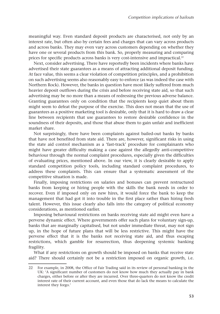meaningful way. Even standard deposit products are characterised, not only by an interest rate, but often also by certain fees and charges that can vary across products and across banks. They may even vary across customers depending on whether they have one or several products from this bank. So, properly measuring and comparing prices for specific products across banks is very cost-intensive and impractical.<sup>22</sup>

Next, consider advertising. There have reportedly been incidents where banks have advertised their state guarantees as a means of attracting additional deposit funding. At face value, this seems a clear violation of competition principles, and a prohibition on such advertising seems also reasonably easy to enforce (as was indeed the case with Northern Rock). However, the banks in question have most likely suffered from much heavier deposit outflows during the crisis and before receiving state aid, so that such advertising may be no more than a means of redressing the previous adverse balance. Granting guarantees only on condition that the recipients keep quiet about them might seem to defeat the purpose of the exercise. This does not mean that the use of guarantees as a positive marketing tool is desirable, only that it is hard to draw a clear line between recipients that use guarantees to restore desirable confidence in the soundness of their deposits, and those that abuse them to gain unfair and inefficient market share.

Not surprisingly, there have been complaints against bailed-out banks by banks that have not benefited from state aid. There are, however, significant risks in using the state aid control mechanism as a 'fast-track' procedure for complainants who might have greater difficulty making a case against the allegedly anti-competitive behaviour through the normal complaint procedures, especially given the difficulties of evaluating prices, mentioned above. In our view, it is clearly desirable to apply standard competition policy tools, including standard complaint procedures, to address these complaints. This can ensure that a systematic assessment of the competitive situation is made.

Finally, imposing restrictions on salaries and bonuses can prevent restructured banks from keeping or hiring people with the skills the bank needs in order to recover. Even if imposed only on new hires, it would force the bank to keep the management that had got it into trouble in the first place rather than hiring fresh talent. However, this issue clearly also falls into the category of political economy considerations, as mentioned earlier.

Imposing behavioural restrictions on banks receiving state aid might even have a perverse dynamic effect. Where governments offer such plans for voluntary sign-up, banks that are marginally capitalised, but not under immediate threat, may not sign up, in the hope of future plans that will be less restrictive. This might have the perverse effect that it is the banks not receiving state aid, and thus escaping restrictions, which gamble for resurrection, thus deepening systemic banking fragility.

What if any restrictions on growth should be imposed on banks that receive state aid? There should certainly not be a restriction imposed on organic growth, i.e.

<sup>22</sup> For example, in 2008, the Office of Fair Trading said in its review of personal banking in the UK: 'A significant number of customers do not know how much they actually pay in bank charges, either before or after they are incurred. Over three-quarters do not know the credit interest rate of their current account, and even those that do lack the means to calculate the interest they forgo.'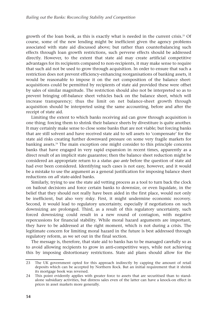growth of the loan book, as this is exactly what is needed in the current crisis.<sup>23</sup> Of course, some of the new lending might be inefficient given the agency problems associated with state aid discussed above; but rather than counterbalancing such effects through loan growth restrictions, such perverse effects should be addressed directly. However, to the extent that state aid may create artificial competitive advantages for its recipients compared to non-recipients, it may make sense to require that such aid not be used to grow through acquisition. In order to ensure that such a restriction does not prevent efficiency-enhancing reorganisations of banking assets, it would be reasonable to impose it on the net composition of the balance sheet: acquisitions could be permitted by recipients of state aid provided these were offset by sales of similar magnitude. The restriction should also not be interpreted so as to prevent bringing off-balance sheet vehicles back on the balance sheet, which will increase transparency; thus the limit on net balance-sheet growth through acquisition should be interpreted using the same accounting, before and after the receipt of state aid.

Limiting the extent to which banks receiving aid can grow through acquisition is one thing; forcing them to shrink their balance sheets by divestiture is quite another. It may certainly make sense to close some banks that are not viable; but forcing banks that are still solvent and have received state aid to sell assets to 'compensate' for the state aid risks creating further downward pressure on some very fragile markets for banking assets.24 The main exception one might consider to this principle concerns banks that have engaged in very rapid expansion in recent times, apparently as a direct result of an implicit state guarantee; then the balance sheet reduction might be considered an appropriate return to a *status quo ante* before the question of state aid had ever been considered. Identifying such cases is not easy, however, and it would be a mistake to use the argument as a general justification for imposing balance sheet reductions on *all* state-aided banks.

Similarly, trying to use the state aid vetting process as a tool to turn back the clock on bailout decisions and force certain banks to downsize, or even liquidate, in the belief that they should not really have been aided in the first place, would not only be inefficient, but also very risky. First, it might undermine economic recovery. Second, it would lead to regulatory uncertainty, especially if negotiations on such downsizing are prolonged. Third, as a result of this regulatory uncertainty, such forced downsizing could result in a new round of contagion, with negative repercussions for financial stability. While moral hazard arguments are important, they have to be addressed at the right moment, which is not during a crisis. The legitimate concern for limiting moral hazard in the future is best addressed through regulatory reform, as we set out in the final section.

The message is, therefore, that state aid to banks has to be managed carefully so as to avoid allowing recipients to grow in anti-competitive ways, while not achieving this by imposing distortionary restrictions. State aid plans should allow for the

<sup>23</sup> The UK government opted for this approach indirectly by capping the amount of retail deposits which can be accepted by Northern Rock. But an initial requirement that it shrink its mortgage book was reversed.

<sup>24</sup> This point evidently applies with greater force to assets that are securitised than to standalone subsidiary activities, but distress sales even of the latter can have a knock-on effect in prices in asset markets more generally.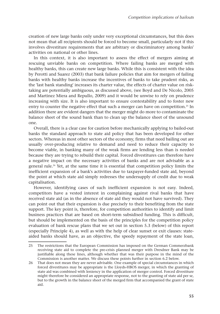creation of new large banks only under very exceptional circumstances, but this does not mean that all recipients should be forced to become small, particularly not if this involves divestiture requirements that are arbitrary or discriminatory among banks' activities on national or other lines.

In this context, it is also important to assess the effect of mergers aiming at rescuing unviable banks on competition. Where failing banks are merged with healthy banks, this can create new large banks. While this is consistent with the idea by Perotti and Suarez (2003) that bank failure policies that aim for mergers of failing banks with healthy banks increase the incentives of banks to take prudent risks, as the 'last bank standing' increases its charter value, the effects of charter value on risktaking are potentially ambiguous, as discussed above, (see Boyd and De Nicolo, 2005 and Martinez Miera and Repullo, 2009) and it would be unwise to rely on prudence increasing with size. It is also important to ensure contestability and to foster new entry to counter the negative effect that such a merger can have on competition.<sup>25</sup> In addition there are evident dangers that the merger might do more to contaminate the balance sheet of the sound bank than to clean up the balance sheet of the unsound one.

Overall, there is a clear case for caution before mechanically applying to bailed-out banks the standard approach to state aid policy that has been developed for other sectors. Whereas in most other sectors of the economy, firms that need bailing out are usually over-producing relative to demand and need to reduce their capacity to become viable, in banking many of the weak firms are lending less than is needed because they are trying to rebuild their capital. Forced divestitures can therefore have a negative impact on the necessary activities of banks and are not advisable as a general rule.<sup>26</sup> Yet, at the same time it is essential that competition policy limits the inefficient expansion of a bank's activities due to taxpayer-funded state aid, beyond the point at which state aid simply redresses the undersupply of credit due to weak capitalisation.

However, identifying cases of such inefficient expansion is not easy. Indeed, competitors have a vested interest in complaining against rival banks that have received state aid (as in the absence of state aid they would not have survived). They can point out that their expansion is due precisely to their benefiting from the state support. The key point is, therefore, for competition authorities to identify and limit business practices that are based on short-term subsidised funding. This is difficult, but should be implemented on the basis of the principles for the competition policy evaluation of bank rescue plans that we set out in section 5.3 (below) of this report (especially Principle 4), as well as with the help of clear sunset or exit clauses: stateaided banks should have, as an objective, the speedy repayment of the state loan,

<sup>25</sup> The restrictions that the European Commission has imposed on the German Commerzbank receiving state aid to complete the pre-crisis planned merger with Dresdner Bank may be justifiable along these lines, although whether that was their purpose in the mind of the Commission is another matter. We discuss these points further in section 6.2 below.

<sup>26</sup> That does not mean they are never advisable. One example of special circumstances in which forced divestitures may be appropriate is the Lloyds-HBOS merger, in which the granting of state aid was combined with leniency in the application of merger control. Forced divestiture might therefore be considered an appropriate response, not to the granting of state aid per se, but to the growth in the balance sheet of the merged firm that accompanied the grant of state aid.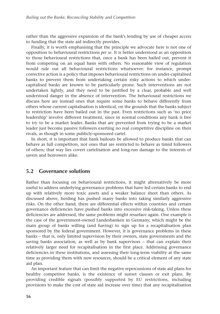rather than the aggressive expansion of the bank's lending by use of cheaper access to funding that the state aid indirectly provides.

Finally, it is worth emphasising that the principle we advocate here is not one of opposition to behavioural restrictions *per se*. It is better understood as an opposition to those behavioural restrictions that, once a bank has been bailed out, prevent it from competing on an equal basis with others. No reasonable view of regulation would rule out all behavioural restrictions whatsoever: for instance, prompt corrective action is a policy that imposes behavioural restrictions on under-capitalised banks to prevent them from undertaking certain risky actions to which undercapitalised banks are known to be particularly prone. Such interventions are not undertaken lightly, and they need to be justified by a clear, probable and well understood danger in the absence of intervention. The behavioural restrictions we discuss here are instead ones that require some banks to behave differently from others whose current capitalisation is identical, on the grounds that the banks subject to restriction have been bailed out in the past. Even restrictions such as 'no price leadership' involve different treatment, since in normal conditions any bank is free to try to be a market leader. Banks that are prevented from trying to be a market leader just become passive followers exerting no real competitive discipline on their rivals, as though in some publicly-sponsored cartel.

In short, it is important that bank bailouts be allowed to produce banks that can behave as full competitors, not ones that are restricted to behave as timid followers of others; that way lies covert cartelisation and long-run damage to the interests of savers and borrowers alike.

#### **5.2 Governance solutions**

Rather than focusing on behavioural restrictions, it might alternatively be more useful to address underlying governance problems that have led certain banks to end up with relatively more toxic assets and a weaker balance sheet than others. As discussed above, herding has pushed many banks into taking similarly aggressive risks. On the other hand, there are differential effects within countries and certain governance deficiencies have pushed banks into excessive risk-taking. Unless these deficiencies are addressed, the same problems might resurface again. One example is the case of the government-owned Landesbanken in Germany, which might be the main group of banks willing (and having) to sign up for a recapitalisation plan sponsored by the federal government. However, it is governance problems in these banks – that is, only limited supervision by their owners, state governments and the saving banks association, as well as by bank supervisors – that can explain their relatively larger need for recapitalisation in the first place. Addressing governance deficiencies in these institutions, and assessing their long-term viability at the same time as providing them with new resources, should be a critical element of any state aid plan.

An important feature that can limit the negative repercussions of state aid plans for healthy competitor banks, is the existence of sunset clauses or exit plans. By providing credible signals (possibly supported by EU restrictions, including provisions to make the cost of state aid increase over time) that any recapitalisation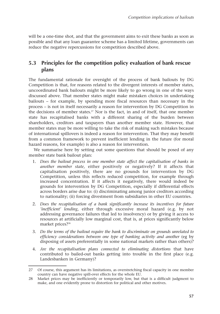will be a one-time shot, and that the government aims to exit these banks as soon as possible and that any loan guarantee scheme has a limited lifetime, governments can reduce the negative repercussions for competition described above.

## **5.3 Principles for the competition policy evaluation of bank rescue plans**

The fundamental rationale for oversight of the process of bank bailouts by DG Competition is that, for reasons related to the divergent interests of member states, uncoordinated bank bailouts might be more likely to go wrong in one of the ways discussed above. That member states might make mistaken choices in undertaking bailouts – for example, by spending more fiscal resources than necessary in the process – is not in itself necessarily a reason for intervention by DG Competition in the decisions of member states.<sup>27</sup> Nor is the fact, in and of itself, that one member state has recapitalised banks with a different sharing of the burden between shareholders, creditors and taxpayers than another member state. However, that member states may be more willing to take the risk of making such mistakes because of international spillovers is indeed a reason for intervention. That they may benefit from a common framework to prevent inefficient lending in the future (for moral hazard reasons, for example) is also a reason for intervention.

We summarise here by setting out some questions that should be posed of any member state bank bailout plan:

- 1. *Does the bailout process in one member state affect the capitalisation of banks in another member state,* either positively or negatively? If it affects that capitalisation positively, there are no grounds for intervention by DG Competition, unless this reflects reduced competition, for example through increased concentration. If it affects it negatively, there would indeed be grounds for intervention by DG Competition, especially if differential effects across borders arise due to: (i) discriminating among junior creditors according to nationality; (ii) forcing divestment from subsidiaries in other EU countries.
- 2. *Does the recapitalisation of a bank significantly increase its incentives for future 'inefficient' lending*, either through excessive moral hazard (e.g. by not addressing governance failures that led to insolvency) or by giving it access to resources at artificially low marginal cost, that is, at prices significantly below market prices?<sup>28</sup>
- 3. *Do the terms of the bailout require the bank to discriminate on grounds unrelated to efficiency considerations between one type of banking activity and another* (eg by disposing of assets preferentially in some national markets rather than others)?
- 4. *Are the recapitalisation plans connected to eliminating distortions* that have contributed to bailed-out banks getting into trouble in the first place (e.g. Landesbanken in Germany)?

<sup>27</sup> Of course, this argument has its limitations, as overstretching fiscal capacity in one member country can have negative spill-over effects for the whole EU.

<sup>28</sup> Market prices may be inefficiently or temporarily low, but that is a difficult judgment to make, and one evidently prone to distortion for political and other motives.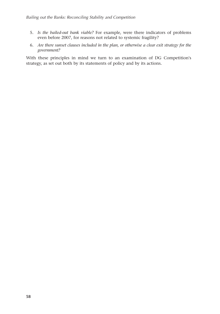- 5. *Is the bailed-out bank viable?* For example, were there indicators of problems even before 2007, for reasons not related to systemic fragility?
- 6. *Are there sunset clauses included in the plan, or otherwise a clear exit strategy for the government?*

With these principles in mind we turn to an examination of DG Competition's strategy, as set out both by its statements of policy and by its actions.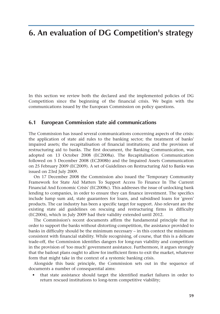# **6. An evaluation of DG Competition's strategy**

In this section we review both the declared and the implemented policies of DG Competition since the beginning of the financial crisis. We begin with the communications issued by the European Commission on policy questions.

#### **6.1 European Commission state aid communications**

The Commission has issued several communications concerning aspects of the crisis: the application of state aid rules to the banking sector; the treatment of banks' impaired assets; the recapitalisation of financial institutions; and the provision of restructuring aid to banks. The first document, the Banking Communication, was adopted on 13 October 2008 (EC2008a). The Recapitalisation Communication followed on 5 December 2008 (EC2008b) and the Impaired Assets Communication on 25 February 2009 (EC2009). A set of Guidelines on Restructuring Aid to Banks was issued on 23rd July 2009.

On 17 December 2008 the Commission also issued the 'Temporary Community Framework for State Aid Matters To Support Access To Finance In The Current Financial And Economic Crisis' (EC2008c). This addresses the issue of unlocking bank lending to companies, in order to ensure they can finance investment. The specifics include lump sum aid, state guarantees for loans, and subsidised loans for 'green' products. The car industry has been a specific target for support. Also relevant are the existing state aid guidelines on rescuing and restructuring firms in difficulty (EC2004), which in July 2009 had their validity extended until 2012.

The Commission's recent documents affirm the fundamental principle that in order to support the banks without distorting competition, the assistance provided to banks in difficulty should be the minimum necessary – in this context the minimum consistent with financial stability. While recognising, of course, that this is a delicate trade-off, the Commission identifies dangers for long-run viability and competition in the provision of 'too much' government assistance. Furthermore, it argues strongly that the bailout plans ought to allow for inefficient firms to exit the market, whatever form that might take in the context of a systemic banking crisis.

Alongside this basic principle, the Commission sets out in the sequence of documents a number of consequential aims:

• that state assistance should target the identified market failures in order to return rescued institutions to long-term competitive viability;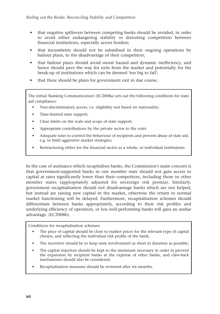- that negative spillovers between competing banks should be avoided, in order to avoid either endangering stability or distorting competition between financial institutions, especially across borders;
- that incumbents should not be subsidised in their ongoing operations by bailout plans, to the disadvantage of their competitors;
- that bailout plans should avoid moral hazard and dynamic inefficiency, and hence should pave the way for exits from the market and potentially for the break-up of institutions which can be deemed 'too big to fail';
- that there should be plans for government exit in due course.

The initial 'Banking Communication' (EC2008a) sets out the following conditions for state aid compliance:

- Non-discriminatory access, i.e. eligibility not based on nationality;
- Time-limited state support;
- Clear limits on the scale and scope of state support;
- Appropriate contributions by the private sector to the costs
- Adequate rules to control the behaviour of recipients and prevent abuse of state aid, e.g. to limit aggressive market strategies;
- Restructuring either for the financial sector as a whole, or individual institutions.

In the case of assistance which recapitalises banks, the Commission's main concern is that government-supported banks in one member state should not gain access to capital at rates significantly lower than their competitors, including those in other member states (appropriately adjusted for sovereign risk premia). Similarly, government recapitalisation should not disadvantage banks which are not helped, but instead are raising new capital in the market, otherwise the return to normal market functioning will be delayed. Furthermore, recapitalisation schemes should differentiate between banks appropriately, according to their risk profiles and underlying efficiency of operation, or less well-performing banks will gain an undue advantage. (EC2008b).

Conditions for recapitalisation schemes:

- The price of capital should be close to market prices for the relevant type of capital chosen, and reflecting the individual risk profile of the bank;
- The incentive should be to keep state involvement as short in duration as possible;
- The capital injection should be kept to the minimum necessary in order to prevent the expansion by recipient banks at the expense of other banks, and claw-back mechanisms should also be considered;
- Recapitalisation measures should be reviewed after six months.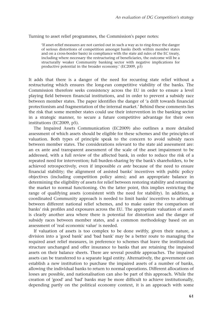Turning to asset relief programmes, the Commission's paper notes:

'If asset-relief measures are not carried out in such a way as to ring-fence the danger of serious distortions of competition amongst banks (both within member states and on a cross-border basis) in compliance with the state aid rules of the EC treaty, including where necessary the restructuring of beneficiaries, the outcome will be a structurally weaker Community banking sector with negative implications for productive potential in the broader economy.' (EC2009, p3)

It adds that there is a danger of the need for recurring state relief without a restructuring which ensures the long-run competitive viability of the banks. The Commission therefore seeks consistency across the EU in order to ensure a level playing field between financial institutions, and in order to prevent a subsidy race between member states. The paper identifies the danger of 'a drift towards financial protectionism and fragmentation of the internal market.' Behind these comments lies the risk that some member states could use their intervention in the banking sector in a strategic manner, to secure a future competitive advantage for their own institutions (EC2009, p5).

The Impaired Assets Communication (EC2009) also outlines a more detailed assessment of which assets should be eligible for these schemes and the principles of valuation. Both types of principle speak to the concern to avoid subsidy races between member states. The considerations relevant to the state aid assessment are: an ex ante and transparent assessment of the scale of the asset impairment to be addressed, with a full review of the affected bank, in order to reduce the risk of a repeated need for intervention; full burden-sharing by the bank's shareholders, to be achieved retrospectively, even if impossible *ex ante* because of the need to ensure financial stability; the alignment of assisted banks' incentives with public policy objectives (including competition policy aims); and an appropriate balance in determining the eligibility of assets for relief between restoring stability and returning the market to normal functioning. On the latter point, this implies restricting the range of qualifying assets (consistent with the need for stability). In addition, a coordinated Community approach is needed to limit banks' incentives to arbitrage between different national relief schemes, and to make easier the comparison of banks' risk profiles and exposures across the EU. The appropriate valuation of assets is clearly another area where there is potential for distortion and the danger of subsidy races between member states, and a common methodology based on an assessment of 'real economic value' is needed.

If valuation of assets is too complex to be done swiftly, given their nature, a division into a 'good bank' and 'bad bank' may be a better route to managing the required asset relief measures, in preference to schemes that leave the institutional structure unchanged and offer insurance to banks that are retaining the impaired assets on their balance sheets. There are several possible approaches. The impaired assets can be transferred to a separate legal entity. Alternatively, the government can establish a new institution to purchase the impaired assets of a number of banks, allowing the individual banks to return to normal operations. Different allocations of losses are possible, and nationalisation can also be part of this approach. While the creation of 'good' and 'bad' banks may be more difficult to achieve institutionally, depending partly on the political economy context, it is an approach with some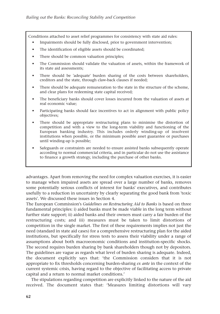Conditions attached to asset relief programmes for consistency with state aid rules:

- Impairments should be fully disclosed, prior to government intervention;
- The identification of eligible assets should be coordinated:
- There should be common valuation principles;
- The Commission should validate the valuation of assets, within the framework of its state aid assessments;
- There should be 'adequate' burden sharing of the costs between shareholders, creditors and the state, through claw-back clauses if needed;
- There should be adequate remuneration to the state in the structure of the scheme, and clear plans for redeeming state capital received;
- The beneficiary banks should cover losses incurred from the valuation of assets at real economic value;
- Participating banks should face incentives to act in alignment with public policy objectives;
- There should be appropriate restructuring plans to minimise the distortion of competition and with a view to the long-term viability and functioning of the European banking industry. This includes orderly winding-up of insolvent institutions when possible, or the minimum possible asset guarantee or purchases until winding-up is possible;
- Safeguards or constraints are needed to ensure assisted banks subsequently operate according to normal commercial criteria, and in particular do not use the assistance to finance a growth strategy, including the purchase of other banks.

advantages. Apart from removing the need for complex valuation exercises, it is easier to manage when impaired assets are spread over a large number of banks, removes some potentially serious conflicts of interest for banks' executives, and contributes usefully to a reduction in uncertainty by clearly separating the good bank from 'toxic assets'. We discussed these issues in Section 4.

The European Commission's *Guidelines on Restructuring Aid to Banks* is based on three fundamental principles: i) aided banks must be made viable in the long term without further state support; ii) aided banks and their owners must carry a fair burden of the restructuring costs; and iii) measures must be taken to limit distortions of competition in the single market. The first of these requirements implies not just the need (standard in state aid cases) for a comprehensive restructuring plan for the aided institutions, but specifically for stress tests to assess their viability under a range of assumptions about both macroeonomic conditions and institution-specific shocks. The second requires burden sharing by bank shareholders though not by depositors. The guidelines are vague as regards what level of burden sharing is adequate. Indeed, the document explicitly says that: 'the Commission considers that it is not appropriate to fix thresholds concerning burden-sharing *ex ante* in the context of the current systemic crisis, having regard to the objective of facilitating access to private capital and a return to normal market conditions.'

The stipulations regarding competition are explicitly linked to the nature of the aid received. The document states that: 'Measures limiting distortions will vary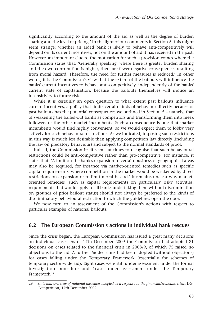significantly according to the amount of the aid as well as the degree of burden sharing and the level of pricing.' In the light of our comments in Section 5, this might seem strange: whether an aided bank is likely to behave anti-competitively will depend on its current incentives, not on the amount of aid it has received in the past. However, an important clue to the motivation for such a provision comes where the Commission states that: 'Generally speaking, where there is greater burden sharing and the own contribution is higher, there are fewer negative consequences resulting from moral hazard. Therefore, the need for further measures is reduced.' In other words, it is the Commission's view that the extent of the bailouts will influence the banks' current incentives to behave anti-competitively, independently of the banks' current state of capitalisation, because the bailouts themselves will induce an insensitivity to future risk.

While it is certainly an open question to what extent past bailouts influence current incentives, a policy that limits certain kinds of behaviour directly because of past bailouts has the potential consequences we outlined in Section 5 – namely, that of weakening the bailed-out banks as competitors and transforming them into meek followers of the other market incumbents. Such a consequence is one that market incumbents would find highly convenient, so we would expect them to lobby very actively for such behavioural restrictions. As we indicated, imposing such restrictions in this way is much less desirable than applying competition law directly (including the law on predatory behaviour) and subject to the normal standards of proof.

Indeed, the Commission itself seems at times to recognise that such behavioural restrictions could be anti-competitive rather than pro-competitive. For instance, it states that: 'A limit on the bank's expansion in certain business or geographical areas may also be required, for instance via market-oriented remedies such as specific capital requirements, where competition in the market would be weakened by direct restrictions on expansion or to limit moral hazard.' It remains unclear why marketoriented remedies (such as capital requirements on particularly risky activities, requirements that would apply to all banks undertaking them without discrimination on grounds of prior bailout status) should not always be preferred to the kinds of discriminatory behavioural restriction to which the guidelines open the door.

We now turn to an assessment of the Commission's actions with respect to particular examples of national bailouts.

## **6.2 The European Commission's actions in individual bank rescues**

Since the crisis began, the European Commission has issued a great many decisions on individual cases. As of 17th December 2009 the Commission had adopted 81 decisions on cases related to the financial crisis in 2008/9, of which 75 raised no objections to the aid. A further 66 decisions had been adopted (without objections) for cases falling under the Temporary Framework (essentially for schemes of temporary sector-wide aid). Eight cases were still under assessment under the formal investigation procedure and 1case under assessment under the Temporary Framework.29

<sup>29</sup> *State aid: overview of national measures adopted as a response to the financial/economic crisis*, DG-Competition, 17th December 2009.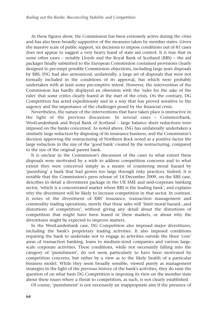As these figures show, the Commission has been extremely active during the crisis and has also been broadly supportive of the measures taken by member states. Given the massive scale of public support, six decisions to impose conditions out of 81 cases does not appear to suggest a very heavy hand of state aid control. It is true that in some other cases – notably Lloyds and the Royal Bank of Scotland (RBS) – the aid packages finally submitted to the European Commission contained provisions clearly designed to pre-empt possible Commission objections, including large asset disposals by RBS. ING had also announced, unilaterally, a large set of disposals that were not formally included in the conditions of its approval, but which were probably undertaken with at least some pre-emptive intent. However, the intervention of the Commission has hardly displayed an obsession with the 'rules for the sake of the rules' that some critics clearly feared at the start of the crisis. On the contrary, DG Competition has acted expeditiously and in a way that has proved sensitive to the urgency and the importance of the challenges posed by the financial crisis.

Nevertheless, the nature of the interventions that have taken place is instructive in the light of the previous discussion. In several cases – Commerzbank, WestLandesbank and Royal Bank of Scotland – large balance sheet reductions were imposed on the banks concerned. As noted above, ING has unilaterally undertaken a similarly large reduction by disposing of its insurance business, and the Commission's decision approving the restructuring of Northern Rock noted as a positive factor the large reduction in the size of the 'good bank' created by the restructuring, compared to the size of the original parent bank.

It is unclear in the Commission's discussion of the cases to what extent these disposals were motivated by a wish to address competition concerns and to what extent they were conceived simply as a means of countering moral hazard by 'punishing' a bank that had grown too large through risky practices. Indeed, it is notable that the Commission's press release of 14 December 2009, on the RBS case, describes in detail a divestment package in the UK SME and mid-corporate banking sector, 'which is a concentrated market where RBS is the leading bank', and explains why the divestment will be likely to increase competition in that sector. In contrast, it notes of the divestment of RBS' insurance, transaction management and commodity trading operations, merely that these sales will 'limit moral hazard...and distortions of competition', without giving any detail about the distortions of competition that might have been feared in these markets, or about why the divestitures might be expected to improve matters.

In the WestLandesbank case, DG Competition also imposed major divestitures, including the bank's proprietary trading activities. It also imposed conditions requiring the bank to undertake not to engage in activities outside the three 'core' areas of transaction banking, loans to medium-sized companies and various largescale corporate activities. These conditions, while not necessarily falling into the category of 'punishment', do not seem particularly to have been motivated by competition concerns, but rather by a view as to the likely health of a particular business model. While they seem broadly sensible, viewed purely as management strategies in the light of the previous history of the bank's activities, they do raise the question of on what basis DG Competition is imposing its view on the member state about these issues where a threat to competition, as such, is not clearly established.

Of course, 'punishment' is not necessarily an inappropriate aim if the presence of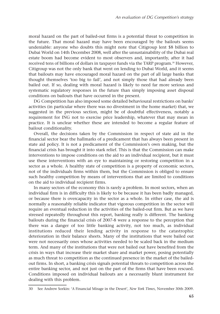moral hazard on the part of bailed-out firms is a potential threat to competition in the future. That moral hazard may have been encouraged by the bailouts seems undeniable: anyone who doubts this might note that Citigroup lent \$8 billion to Dubai World on 14th December 2008, well after the unsustainability of the Dubai real estate boom had become evident to most observers and, importantly, after it had received tens of billions of dollars in taxpayer funds via the TARP program.<sup>30</sup> However, Citigroup was not the only bank that went on lending to Dubai World, and it seems that bailouts may have encouraged moral hazard on the part of all large banks that thought themselves 'too big to fail', and not simply those that had already been bailed out. If so, dealing with moral hazard is likely to need far more serious and systematic regulatory responses in the future than simply imposing asset disposal conditions on bailouts that have occurred in the present.

DG Competition has also imposed some detailed behavioural restrictions on banks' activities (in particular where there was no divestment in the home market) that, we suggested in the previous section, might be of doubtful effectiveness, notably a requirement for ING not to exercise price leadership, whatever that may mean in practice. It is unclear whether these are intended to become a regular feature of bailout conditionality.

Overall, the decisions taken by the Commission in respect of state aid in the financial sector bear the hallmarks of a predicament that has always been present in state aid policy. It is not a predicament of the Commission's own making, but the financial crisis has brought it into stark relief. This is that the Commission can make interventions to impose conditions on the aid to an individual recipient, but it must use these interventions with an eye to maintaining or restoring competition in a sector as a whole. A healthy state of competition is a property of economic sectors, not of the individuals firms within them, but the Commission is obliged to ensure such healthy competition by means of interventions that are limited to conditions on the aid to individual recipient firms.

In many sectors of the economy this is rarely a problem. In most sectors, when an individual firm is in difficulty this is likely to be because it has been badly managed, or because there is overcapacity in the sector as a whole. In either case, the aid is normally a reasonably reliable indicator that vigorous competition in the sector will require an eventual reduction in the activities of the bailed-out firm. But as we have stressed repeatedly throughout this report, banking really is different. The banking bailouts during the financial crisis of 2007-8 were a response to the perception that there was a danger of too little banking activity, not too much, as individual institutions reduced their lending activity in response to the catastrophic deterioration in their balance sheets. Many of the institutions that were bailed out were not necessarily ones whose activities needed to be scaled back in the medium term. And many of the institutions that were not bailed out have benefited from the crisis in ways that increase their market share and market power, posing potentially as much threat to competition as the continued presence in the market of the bailedout firms. In short, a banking crisis signals potential threats to competition across the entire banking sector, and not just on the part of the firms that have been rescued. Conditions imposed on individual bailouts are a necessarily blunt instrument for dealing with this problem.

<sup>30</sup> See Andrew Sorkin: 'A Financial Mirage in the Desert', *New York Times*, November 30th 2009.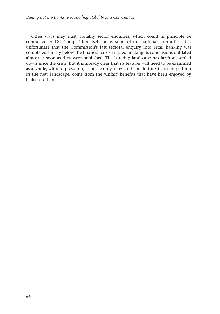Other ways may exist, notably sector enquiries, which could in principle be conducted by DG Competition itself, or by some of the national authorities. It is unfortunate that the Commission's last sectoral enquiry into retail banking was completed shortly before the financial crisis erupted, making its conclusions outdated almost as soon as they were published. The banking landscape has far from settled down since the crisis, but it is already clear that its features will need to be examined as a whole, without presuming that the only, or even the main threats to competition in the new landscape, come from the 'unfair' benefits that have been enjoyed by bailed-out banks.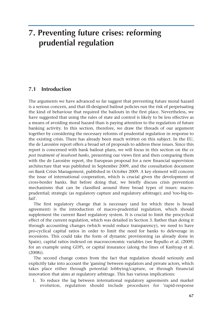# **7. Preventing future crises: reforming prudential regulation**

## **7.1 Introduction**

The arguments we have advanced so far suggest that preventing future moral hazard is a serious concern, and that ill-designed bailout policies run the risk of perpetuating the kind of behaviour that required the bailouts in the first place. Nevertheless, we have suggested that using the rules of state aid control is likely to be less effective as a means of avoiding moral hazard than is paying attention to the regulation of future banking activity. In this section, therefore, we draw the threads of our argument together by considering the necessary reforms of prudential regulation in response to the existing crisis. There has already been much written on this subject. In the EU, the de Larosière report offers a broad set of proposals to address these issues. Since this report is concerned with bank bailout plans, we will focus in this section on the *ex post treatment of insolvent banks*, presenting our views first and then comparing them with the de Larosière report, the European proposal for a new financial supervision architecture that was published in September 2009, and the consultation document on Bank Crisis Management, published in October 2009. A key element will concern the issue of international cooperation, which is crucial given the development of cross-border banks. But before doing that, we briefly discuss crisis prevention mechanisms that can be classified around three broad types of issues: macroprudential; strategic (as regulatory capture and regulatory arbitrage); and 'too-big-tofail'.

The first regulatory change that is necessary (and for which there is broad agreement) is the introduction of macro-prudential regulation, which should supplement the current Basel regulatory system. It is crucial to limit the procyclical effect of the current regulation, which was detailed in Section 3. Rather than doing it through accounting changes (which would reduce transparency), we need to have pro-cyclical capital ratios in order to limit the need for banks to deleverage in recessions. This could take the form of dynamic provisioning (as already done in Spain), capital ratios indexed on macroeconomic variables (see Repullo et al. (2009) for an example using GDP), or capital insurance (along the lines of Kashyap et al. (2008)).

The second change comes from the fact that regulation should seriously and explicitly take into account the 'gaming' between regulators and private actors, which takes place either through potential lobbying/capture, or through financial innovation that aims at regulatory arbitrage. This has various implications:

1. To reduce the lag between international regulatory agreements and market evolution, regulation should include procedures for 'rapid-response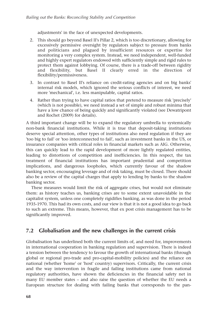adjustments' in the face of unexpected developments.

- 2. This should go beyond Basel II's Pillar 2, which is too discretionary, allowing for excessively permissive oversight by regulators subject to pressure from banks and politicians and plagued by insufficient resources or expertise for monitoring a very complex system. Instead, we need independent, well-funded and highly expert regulators endowed with sufficiently simple and rigid rules to protect them against lobbying. Of course, there is a trade-off between rigidity and flexibility, but Basel II clearly erred in the direction of flexibility/permissiveness.
- 3. In contrast to Basel II's reliance on credit-rating agencies and on big banks' internal risk models, which ignored the serious conflicts of interest, we need more 'mechanical', i.e. less manipulable, capital ratios.
- 4. Rather than trying to have capital ratios that pretend to measure risk 'precisely' (which is not possible), we need instead a set of simple and robust minima that have a low chance of being quickly and significantly violated (see Dewatripont and Rochet (2009) for details).

A third important change will be to expand the regulatory umbrella to systemically non-bank financial institutions. While it is true that deposit-taking institutions deserve special attention, other types of institutions also need regulation if they are 'too big to fail' or 'too interconnected to fail', such as investment banks in the US, or insurance companies with critical roles in financial markets such as AIG. Otherwise, this can quickly lead to the rapid development of more lightly regulated entities, leading to distortions of competition and inefficiencies. In this respect, the tax treatment of financial institutions has important prudential and competition implications, and dangerous loopholes, which currently favour of the shadow banking sector, encouraging leverage and of risk taking, must be closed. There should also be a review of the capital charges that apply to lending by banks to the shadow banking sector.

These measures would limit the risk of aggregate crises, but would not eliminate them: as history teaches us, banking crises are to some extent unavoidable in the capitalist system, unless one completely rigidifies banking, as was done in the period 1935-1970. This had its own costs, and our view is that it is not a good idea to go back to such an extreme. This means, however, that ex post crisis management has to be significantly improved.

## **7.2 Globalisation and the new challenges in the current crisis**

Globalisation has underlined both the current limits of, and need for, improvements in international cooperation in banking regulation and supervision. There is indeed a tension between the tendency to favour the growth of international banks (through global or regional pro-trade and pro-capital-mobility policies) and the reliance on national (whether 'home' or 'host' country) supervisors. Critically, the current crisis and the way intervention in fragile and failing institutions came from national regulatory authorities, have shown the deficiencies in the financial safety net in many EU member states – and also raise the question of whether the EU needs a European structure for dealing with failing banks that corresponds to the pan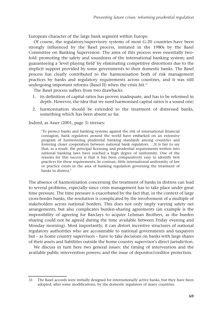European character of the large bank segment within Europe.

Of course, the regulatory/supervisory systems of most G-20 countries have been strongly influenced by the Basel process, initiated in the 1980s by the Basel Committee on Banking Supervision. The aims of this process were essentially twofold: promoting the safety and soundness of the international banking system; and guaranteeing a 'level playing field' by eliminating competitive distortions due to the implicit support provided by some governments to their domestic banks. The Basel process has clearly contributed to the harmonisation both of risk management practices by banks and regulatory requirements across countries, and it was still undergoing important reforms (Basel II) when the crisis hit. $31$ 

The Basel process suffers from two drawbacks:

- 1. its definition of capital ratios has proven inadequate, and has to be reformed in depth. However, the idea that we need harmonised capital ratios is a sound one;
- 2. harmonisation should be extended to the treatment of distressed banks, something which has been absent so far.

Indeed, as Asser (2001, page 3) stresses:

'To protect banks and banking systems against the risk of international financial contagion, bank regulators around the world have embarked on an extensive program of harmonizing prudential banking standards among countries and fostering closer cooperation between national bank regulators. …It is fair to say that, as a result, the principal licensing and prudential requirements written into national banking laws have reached a high degree of uniformity. One of the reasons for this success is that it has been comparatively easy to identify best practices for these requirements. In contrast, little international uniformity of law or practice exists in the area of banking regulation governing the treatment of banks in distress.'

The absence of harmonisation concerning the treatment of banks in distress can lead to several problems, especially since crisis management has to take place under great time pressure. The time pressure is exacerbated by the fact that, in the context of large cross-border banks, the resolution is complicated by the involvement of a multiple of stakeholders across national borders. This does not only imply varying safety net arrangements, but also complicates burden-sharing agreements (an example is the impossibility of agreeing for Barclays to acquire Lehman Brothers, as the burden sharing could not be agreed during the time available between Friday evening and Monday morning). Most importantly, it can distort incentive structures of national regulatory authorities who are accountable to national governments and taxpayers but – as home country supervisors – have to take decisions on banks with large shares of their assets and liabilities outside the home country supervisor's direct jurisdiction.

We discuss in turn here two general issues: the timing of intervention and the available public intervention powers; and the issue of depositor/creditor protection.

<sup>31</sup> The Basel accords were initially designed for internationally active banks, but they have been adopted, after some modifications, by the domestic regulators of many countries.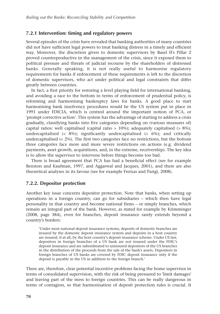#### **7.2.1 Intervention: timing and regulatory powers**

Several episodes of the crisis have revealed that banking authorities of many countries did not have sufficient legal powers to treat banking distress in a timely and efficient way. Moreover, the discretion given to domestic supervisors by Basel II's Pillar 2 proved counterproductive in the management of the crisis, since it exposed them to political pressure and threats of judicial recourse by the shareholders of distressed banks. Generally speaking, it is not really useful to harmonise regulatory requirements for banks if enforcement of these requirements is left to the discretion of domestic supervisors, who act under political and legal constraints that differ greatly between countries.

In fact, a first priority for restoring a level playing field for international banking, and avoiding a race to the bottom in terms of enforcement of prudential policy, is reforming and harmonising bankruptcy laws for banks. A good place to start harmonising bank insolvency procedures would be the US system put in place in 1991 under FDICIA, which is centred around the important notion of PCA, or 'prompt corrective action'. This system has the advantage of starting to address a crisis gradually, classifying banks into five categories depending on (various measures of) capital ratios: well capitalised (capital ratio  $> 10\%$ ); adequately capitalised ( $> 8\%$ ); undercapitalised  $\left( < 8\% \right)$ ; significantly undercapitalised  $\left( < 6\% \right)$ ; and critically undercapitalised  $\left($  < 2%). The first two categories face no restrictions, but the bottom three categories face more and more severe restrictions on actions (e.g. dividend payments, asset growth, acquisitions, and, in the extreme, receivership). The key idea is to allow the supervisor to intervene before things become too bad.

There is broad agreement that PCA has had a beneficial effect (see for example Benston and Kaufman, 1997, and Aggarwal and Jacques, 2001), and there are also theoretical analyses in its favour (see for example Freixas and Parigi, 2008).

#### **7.2.2. Depositor protection**

Another key issue concerns depositor protection. Note that banks, when setting up operations in a foreign country, can go for subsidiaries – which then have legal personality in that country and become national firms – or simply branches, which remain an integral part of the bank. However, as stated for example by Krimminger (2008, page 384), even for branches, deposit insurance rarely extends beyond a country's borders:

'Under most national deposit insurance systems, deposits of domestic branches are insured by the domestic deposit insurance system and deposits in a host country are insured, if at all, by the host country's deposit insurance scheme. Under US law, depositors in foreign branches of a US bank are not insured under the FDIC's deposit insurance and are subordinated to uninsured depositors of the US branches in the distribution of the proceeds from the sale of the bank's assets. Depositors in foreign branches of US banks are covered by FDIC deposit insurance only if the deposit is payable in the US in addition to the foreign branch.'

There are, therefore, clear potential incentive problems facing the home supervisor in terms of consolidated supervision, with the risk of being pressured to 'limit damages' and leaving part of the mess to foreign countries. This can be really dangerous in terms of contagion, so that harmonisation of deposit protection rules is crucial. It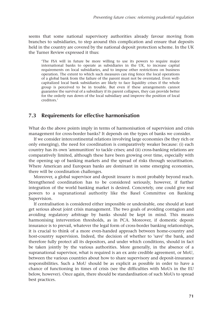seems that some national supervisory authorities already favour moving from branches to subsidiaries, to step around this complication and ensure that deposits held in the country are covered by the national deposit protection scheme. In the UK the Turner Review expressed it thus:

'The FSA will in future be more willing to use its powers to require major international banks to operate as subsidiaries in the UK, to increase capital requirements on local subsidiaries, and to impose other restrictions on business operation. The extent to which such measures can ring fence the local operations of a global bank from the failure of the parent must not be overstated. Even wellcapitalized local bank subsidiaries are likely to face liquidity crises if the whole group is perceived to be in trouble. But even if these arrangements cannot guarantee the survival of a subsidiary if its parent collapses, they can provide better for the orderly run down of the local subsidiary and improve the position of local creditors.'

## **7.3 Requirements for effective harmonisation**

What do the above points imply in terms of harmonisation of supervision and crisis management for cross-border banks? It depends on the types of banks we consider.

If we consider intercontinental relations involving large economies (be they rich or only emerging), the need for coordination is comparatively weaker because: (i) each country has its own 'ammunition' to tackle crises; and (ii) cross-banking relations are comparatively limited, although these have been growing over time, especially with the opening up of banking markets and the spread of risks through securitisation. Where American and European banks are dominant in some emerging economies, there will be coordination challenges.

Moreover, a global supervisor and deposit insurer is most probably beyond reach. Strengthened coordination has to be considered seriously, however, if further integration of the world banking market is desired. Concretely, one could give real powers to a supranational authority like the Basel Committee on Banking Supervision.

If centralisation is considered either impossible or undesirable, one should at least get serious about joint crisis management. The two goals of avoiding contagion and avoiding regulatory arbitrage by banks should be kept in mind. This means harmonising intervention thresholds, as in PCA. Moreover, if domestic deposit insurance is to prevail, whatever the legal form of cross-border banking relationships, it is crucial to think of a more even-handed approach between home-country and host-country supervision. Indeed, the decision of whether to 'save' the bank, and therefore fully protect all its depositors, and under which conditions, should in fact be taken jointly by the various authorities. More generally, in the absence of a supranational supervisor, what is required is an ex ante credible agreement, or MoU, between the various countries about how to share supervisory and deposit-insurance responsibilities. Such a MoU should be as explicit as possible in order to have a chance of functioning in times of crisis (see the difficulties with MoUs in the EU below, however). Once again, there should be standardisation of such MoUs to spread best practices.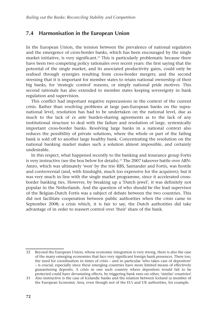## **7.4 Harmonisation in the European Union**

In the European Union, the tension between the prevalence of national regulators and the emergence of cross-border banks, which has been encouraged by the single market initiative, is very significant. $32$  This is particularly problematic because there have been two competing policy rationales over recent years: the first saying that the potential of the single market, and its associated productivity gains, could only be realised through synergies resulting from cross-border mergers; and the second stressing that it is important for member states to retain national ownership of their big banks, for 'strategic control' reasons, or simply national pride motives. This second rationale has also extended to member states keeping sovereignty in bank regulation and supervision.

This conflict had important negative repercussions in the context of the current crisis. Rather than resolving problems at large pan-European banks on the supranational level, resolution has had to be undertaken on the national level, due as much to the lack of *ex ante* burden-sharing agreements as to the lack of any institutional structure to deal with the failure and resolution of large, systemically important cross-border banks. Resolving large banks in a national context also reduces the possibility of private solutions, where the whole or part of the failing bank is sold off to another large healthy bank. Concentrating the resolution on the national banking market makes such a solution almost impossible, and certainly undesirable.

In this respect, what happened recently to the banking and insurance group Fortis is very instructive (see the box below for details).<sup>33</sup> The 2007 takeover battle over ABN-Amro, which was ultimately 'won' by the trio RBS, Santander and Fortis, was hostile and controversial (and, with hindsight, much too expensive for the acquirers); but it was very much in line with the single market programme, since it accelerated crossborder banking ties. However, by breaking up a 'Dutch jewel', it was definitely not popular in the Netherlands. And the question of who should be the lead supervisor of the Belgian-Dutch Fortis was a subject of debate between the two countries. This did not facilitate cooperation between public authorities when the crisis came in September 2008; a crisis which, it is fair to say, the Dutch authorities did take advantage of in order to reassert control over 'their' share of the bank.

<sup>32</sup> Beyond the European Union, whose economic integration is very strong, there is also the case of the many emerging economies that face very significant foreign bank presences. There too, the need for coordination in times of crisis – and in particular 'who takes care of depositors' – is crucial, especially since these emerging countries have more limited means of effectively guaranteeing deposits. A crisis in one such country where depositors would fail to be protected could have devastating effects, by triggering bank runs on other, 'similar' countries!

<sup>33</sup> Also instructive is the case of Icelandic banks and the relation between Iceland (a member of the European Economic Area, even though not of the EU) and UK authorities, for example.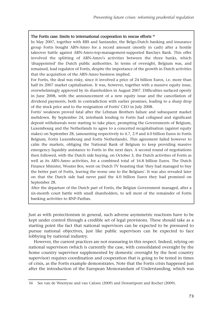#### The Fortis case: limits to international cooperation in rescue efforts 34

In May 2007, together with RBS and Santander, the Belgo-Dutch banking and insurance group Fortis bought ABN-Amro for a record amount (mostly in cash) after a hostile takeover battle against ABN-Amro-top-management-supported Barclays Bank. This offer involved the splitting of ABN-Amro's activities between the three banks, which 'disappointed' the Dutch public authorities. In terms of oversight, Belgium was, and remained, lead regulator of Fortis, despite the importance of the growth in Dutch activities that the acquisition of the ABN-Amro business implied.

For Fortis, the deal was risky, since it involved a price of 24 billion Euros, i.e. more than half its 2007 market capitalisation. It was, however, together with a massive equity issue, overwhelmingly approved by its shareholders in August 2007. Difficulties surfaced openly in June 2008, with the announcement of a new equity issue and the cancellation of dividend payments, both in contradiction with earlier promises, leading to a sharp drop of the stock price and to the resignation of Fortis' CEO in July 2008.

Fortis' weakness proved fatal after the Lehman Brothers failure and subsequent market meltdown. By September 24, interbank lending to Fortis had collapsed and significant deposit withdrawals were starting to take place, prompting the Governments of Belgium, Luxembourg and the Netherlands to agree to a concerted recapitalisation (against equity stakes) on September 28, (amounting respectively to 4.7, 2.9 and 4.0 billion Euros in Fortis Belgium, Fortis Luxembourg and Fortis Netherlands). This agreement failed however to calm the markets, obliging the National Bank of Belgium to keep providing massive emergency liquidity assistance to Fortis in the next days. A second round of negotiations then followed, with the Dutch side buying, on October 3, the Dutch activities of Fortis as well as its ABN-Amro activities, for a combined total of 16.8 billion Euros. The Dutch Finance Minister, Wouter Bos, went on Dutch TV boasting that 'they had managed to buy the better part of Fortis, leaving the worse one to the Belgians'. It was also revealed later on that the Dutch side had never paid the 4.0 billion Euros they had promised on September 28.

After the departure of the Dutch part of Fortis, the Belgian Government managed, after a six-month court battle with small shareholders, to sell most of the remainder of Fortis banking activities to BNP-Paribas.

Just as with protectionism in general, such adverse asymmetric reactions have to be kept under control through a credible set of legal provisions. These should take as a starting point the fact that national supervisors can be expected to be pressured to pursue national objectives, just like public supervisors can be expected to face lobbying by national industry.

However, the current practices are not reassuring in this respect. Indeed, relying on national supervisors (which is currently the case, with consolidated oversight by the home country supervisor supplemented by domestic oversight by the host country supervisor) requires coordination and cooperation that is going to be tested in times of crisis, as the Fortis example demonstrates. Note that the Fortis crisis happened just after the introduction of the European Memorandum of Understanding, which was

<sup>34</sup> See van de Woestyne and van Caloen (2009) and Dewatripont and Rochet (2009).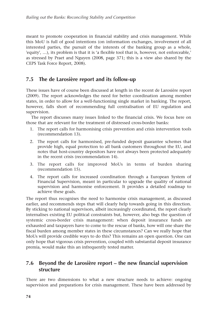meant to promote cooperation in financial stability and crisis management. While this MoU is full of good intentions (on information exchanges, involvement of all interested parties, the pursuit of the interests of the banking group as a whole, 'equity', …), its problem is that it is 'a flexible tool that is, however, not enforceable,' as stressed by Praet and Nguyen (2008, page 371; this is a view also shared by the CEPS Task Force Report, 2008).

## **7.5 The de Larosière report and its follow-up**

These issues have of course been discussed at length in the recent de Larosière report (2009). The report acknowledges the need for better coordination among member states, in order to allow for a well-functioning single market in banking. The report, however, falls short of recommending full centralisation of EU regulation and supervision.

The report discusses many issues linked to the financial crisis. We focus here on those that are relevant for the treatment of distressed cross-border banks:

- 1. The report calls for harmonising crisis prevention and crisis intervention tools (recommendation 13).
- 2. The report calls for harmonised, pre-funded deposit guarantee schemes that provide high, equal protection to all bank customers throughout the EU, and notes that host-country depositors have not always been protected adequately in the recent crisis (recommendation 14).
- 3. The report calls for improved MoUs in terms of burden sharing (recommendation 15).
- 4. The report calls for increased coordination through a European System of Financial Supervision, meant in particular to upgrade the quality of national supervision and harmonise enforcement. It provides a detailed roadmap to achieve these goals.

The report thus recognises the need to harmonise crisis management, as discussed earlier, and recommends steps that will clearly help towards going in this direction. By sticking to national supervisors, albeit increasingly coordinated, the report clearly internalises existing EU political constraints but, however, also begs the question of systemic cross-border crisis management: when deposit insurance funds are exhausted and taxpayers have to come to the rescue of banks, how will one share the fiscal burden among member states in these circumstances? Can we really hope that MoUs will provide credible ways to do this? This remains an open question. One can only hope that vigorous crisis prevention, coupled with substantial deposit insurance premia, would make this an infrequently tested matter.

## **7.6 Beyond the de Larosière report – the new financial supervision structure**

There are two dimensions to what a new structure needs to achieve: ongoing supervision and preparations for crisis management. These have been addressed by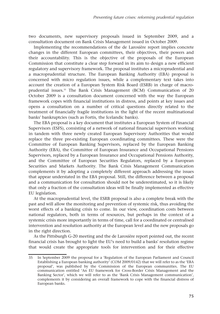two documents, new supervisory proposals issued in September 2009, and a consultation document on Bank Crisis Management issued in October 2009.

Implementing the recommendations of the de Larosière report implies concrete changes in the different European committees, their objectives, their powers and their accountability. This is the objective of the proposals of the European Commission that constitute a clear step forward in its aim to design a new efficient regulatory and supervisory framework. The proposal institutes a microprudential and a macroprudential structure. The European Banking Authority (EBA) proposal is concerned with micro regulation issues, while a complementary text takes into account the creation of a European System Risk Board (ESRB) in charge of macroprudential issues.35 The Bank Crisis Management (BCM) Communication of 20 October 2009 is a consultation document concerned with the way the European framework copes with financial institutions in distress, and points at key issues and opens a consultation on a number of critical questions directly related to the treatment of financially fragile institutions in the light of the recent multinational banks' bankruptcies (such as Fortis, the Icelandic banks).

The EBA proposal is a key document that institutes a European System of Financial Supervisors (ESFS), consisting of a network of national financial supervisors working in tandem with three newly created European Supervisory Authorities that would replace the three pre-existing European coordinating committees. These were the Committee of European Banking Supervisors, replaced by the European Banking Authority (EBA), the Committee of European Insurance and Occupational Pensions Supervisors, replaced by a European Insurance and Occupational Pensions Authority, and the Committee of European Securities Regulators, replaced by a European Securities and Markets Authority. The Bank Crisis Management Communication complements it by adopting a completely different approach addressing the issues that appear understated in the EBA proposal. Still, the difference between a proposal and a communication for consultation should not be underestimated, so it is likely that only a fraction of the consultation ideas will be finally implemented as effective EU legislation.

At the macroprudential level, the ESRB proposal is also a complete break with the past and will allow the monitoring and prevention of systemic risk, thus avoiding the worst effects of a banking crisis to come. In our view, coordination costs between national regulators, both in terms of resources, but perhaps in the context of a systemic crisis more importantly in terms of time, call for a coordinated or centralised intervention and resolution authority at the European level and the new proposals go in the right direction.

As the Pittsburgh G-20 meeting and the de Larosière report pointed out, the recent financial crisis has brought to light the EU's need to build a banks' resolution regime that would create the appropriate tools for intervention and for their effective

<sup>35</sup> In September 2009 the proposal for a 'Regulation of the European Parliament and Council Establishing a European banking authority' (COM 2009/0142) that we will refer to as the 'EBA proposal', was published by the Commission of the European communities. The EU communication entitled 'An EU framework for Cross-Border Crisis Management and the Banking Sector', which we will refer to as the 'Bank Crisis Management communication', complements it by considering an overall framework to cope with the financial distress of European banks.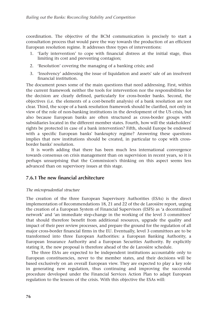coordination. The objective of the BCM communication is precisely to start a consultation process that would pave the way towards the production of an efficient European resolution regime. It addresses three types of interventions:

- 1. 'Early intervention' to cope with financial distress at the initial stage, thus limiting its cost and preventing contagion;
- 2. 'Resolution' covering the managing of a banking crisis; and
- 3. 'Insolvency' addressing the issue of liquidation and assets' sale of an insolvent financial institution.

The document poses some of the main questions that need addressing. First, within the current framework neither the tools for intervention nor the responsibilities for the decision are clearly defined, particularly for cross-border banks. Second, the objectives (i.e. the elements of a cost-benefit analysis) of a bank resolution are not clear. Third, the scope of a bank resolution framework should be clarified, not only in view of the role of non-banking institutions in the development of the US crisis, but also because European banks are often structured as cross-border groups with subsidiaries located in the different member states. Fourth, how will the stakeholders' rights be protected in case of a bank intervention? Fifth, should Europe be endowed with a specific European banks' bankruptcy regime? Answering these questions implies that new institutions should be created, in particular to cope with crossborder banks' resolution.

It is worth adding that there has been much less international convergence towards consensus on crisis management than on supervision in recent years, so it is perhaps unsurprising that the Commission's thinking on this aspect seems less advanced than on supervisory issues at this stage.

#### **7.6.1 The new financial architecture**

#### *The microprudential structure*

The creation of the three European Supervisory Authorities (ESAs) is the direct implementation of Recommendations 18, 21 and 22 of the de Larosière report, urging the creation of a European System of Financial Supervisors (ESFS) as 'a decentralised network' and 'an immediate step-change in the working of the level 3 committees' that should therefore benefit from additional resources, upgrade the quality and impact of their peer review processes, and prepare the ground for the regulation of all major cross-border financial firms in the EU. Eventually, level 3 committees are to be transformed into three European Authorities: a European Banking Authority, a European Insurance Authority and a European Securities Authority. By explicitly stating it, the new proposal is therefore ahead of the de Larosière schedule.

The three ESAs are expected to be independent institutions accountable only to European constituencies, never to the member states, and their decisions will be based exclusively on an overall European view. They are expected to play a key role in generating new regulation, thus continuing and improving the successful procedure developed under the Financial Services Action Plan to adapt European regulation to the lessons of the crisis. With this objective the ESAs will: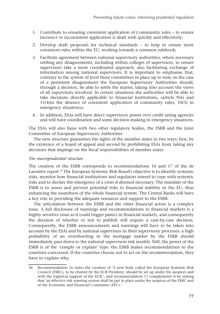- 1. Contribute to ensuring consistent application of Community rules to ensure incorrect or inconsistent application is dealt with quickly and effectively;
- 2. Develop draft proposals for technical standards to help to ensure more consistent rules within the EU, working towards a common rulebook;
- 3. Facilitate agreement between national supervisory authorities, where necessary settling any disagreements, including within colleges of supervisors, to ensure supervisors take a more coordinated approach; also facilitating exchange of information among national supervisors. It is important to emphasise that, contrary to the system of level three committees in place up to now, in the case of a persistent disagreement the European Supervisory Authorities should, through a decision, be able to settle the matter, taking into account the views of all supervisors involved. In certain situations the authorities will be able to take decisions directly applicable to financial institutions, (article 9(6) and 11(4)in the absence of consistent application of community rules, 10(3) in emergency situations);
- 4. In addition, ESAs will have direct supervisory power over credit rating agencies and will have coordination and some decision-making in emergency situations.

The ESAs will also liaise with two other regulatory bodies, the ESRB and the Joint Committee of European Supervisory Authorities

The new structure guarantees the rights of the member states in two ways: first, by the existence of a board of appeal and second by prohibiting ESAs from taking any decisions that impinge on the fiscal responsibilities of member states.

#### *The macroprudential structure*

The creation of the ESRB corresponds to recommendations 16 and 17 of the de Larosière report.36 The European Systemic Risk Board's objective is to identify systemic risks, monitor how financial institutions and regulators intend to cope with systemic risks and to declare the emergence of a crisis if deemed necessary. The mandate of the ESRB is to assess and prevent potential risks to financial stability in the EU, thus enhancing the soundness of the whole financial system. The Central Banks will have a key role in providing the adequate resources and support to the ESRB.

The articulation between the ESRB and the other financial actors is a complex issue. A full disclosure of warnings and recommendations to financial markets is a highly sensitive issue as it could trigger panics in financial markets, and consequently the decision of whether or not to publish will require a case-by-case decision. Consequently, the ESRB announcements and warnings will have to be taken into account by the ESAs and by national supervisors in their supervisory processes: a high probability of an overshooting in the mortgage market by the ESRB should immediately pass down to the national supervisors risk models. Still, the power of the ESRB is of the 'comply or explain' type: the ESRB makes recommendations to the countries concerned. If the countries choose not to act on the recommendation, they have to explain why.

<sup>36</sup> Recommendation 16 states the creation of 'A new body called the European Systemic Risk Council (ESRC), to be chaired by the ECB President, should be set up under the auspices and with the logistical support of the ECB.', and recommendation 17 complements it by stating that 'an effective risk warning system shall be put in place under the auspices of the ESRC and of the Economic and Financial Committee (EFC).'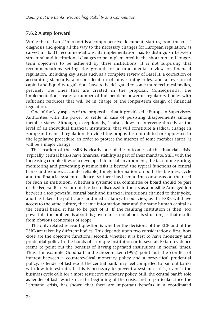## **7.6.2 A step forward**

While the de Larosière report is a comprehensive document, starting from the crisis' diagnosis and going all the way to the necessary changes for European regulation, as carved in its 31 recommendations, its implementation has to distinguish between structural and institutional changes to be implemented in the short run and longerterm objectives to be achieved by these institutions. It is not surprising that recommendations setting the ground for a fundamental review of financial regulation, including key issues such as a complete review of Basel II, a correction of accounting standards, a reconsideration of provisioning rules, and a revision of capital and liquidity regulation, have to be delegated to some more technical bodies, precisely the ones that are created in the proposal. Consequently, the implementation creates a number of independent powerful regulatory bodies with sufficient resources that will be in charge of the longer-term design of financial regulation.

One of the key aspects of the proposal is that it provides the European Supervisory Authorities with the power to settle in case of persisting disagreements among member states. Although, exceptionally, it also allows to intervene directly at the level of an individual financial institution, that will constitute a radical change in European financial regulation. Provided the proposal is not diluted or suppressed in the legislative procedure, in order to protect the interest of some member states, it will be a major change.

The creation of the ESRB is clearly one of the outcomes of the financial crisis. Typically, central banks have financial stability as part of their mandate. Still, with the increasing complexities of a developed financial environment, the task of measuring, monitoring and preventing systemic risks is beyond the typical functions of central banks and requires accurate, reliable, timely information on both the business cycle and the financial system resilience. So there has been a firm consensus on the need for such an institution. Whether a systemic risk committee or board should be part of the Federal Reserve or not, has been discussed in the US as a possible Armageddon between a too powerful central bank and financial institutions chained to their yoke, and has taken the politicians' and media's fancy. In our view, as the ESRB will have access to the same culture, the same information base and the same human capital as the central bank, it has to be part of it. If the resulting institution is then 'too powerful', the problem is about its governance, not about its structure, as that results from obvious economies of scope.

The only related relevant question is whether the decisions of the ECB and of the ESRB are taken by different bodies. This depends upon two considerations: first, how close are the objective functions; second, whether it is best to have monetary and prudential policy in the hands of a unique institution or in several. Extant evidence seems to point out the benefits of having separated institutions in normal times. Thus, for example Goodhart and Schoenmaker (1995) point out the conflict of interest between a countercyclical monetary policy and a procyclical prudential policy: as lender of last resort the central bank may feel compelled to bail out banks with low interest rates if this is necessary to prevent a systemic crisis, even if the business cycle calls for a more restrictive monetary policy. Still, the central bank's role as lender of last resort since the beginning of the crisis, and in particular since the Lehmann crisis, has shown that there are important benefits in a coordinated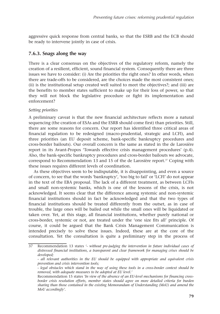aggressive quick response from central banks, so that the ESRB and the ECB should be ready to intervene jointly in case of crisis.

### **7.6.3. Snags along the way**

There is a clear consensus on the objectives of the regulatory reform, namely the creation of a resilient, efficient, sound financial system. Consequently there are three issues we have to consider: (i) Are the priorities the right ones? In other words, when there are trade-offs to be considered, are the choices made the most consistent ones; (ii) is the institutional setup created well suited to meet the objectives?; and (iii) are the benefits to member states sufficient to make up for their loss of power, so that they will not block the legislative procedure or fight its implementation and enforcement?

#### *Setting priorities*

A preliminary caveat is that the new financial architecture reflects more a natural sequencing (the creation of ESAs and the ESRB should come first) than priorities. Still, there are some reasons for concern. Our report has identified three critical areas of financial regulation to be redesigned (macro-prudential, strategic and LCFI), and three priorities (an EU deposit scheme, bank-specific bankruptcy procedures and cross-border bailouts). Our overall concern is the same as stated in the de Larosière report in its Avant-Propos 'Towards effective crisis management procedures' (p.4). Also, the bank-specific bankruptcy procedures and cross-border bailouts we advocate, correspond to Recommendation 13 and 15 of the de Larosière report. $37$  Coping with these issues requires different levels of coordination.

As these objectives seem to be indisputable, it is disappointing, and even a source of concern, to see that the words 'bankruptcy', 'too big to fail' or 'LCFI' do not appear in the text of the EBA proposal. The lack of a different treatment, as between LCFIs and small non-systemic banks, which is one of the lessons of the crisis, is not acknowledged. It seems clear that the difference among systemic and non-systemic financial institutions should in fact be acknowledged and that the two types of financial institutions should be treated differently from the outset, as in case of trouble, the large ones will be bailed out while the small ones will be liquidated or taken over. Yet, at this stage, all financial institutions, whether purely national or cross-border, systemic or not, are treated under the 'one size fits all' principle. Of course, it could be argued that the Bank Crisis Management Communication is intended precisely to solve these issues. Indeed, these are at the core of the consultation. Yet the consultation is quite a preliminary step in the process of

<sup>37</sup> Recommendation 13 states *'- without pre-judging the intervention in future individual cases of distressed financial institutions, a transparent and clear framework for managing crises should be developed;*

*<sup>-</sup> all relevant authorities in the EU should be equipped with appropriate and equivalent crisis prevention and crisis intervention tools;*

*<sup>-</sup> legal obstacles which stand in the way of using these tools in a cross-border context should be removed, with adequate measures to be adopted at EU level.'*

Recommendation 15 states *'In view of the absence of an EU-level mechanisms for financing crossborder crisis resolution efforts, member states should agree on more detailed criteria for burden sharing than those contained in the existing Memorandum of Understanding (MoU) and amend the MoU accordingly'.*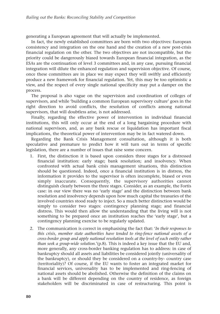generating a European agreement that will actually be implemented.

In fact, the newly established committees are born with two objectives: European consistency and integration on the one hand and the creation of a new post-crisis financial regulation on the other. The two objectives are not incompatible, but the priority could be dangerously biased towards European financial integration, as the ESAs are the continuation of level 3 committees and, in any case, pursuing financial integration will dilute the enhanced regulation and supervision objective. Of course, once these committees are in place we may expect they will swiftly and efficiently produce a new framework for financial regulation. Yet, this may be too optimistic a view, and the respect of every single national specificity may put a damper on the process.

The proposal is also vague on the supervision and coordination of colleges of supervisors, and while 'building a common European supervisory culture' goes in the right direction to avoid conflicts, the resolution of conflicts among national supervisors, that will doubtless arise, is not addressed.

Finally, regarding the effective power of intervention in individual financial institutions, this will only occur at the end of a long bargaining procedure with national supervisors, and, as any bank rescue or liquidation has important fiscal implications, the theoretical power of intervention may be in fact watered down.

Regarding the Bank Crisis Management consultation, although it is both speculative and premature to predict how it will turn out in terms of specific legislation, there are a number of issues that raise some concern.

- 1. First, the distinction it is based upon considers three stages for a distressed financial institution: early stage; bank resolution; and insolvency. When confronted with actual bank crisis management situations, this distinction should be questioned. Indeed, once a financial institution is in distress, the information it provides to the supervisor is often incomplete, biased or even simply inaccurate. Consequently, the supervisory authorities cannot distinguish clearly between the three stages. Consider, as an example, the Fortis case: in our view there was no 'early stage' and the distinction between bank resolution and insolvency depends upon how much capital the treasuries of the involved countries stood ready to inject. So a much better distinction would be simply to consider two stages: contingency planning stage; and financial distress. This would then allow the understanding that the living will is not something to be prepared once an institution reaches the 'early stage', but a contingency planning exercise to be regularly updated.
- 2. The communication is correct in emphasising the fact that: '*In their responses to this crisis, member state authorities have tended to ring-fence national assets of a cross-border group and apply national resolution tools at the level of each entity rather than seek a group-wide solution*.'(p.8). This is indeed a key issue that the EU and, more generally, any cross-border banking regulation has to address: in case of bankruptcy should all assets and liabilities be considered jointly (universality of the bankruptcy), or should they be considered on a country-by- country case (territoriality)? Of course, if the EU wants to foster an integrated market for financial services, universality has to be implemented and ring-fencing of national assets should be abolished. Otherwise the definition of the claims on a bank will be different depending on the country of residence, as foreign stakeholders will be discriminated in case of restructuring. This point is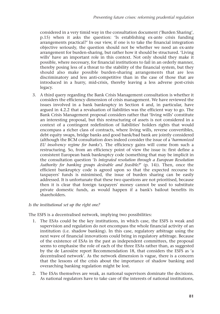considered in a very timid way in the consultation document ('Burden Sharing', p.15) when it asks the question: 'Is establishing ex-ante crisis funding arrangements practical?' In our view, if one is to take the financial integration objective seriously, the question should not be whether we need an ex-ante arrangement for burden-sharing, but rather how it should be structured. 'Living wills' have an important role in this context. Not only should they make it possible, where necessary, for financial institutions to fail in an orderly manner, thereby posing less of a threat to the stability of the financial system, but they should also make possible burden-sharing arrangements that are less discriminatory and less anti-competitive than in the case of those that are introduced in a hurry, mid-crisis, thereby leaving a less adverse post-crisis legacy.

3. A third query regarding the Bank Crisis Management consultation is whether it considers the efficiency dimension of crisis management. We have reviewed the issues involved in a bank bankruptcy in Section 4 and, in particular, have argued in 4.2.2 that a revaluation of liabilities was the efficient way to go. The Bank Crisis Management proposal considers rather that 'living wills' constitute an interesting proposal, but this restructuring of assets is not considered in a context of a contingent redefinition of liabilities' holders rights that would encompass a richer class of contracts, where living wills, reverse convertibles, debt equity swaps, bridge banks and good bank/bad bank are jointly considered (although the BCM consultation does indeed consider the issue of a '*harmonized EU insolvency regime for banks*'). The efficiency gains will come from such a restructuring. So, from an efficiency point of view the issue is: first define a consistent European bank bankruptcy code (something that may be implicit in the consultation question '*Is integrated resolution through a European Resolution Authority for banking groups desirable and feasible?*' (p. 14)). Then, once the efficient bankruptcy code is agreed upon so that the expected recourse to taxpayers' funds is minimised, the issue of burden sharing can be easily addressed. It is unfortunate that these two questions are not prioritised, because then it is clear that foreign taxpayers' money cannot be used to substitute private domestic funds, as would happen if a bank's bailout benefits its shareholders.

#### *Is the institutional set up the right one?*

The ESFS is a decentralised network, implying two possibilities:

- 1. The ESAs could be the key institutions, in which case, the ESFS is weak and supervision and regulation do not encompass the whole financial activity of an institution (i.e. shadow banking). In this case, regulatory arbitrage using the next wave of financial innovations could bring in regulatory arbitrage. Because of the existence of ESAs in the past as independent committees, the proposal seems to emphasise the role of each of the three ESAs rather than, as suggested by the de Larosière report Recommendation 18, that considers the ESFS as 'a decentralised network'. As the network dimension is vague, there is a concern that the lessons of the crisis about the importance of shadow banking and overarching banking regulation might be lost.
- 2. The ESAs themselves are weak, as national supervisors dominate the decisions. As national regulators have to take care of the interests of national institutions,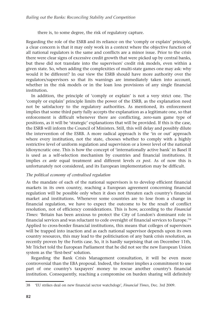there is, to some degree, the risk of regulatory capture.

Regarding the role of the ESRB and its reliance on the 'comply or explain' principle, a clear concern is that it may only work in a context where the objective function of all national regulators is the same and conflicts are a minor issue. Prior to the crisis there were clear signs of excessive credit growth that were picked up by central banks, but these did not translate into the supervisors' credit risk models, even within a given state. So, when adding the complexities of multi-state games one may ask: why would it be different? In our view the ESRB should have more authority over the regulators/supervisors so that its warnings are immediately taken into account, whether in the risk models or in the loan loss provisions of any single financial institution.

In addition, the principle of 'comply or explain' is not a very strict one. The 'comply or explain' principle limits the power of the ESRB, as the explanation need not be satisfactory to the regulatory authorities. As mentioned, its enforcement implies that some third party fully accepts the explanation as a legitimate one, so that enforcement is difficult whenever there are conflicting, zero-sum game type of positions, as it will be 'strategic' explanations that will be provided. If this is the case, the ESRB will inform the Council of Ministers. Still, this will delay and possibly dilute the intervention of the ESRB. A more radical approach is the 'in or out' approach where every institution, not the state, chooses whether to comply with a highly restrictive level of uniform regulation and supervision or a lower level of the national idiosyncratic one. This is how the concept of 'internationally active bank' in Basel II is used as a self-selection mechanism by countries and financial institutions. It implies *ex ante* equal treatment and different levels *ex post*. As of now this is unfortunately not considered, and its European implementation may be difficult.

#### *The political economy of centralised regulation*

As the mandate of each of the national supervisors is to develop efficient financial markets in its own country, reaching a European agreement concerning financial regulation will be possible only when it does not threaten each country's financial market and institutions. Whenever some countries are to lose from a change in financial regulation, we have to expect the outcome to be the result of conflict resolution, not of efficiency considerations. This is how, according to the *Financial Times*: 'Britain has been anxious to protect the City of London's dominant role in financial services and was reluctant to cede oversight of financial services to Europe.'38 Applied to cross-border financial institutions, this means that colleges of supervisors will be trapped into inaction and as each national supervisor depends upon its own country resources, this may lead to the politicisation of any bank crisis resolution, as recently proven by the Fortis case. So, it is hardly surprising that on December 11th, Mr Trichet told the European Parliament that he did not see the new European Union system as the 'first-best' solution.

Regarding the Bank Crisis Management consultation, it will be even more controversial than the EBA proposal. Indeed, the former implies a commitment to use part of one country's taxpayers' money to rescue another country's financial institution. Consequently, reaching a compromise on burden sharing will definitely

<sup>38 &#</sup>x27;EU strikes deal on new financial sector watchdogs', *Financial Times*, Dec. 3rd 2009.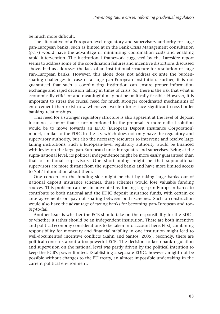be much more difficult.

The alternative of a European-level regulatory and supervisory authority for large pan-European banks, such as hinted at in the Bank Crisis Management consultation (p.17) would have the advantage of minimising coordination costs and enabling rapid intervention. The institutional framework suggested by the Larosière report seems to address some of the coordination failures and incentive distortions discussed above. It thus addresses the lack of an institutional structure for resolution of large Pan-European banks. However, this alone does not address ex ante the burdensharing challenges in case of a large pan-European institution. Further, it is not guaranteed that such a coordinating institution can ensure proper information exchange and rapid decision taking in times of crisis. So, there is the risk that what is economically efficient and meaningful may not be politically feasible. However, it is important to stress the crucial need for much stronger coordinated mechanisms of enforcement than exist now whenever two territories face significant cross-border banking relationships.

This need for a stronger regulatory structure is also apparent at the level of deposit insurance, a point that is not mentioned in the proposal. A more radical solution would be to move towards an EDIC (European Deposit Insurance Corporation) model, similar to the FDIC in the US, which does not only have the regulatory and supervisory authority, but also the necessary resources to intervene and resolve large failing institutions. Such a European-level regulatory authority would be financed with levies on the large pan-European banks it regulates and supervises. Being at the supra-national level, its political independence might be more easily guaranteed than that of national supervisors. One shortcoming might be that supranational supervisors are more distant from the supervised banks and have more limited access to 'soft' information about them.

One concern on the funding side might be that by taking large banks out of national deposit insurance schemes, these schemes would lose valuable funding sources. This problem can be circumvented by forcing large pan-European banks to contribute to both national and the EDIC deposit insurance funds, with certain ex ante agreements on pay-out sharing between both schemes. Such a construction would also have the advantage of taxing banks for becoming pan-European and toobig-to-fail.

Another issue is whether the ECB should take on the responsibility for the EDIC, or whether it rather should be an independent institution. There are both incentive and political economy considerations to be taken into account here. First, combining responsibility for monetary and financial stability in one institution might lead to well-documented incentive conflicts (Kahn and Santos, 2005). Secondly, there are political concerns about a too-powerful ECB. The decision to keep bank regulation and supervision on the national level was partly driven by the political intention to keep the ECB's power limited. Establishing a separate EDIC, however, might not be possible without changes to the EU treaty, an almost impossible undertaking in the current political environment.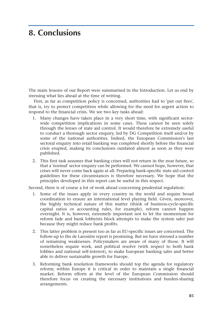## **8. Conclusions**

The main lessons of our Report were summarised in the Introduction. Let us end by stressing what lies ahead at the time of writing.

First, as far as competition policy is concerned, authorities had to 'put out fires', that is, try to protect competition while allowing for the need for urgent action to respond to the financial crisis. We see two key tasks ahead:

- 1. Many changes have taken place in a very short time, with significant sectorwide competition implications in some cases. These cannot be seen solely through the lenses of state aid control. It would therefore be extremely useful to conduct a thorough sector enquiry, led by DG Competition itself and/or by some of the national authorities. Indeed, the European Commission's last sectoral enquiry into retail banking was completed shortly before the financial crisis erupted, making its conclusions outdated almost as soon as they were published.
- 2. This first task assumes that banking crises will not return in the near future, so that a 'normal' sector enquiry can be performed. We cannot hope, however, that crises will never come back again at all. Preparing bank-specific state aid control guidelines for these circumstances is therefore necessary. We hope that the principles developed in this report can be useful in this respect.

Second, there is of course a lot of work ahead concerning prudential regulation:

- 1. Some of the issues apply in every country in the world and require broad coordination to ensure an international level playing field. Given, moreover, the highly technical nature of this matter (think of business-cycle-specific capital ratios or accounting rules, for example), reform cannot happen overnight. It is, however, extremely important not to let the momentum for reform fade and bank lobbyists block attempts to make the system safer just because they might reduce bank profits.
- 2. This latter problem is present too as far as EU-specific issues are concerned. The follow-up to the de Larosière report is promising. But we have stressed a number of remaining weaknesses. Policymakers are aware of many of those. It will nonetheless require work, and political resolve (with respect to both bank lobbies and national self-interest), to make European banking safer and better able to deliver sustainable growth for Europe.
- 3. Reforming bank resolution frameworks should top the agenda for regulatory reform; within Europe it is critical in order to maintain a single financial market. Reform efforts at the level of the European Commission should therefore focus on creating the necessary institutions and burden-sharing arrangements.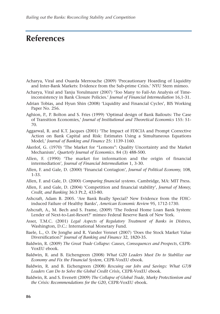## **References**

- Acharya, Viral and Ouarda Merrouche (2009) 'Precautionary Hoarding of Liquidity and Inter-Bank Markets: Evidence from the Sub-prime Crisis.' NYU Stern mimeo.
- Acharya, Viral and Tanju Yorulmazer (2007) 'Too Many to Fail-An Analysis of Timeinconsistency in Bank Closure Policies.' *Journal of Financial Intermediation* 16,1-31.
- Adrian Tobias, and Hyun Shin (2008) 'Liquidity and Financial Cycles', BIS Working Paper No. 256.
- Aghion, P., P. Bolton and S. Fries (1999) 'Optimal design of Bank Bailouts: The Case of Transition Economies,' *Journal of Institutional and Theoretical Economics* 155: 51- 70.
- Aggarwal, R. and K.T. Jacques (2001) 'The Impact of FDICIA and Prompt Corrective Action on Bank Capital and Risk: Estimates Using a Simultaneous Equations Model,' *Journal of Banking and Finance* 25: 1139-1160.
- Akerlof, G. (1970) 'The Market for "Lemons": Quality Uncertainty and the Market Mechanism', *Quarterly Journal of Economics*. 84 (3) 488-500.
- Allen, F. (1990) 'The market for information and the origin of financial intermediation', *Journal of Financial Intermediation* 1, 3-30.
- Allen, F. and Gale, D. (2000) 'Financial Contagion', *Journal of Political Economy,* 108, 1-33.
- Allen, F. and Gale, D. (2000) *Comparing financial systems*. Cambridge, MA: MIT Press.
- Allen, F. and Gale, D. (2004) 'Competition and financial stability', *Journal of Money, Credit, and Banking* 36:3 Pt.2, 433-80.
- Ashcraft, Adam B. 2005. 'Are Bank Really Special? New Evidence from the FDICinduced Failure of Healthy Banks', *American Economic Review* 95, 1712-1730.
- Ashcraft, A., M. Bech and S. Frame, (2009) 'The Federal Home Loan Bank System: Lender of Next-to-Last-Resort?' mimeo Federal Reserve Bank of New York.
- Asser, T.M.C. (2001) *Legal Aspects of Regulatory Treatment of Banks in Distress*, Washington, D.C.: International Monetary Fund.
- Baele, L., O. De Jonghe and R. Vander Vennet (2007) 'Does the Stock Market Value Diversification?' *Journal of Banking and Finance* 32, 1820-35.
- Baldwin, R. (2009) *The Great Trade Collapse: Causes, Consequences and Prospects*, CEPR-VoxEU ebook.
- Baldwin, R. and B. Eichengreen (2008) *What G20 Leaders Must Do to Stabilize our Economy and Fix the Financial System*, CEPR-VoxEU ebook.
- Baldwin, R. and B. Eichengreen (2008) *Rescuing our Jobs and Savings: What G7/8 Leaders Can Do to Solve the Global Credit Crisis*, CEPR-VoxEU ebook.
- Baldwin, R. and S. Evenett (2009) *The Collapse of Global Trade, Murky Protectionism and the Crisis: Recommendations for the G20*, CEPR-VoxEU ebook.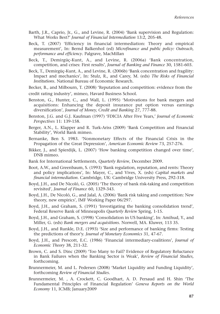- Barth, J.R., Caprio, Jr., G., and Levine, R. (2004) 'Bank supervision and Regulation: What Works Best?' *Journal of Financial Intermediation* 13:2, 205-48.
- Beck, T. (2007) 'Efficiency in financial intermediation: Theory and empirical measurement', In: Bernd Balkenhol (ed) *Microfinance and public policy: Outreach, performance and efficiency*. Palgrave, MacMillan
- Beck, T., Demirgüç-Kunt, A., and Levine, R. (2006a) 'Bank concentration, competition, and crises: First results', *Journal of Banking and Finance* 30, 1581-603.
- Beck, T., Demirgüç-Kunt, A., and Levine, R. (2006b) 'Bank concentration and fragility: Impact and mechanics', In: Stulz, R., and Carey, M. (eds) *The Risks of Financial Institutions*. National Bureau of Economic Research.
- Becker, B., and Milbourn, T. (2008) 'Reputation and competition: evidence from the
- credit rating industry', mimeo, Havard Business School.
- Benston, G., Hunter, C., and Wall, L. (1995) 'Motivations for bank mergers and acquisitions: Enhancing the deposit insurance put option versus earnings diversification', *Journal of Money, Credit and Banking* 27, 777-88.
- Benston, J.G. and G.J. Kaufman (1997) 'FDICIA After Five Years,' *Journal of Economic Perspectives* 11: 139-158.
- Berger, A.N., L. Klapper and R. Turk-Ariss (2009) 'Bank Competition and Financial Stability', World Bank mimeo.
- Bernanke, Ben S. 1983. 'Nonmonetary Effects of the Financial Crisis in the Propagation of the Great Depression', *American Economic Review* 73, 257-276.
- Bikker, J., and Spierdijk, L. (2007) 'How banking competition changed over time', DNB mimeo.
- Bank for International Settlements, *Quarterly Review*, December 2009.
- Boot, A.W., and Greenbaum, S. (1993) 'Bank regulation, reputation, and rents: Theory and policy implications', In: Mayer, C., and Vives, X. (eds) *Capital markets and financial intermediation*. Cambridge, UK: Cambridge University Press, 292-318.
- Boyd, J.H., and De Nicoló, G. (2005) 'The theory of bank risk-taking and competition revisited', *Journal of Finance* 60, 1329-343.
- Boyd, J.H., De Nicoló, G., and Jalal, A. (2006) 'Bank risk taking and competition: New theory, new empirics', IMF Working Paper 06/297.
- Boyd, J.H., and Graham, S. (1991) 'Investigating the banking consolidation trend', Federal Reserve Bank of Minneapolis *Quarterly Review* Spring, 1-15.
- Boyd, J.H., and Graham, S. (1998) 'Consolidation in US banking', In: Amihud, Y., and Miller, G. (eds) *Bank mergers and acquisitions*. Norwell, MA. Kluwer, 113 35.
- Boyd, J.H., and Runkle, D.E. (1993) 'Size and performance of banking firms: Testing the predictions of theor'y. *Journal of Monetary Economics* 31, 47-67.
- Boyd, J.H., and Prescott, E.C. (1986) 'Financial intermediary-coalitions', *Journal of Economic Theory* 38, 211-32.
- Brown, C. and S. Dinc (2009) 'Too Many to Fail? Evidence of Regulatory Reluctance in Bank Failures when the Banking Sector is Weak', *Review of Financial Studies,* forthcoming.
- Brunnermeier, M. and L. Pedersen (2008) 'Market Liquidity and Funding Liquidity', forthcoming *Review of Financial Studies*.
- Brunnermeier, M. , A. Crockett, C. Goodhart, A. D. Persaud and H. Shin 'The Fundamental Principles of Financial Regulation' *Geneva Reports on the World Economy* 11, ICMB; January2009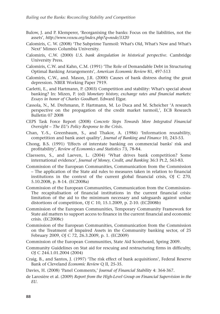- Bulow, J. and P. Klemperer, 'Reorganising the banks: Focus on the liabilities, not the assets', *http://www.voxeu.org/index.php?q=node/3320*
- Calomiris, C. W. (2008) 'The Subprime Turmoil: What's Old, What's New and What's Next' Mimeo Columbia University.
- Calomiris, C.W. (2000) *U.S. bank deregulation in historical perspective*. Cambridge University Press.
- Calomiris, C.W. and Kahn, C.M. (1991) 'The Role of Demandable Debt in Structuring Optimal Banking Arrangements', *American Economic Review* 81, 497-513
- Calomiris, C.W., and. Mason, J.R. (2000) Causes of bank distress during the great depression. NBER Working Paper 7919.
- Carletti, E., and Hartmann, P. (2003) Competition and stability: What's special about banking? In: Mizen, P. (ed) *Monetary history, exchange rates and financial markets: Essays in honor of Charles Goodhart*. Edward Elgar.
- Cassola, N., M. Drehmann, P. Hartmann, M. Lo Duca and M. Scheicher 'A research perspective on the propagation of the credit market turmoil,', ECB Research Bulletin 07 2008
- CEPS Task Force Report (2008) *Concrete Steps Towards More Integrated Financial Oversight – The EU's Policy Response to the Crisis*.
- Chan, Y.-S., Greenbaum, S., and Thakor, A. (1986) 'Information reusability, competition and bank asset quality', *Journal of Banking and Finance* 10, 243-53.
- Chong, B.S. (1991) 'Effects of interstate banking on commercial banks' risk and profitability', *Review of Economics and Statistics* 73, 78-84.
- Claessens, S., and Laeven, L. (2004) 'What drives bank competition? Some international evidence', *Journal of Money, Credit, and Banking* 36:3 Pt.2, 563-83.
- Commission of the European Communities, Communication from the Commission – The application of the State aid rules to measures taken in relation to financial institutions in the context of the current global financial crisis, OJ C 270, 5.10.2008, p. 8-14. (EC2008a)
- Commission of the European Communities, Communication from the Commission-The recapitalisation of financial institutions in the current financial crisis: limitation of the aid to the minimum necessary and safeguards against undue distortions of competition, OJ C 10, 15.1.2009, p. 2-10. (EC2008b)
- Commission of the European Communities, Temporary Community Framework for State aid matters to support access to finance in the current financial and economic crisis. (EC2008c)
- Commission of the European Communities, Communication from the Commission on the Treatment of Impaired Assets in the Community banking sector, of 25 February 2009, OJ C 72, 26.3.2009, p. 1. (EC2009)
- Commission of the European Communities, State Aid Scoreboard, Spring 2009.
- Community Guidelines on Stat aid for rescuing and restructuring firms in difficulty, OJ C 244.1.01.2004 (2004)
- Craig, B., and Santos, J. (1997) 'The risk effect of bank acquisitions', Federal Reserve Bank of Cleveland *Economic Review* Q II, 25-35.
- Davies, H. (2008) 'Panel Comments,' *Journal of Financial Stability* 4: 364-367.
- de Larosière et al. (2009) *Report from the High-Level Group on Financial Supervision in the EU.*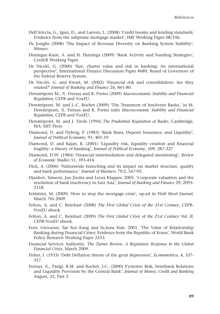- Dell'Ariccia, G., Igun, D., and Laeven, L. (2008) 'Credit booms and lending standards: Evidence from the subprime mortgage market', IMF Working Paper 08/106.
- De Jonghe (2008) 'The Impact of Revenue Diversity on Banking System Stability', Mimeo.
- Demirguc-Kunt, A. and H. Huizinga (2009) 'Bank Activity and Funding Strategies', CentER Working Paper.
- De Nicoló, G. (2000) 'Size, charter value and risk in banking: An international perspective', International Finance Discussion Paper #689, Board of Governors of the Federal Reserve System.
- De Nicoló, G. and Kwast, M. (2002) 'Financial risk and consolidation: Are they related?' *Journal of Banking and Finance* 26, 861-80.
- Dewatripont M., X. Freixas and R. Portes (2009) *Macroeconomic Stability and Financial Regulation*, CEPR and VoxEU.
- Dewatripont, M. and J.-C. Rochet (2009) 'The Treatment of Insolvent Banks,' in M. Dewatripont, X. Freixas and R. Portes (eds) *Macroeconomic Stability and Financial Regulation*, CEPR and VoxEU.
- Dewatripont, M. and J. Tirole (1994) *The Prudential Regulation of Banks*, Cambridge, MA: MIT Press.
- Diamond, D. and Dybvig, P. (1983) 'Bank Runs, Deposit Insurance, and Liquidity', *Journal of Political Economy*, 91, 401-19
- Diamond, D. and Rajan, R. (2001) 'Liquidity risk, liquidity creation and financial fragility: a theory of banking', *Journal of Political Economy*, 109, 287-327
- Diamond, D.W. (1984) 'Financial intermediation and delegated monitoring', *Review of Economic Studies* 51, 393-414.
- Dick, A. (2006) 'Nationwide branching and its impact on market structure, quality and bank performance.' *Journal of Business* 79:2, 567-92.
- Djankov, Simeon, Jan Jindra and Leora Klapper. 2005. 'Corporate valuation and the resolution of bank insolvency in East Asia', *Journal of Banking and Finance* 29, 2095- 2118.
- Feldstein, M. (2009) 'How to stop the mortgage crisis', op-ed in *Wall Street Journal,* March 7th 2009.
- Felton, A. and C. Reinhart (2008) *The First Global Crisis of the 21st Century*, CEPR-VoxEU ebook.
- Felton, A. and C. Reinhart (2009) *The First Global Crisis of the 21st Century: Vol. II*, CEPR-VoxEU ebook.
- Ferri, Giovanni, Tae Soo Kang and In-June Kim. 2001. 'The Value of Relationship Banking during Financial Crises: Evidence from the Republic of Korea', World Bank Policy Research Working Paper 2553.
- Financial Services Authority, *The Turner Review: A Regulatory Response to the Global Financial Crisis*, March 2009.
- Fisher, I. (1933) 'Debt Deflation theory of the great depression', *Econometrica*, 4, 337- 357.
- Freixas, X., Parigi, B.M. and Rochet, J-C. (2000) S'ystemic Risk, Interbank Relations and Liquidity Provision by the Central Bank', *Journal of Money, Credit and Banking* August, 32, Part 2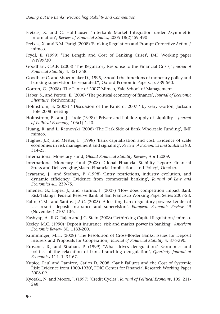- Freixas, X. and C. Holthausen 'Interbank Market Integration under Asymmetric Information', *Review of Financial Studies*, 2005 18(2)459-490
- Freixas, X. and B.M. Parigi (2008) 'Banking Regulation and Prompt Corrective Action,' mimeo.
- Frydl, E. (1999) 'The Length and Cost of Banking Crises', IMF Working paper WP/99/30
- Goodhart, C.A.E. (2008) 'The Regulatory Response to the Financial Crisis,' *Journal of Financial Stability* 4: 351-358.
- Goodhart C. and Shoenmaker D., 1995, 'Should the functions of monetary policy and banking supervision be separated?', Oxford Economic Papers, p. 539-560.
- Gorton, G. (2008) 'The Panic of 2007' Mimeo, Yale School of Management.
- Haber, S., and Perotti, E. (2008) 'The political economy of finance', *Journal of Economic Literature*, forthcoming.
- Holmstrom, B. (2008) ' Discussion of the Panic of 2007 ' by Gary Gorton, Jackson Hole 2008 meeting.
- Holmstrom, B., and J. Tirole (1998) ' Private and Public Supply of Liquidity ', *Journal of Political Economy*, 106(1) 1-40.
- Huang, R. and L. Ratnovski (2008) 'The Dark Side of Bank Wholesale Funding', IMF mimeo.
- Hughes, J.P., and Mester, L. (1998) 'Bank capitalization and cost: Evidence of scale economies in risk management and signaling', *Review of Economics and Statistics* 80, 314-25.
- International Monetary Fund, *Global Financial Stability Review*, April 2009.
- International Monetary Fund (2008) 'Global Financial Stability Report: Financial Stress and Deleveraging,Macro-Financial Implications and Policy', October.
- Jayaratne, J., and Strahan, P. (1998) 'Entry restrictions, industry evolution, and dynamic efficiency: Evidence from commercial banking', *Journal of Law and Economics* 41, 239-75.
- Jimenez, G., Lopez, J., and Saurina, J. (2007) 'How does competition impact Bank Risk-Taking?' Federal Reserve Bank of San Francisco Working Paper Series 2007-23.
- Kahn, C.M., and Santos, J.A.C. (2005) 'Allocating bank regulatory powers: Lender of last resort, deposit insurance and supervision', *European Economic Review* 49 (November) 2107 136.
- Kashyap, A., R.G. Rajan and J.C. Stein (2008) 'Rethinking Capital Regulation,' mimeo.
- Keeley, M.C. (1990) 'Deposit insurance, risk and market power in banking', *American Economic Review* 80, 1183-200.
- Krimminger, M.H. (2008) 'The Resolution of Cross-Border Banks: Issues for Deposit Insurers and Proposals for Cooperation,' *Journal of Financial Stability* 4: 376-390.
- Kroszner, R., and Strahan, P. (1999) 'What drives deregulation? Economics and politics of the relaxation of bank branching deregulation', *Quarterly Journal of Economics* 114, 1437-67.
- Kupiec, Paul and Ramirez, Carlos D. 2008. 'Bank Failures and the Cost of Systemic Risk: Evidence from 1900-1930', FDIC Center for Financial Research Working Paper 2008-09.
- Kyotaki, N. and Moore, J. (1997) 'Credit Cycles', *Journal of Political Economy*, 105, 211- 248.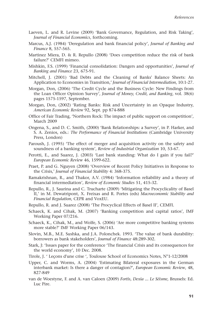- Laeven, L. and R. Levine (2009) 'Bank Governance, Regulation, and Risk Taking', *Journal of Financial Economics*, forthcoming.
- Marcus, A.J. (1984) 'Deregulation and bank financial policy', *Journal of Banking and Finance* 8, 557-565.
- Martinez Miera, D. & R. Repullo (2008) 'Does competition reduce the risk of bank failure?' CEMFI mimeo.
- Mishkin, F.S. (1999) 'Financial consolidation: Dangers and opportunities', *Journal of Banking and Finance* 23, 675-91.
- Mitchell, J. (2001) 'Bad Debts and the Cleaning of Banks' Balance Sheets: An Application to Economies in Transition,' *Journal of Financial Intermediation*, 10:1-27.
- Morgan, Don, (2006) 'The Credit Cycle and the Business Cycle: New Findings from the Loan Officer Opinion Survey', *Journal of Money, Credit, and Banking*, vol. 38(6) pages 1575-1597, September.
- Morgan, Don, (2002) 'Rating Banks: Risk and Uncertainty in an Opaque Industry, *American Economic Review* 92, Sept. pp 874-888
- Office of Fair Trading, 'Northern Rock: The impact of public support on competition', March 2009
- Ongena, S., and D. C. Smith, (2000) 'Bank Relationships: a Survey', in P. Harker, and S. A. Zenios, eds.: *The Performance of Financial Institutions* (Cambridge University Press, London)
- Paroush, J. (1995) 'The effect of merger and acquisition activity on the safety and soundness of a banking system', *Review of Industrial Organization* 10, 53-67.
- Perotti, E., and Suarez, J. (2003) 'Last bank standing: What do I gain if you fail?' *European Economic Review* 46, 1599-622.
- Praet, P. and G. Nguyen (2008) 'Overview of Recent Policy Initiatives in Response to the Crisis,' *Journal of Financial Stability* 4: 368-375.
- Ramakrishnan, R., and Thakor, A.V. (1984) 'Information reliability and a theory of financial intermediation', *Review of Economic Studies* 51, 415-32.
- Repullo, R., J. Saurina and C. Trucharte (2009) 'Mitigating the Procyclicality of Basel II,' in M. Dewatripont, X. Freixas and R. Portes (eds) *Macroeconomic Stability and Financial Regulation*, CEPR and VoxEU.
- Repullo, R. and J. Suarez (2008) 'The Procyclical Effects of Basel II', CEMFI.
- Schaeck, K. and Cihak, M. (2007) 'Banking competition and capital ratios', IMF Working Paper 07/216.
- Schaeck, K., Cihak, M., and Wolfe, S. (2006) 'Are more competitive banking systems more stable?' IMF Working Paper 06/143.
- Slovin, M.B., M.E. Sushka, and J.A. Polonchek. 1993. 'The value of bank durability: borrowers as bank stakeholders', *Journal of Finance* 48:289-302.
- Stark, J: 'Issues paper for the conference 'The financial Crisis and its consequences for the world economy', 10 Dec. 2008.
- Tirole, J. ' Leçons d'une crise ', Toulouse School of Economics Notes, N°1-12/2008
- Upper, C. and Worms, A. (2004) 'Estimating Bilateral exposures in the German interbank market: Is there a danger of contagion?', *European Economic Review*, 48, 827-849
- van de Woestyne, F. and A. van Caloen (2009) *Fortis, Dexia ... Le Séisme,* Brussels: Ed. Luc Pire.